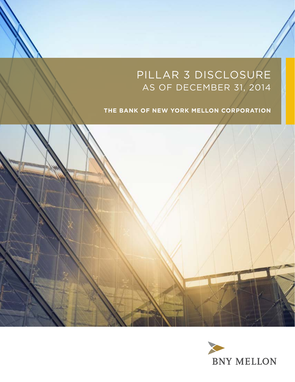# Pillar 3 Disclosure as of DECEMBER 31, 2014

# **The Bank of New York Mellon Corporation**



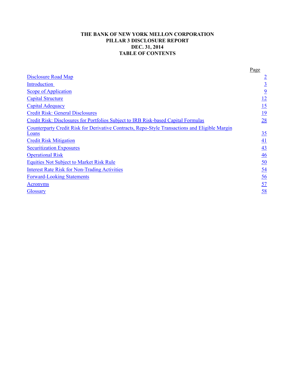### **THE BANK OF NEW YORK MELLON CORPORATION PILLAR 3 DISCLOSURE REPORT DEC. 31, 2014 TABLE OF CONTENTS**

|                                                                                                         | Page             |
|---------------------------------------------------------------------------------------------------------|------------------|
| <b>Disclosure Road Map</b>                                                                              | $\overline{2}$   |
| Introduction                                                                                            | $\overline{3}$   |
| <b>Scope of Application</b>                                                                             | $\overline{9}$   |
| <b>Capital Structure</b>                                                                                | <u>12</u>        |
| <b>Capital Adequacy</b>                                                                                 | $\overline{15}$  |
| <b>Credit Risk: General Disclosures</b>                                                                 | <u>19</u>        |
| Credit Risk: Disclosures for Portfolios Subject to IRB Risk-based Capital Formulas                      | 28               |
| Counterparty Credit Risk for Derivative Contracts, Repo-Style Transactions and Eligible Margin<br>Loans | 35               |
| <b>Credit Risk Mitigation</b>                                                                           | 41               |
| <b>Securitization Exposures</b>                                                                         | 43               |
| <b>Operational Risk</b>                                                                                 | 46               |
| <b>Equities Not Subject to Market Risk Rule</b>                                                         | 50               |
| <b>Interest Rate Risk for Non-Trading Activities</b>                                                    | <u>54</u>        |
| <b>Forward-Looking Statements</b>                                                                       | $\underline{56}$ |
| <b>Acronyms</b>                                                                                         | $\overline{57}$  |
| <b>Glossary</b>                                                                                         | 58               |
|                                                                                                         |                  |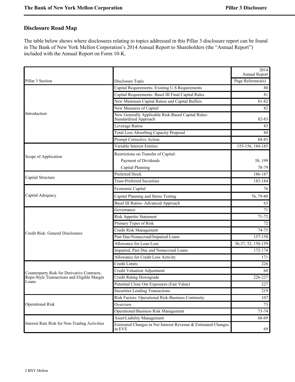# <span id="page-3-0"></span>**Disclosure Road Map**

The table below shows where disclosures relating to topics addressed in this Pillar 3 disclosure report can be found in The Bank of New York Mellon Corporation's 2014 Annual Report to Shareholders (the "Annual Report") included with the Annual Report on Form 10-K.

|                                               |                                                                             | 2014<br>Annual Report |
|-----------------------------------------------|-----------------------------------------------------------------------------|-----------------------|
| Pillar 3 Section                              | Disclosure Topic                                                            | Page Reference(s)     |
|                                               | Capital Requirements- Existing U.S Requirements                             | 80                    |
|                                               | Capital Requirements- Basel III Final Capital Rules                         | 81                    |
|                                               | New Minimum Capital Ratios and Capital Buffers                              | 81-82                 |
|                                               | New Measures of Capital                                                     | 82                    |
| Introduction                                  | New Generally Applicable Risk-Based Capital Rules:<br>Standardized Approach | 82-83                 |
|                                               | Leverage Ratios                                                             | 83                    |
|                                               | <b>Total Loss Absorbing Capacity Proposal</b>                               | 84                    |
|                                               | Prompt Corrective Action                                                    | 84-85                 |
|                                               | Variable Interest Entities                                                  | 155-156, 184-185      |
|                                               | Restrictions on Transfer of Capital:                                        |                       |
| Scope of Application                          | Payment of Dividends                                                        | 58, 199               |
|                                               | Capital Planning                                                            | 78-79                 |
|                                               | <b>Preferred Stock</b>                                                      | 186-187               |
| Capital Structure                             | <b>Trust-Preferred Securities</b>                                           | 183-184               |
|                                               | Economic Capital                                                            | 76                    |
| Capital Adequacy                              | Capital Planning and Stress Testing                                         | 76, 79-80             |
|                                               | <b>Basel III Ratios- Advanced Approach</b>                                  | 63                    |
|                                               | Governance                                                                  | 71                    |
|                                               | <b>Risk Appetite Statement</b>                                              | $71 - 72$             |
|                                               | Primary Types of Risk                                                       | 72                    |
|                                               | Credit Risk Management                                                      | 74-75                 |
| Credit Risk: General Disclosures              | Past Due/Nonaccrual/Impaired Loans                                          | 157-158               |
|                                               | Allowance for Loan Loss                                                     | 36-37, 52, 158-159    |
|                                               | Impaired, Past Due and Nonaccrual Loans                                     | 172-174               |
|                                               | Allowance for Credit Loss Activity                                          | 171                   |
|                                               | Credit Limits                                                               | 226                   |
| Counterparty Risk for Derivative Contracts,   | <b>Credit Valuation Adjustment</b>                                          | 68                    |
| Repo-Style Transactions and Eligible Margin   | <b>Credit Rating Downgrade</b>                                              | 226-227               |
| Loans                                         | Potential Close Out Exposures (Fair Value)                                  | 227                   |
|                                               | Securities Lending Transactions                                             | 219                   |
|                                               | Risk Factors: Operational Risk-Business Continuity                          | 107                   |
| <b>Operational Risk</b>                       | Overview                                                                    | 73                    |
|                                               | Operational/Business Risk Management                                        | $73 - 74$             |
|                                               | Asset/Liability Management                                                  | 68-69                 |
| Interest Rate Risk for Non-Trading Activities | Estimated Changes in Net Interest Revenue & Estimated Changes<br>in EVE     | 69                    |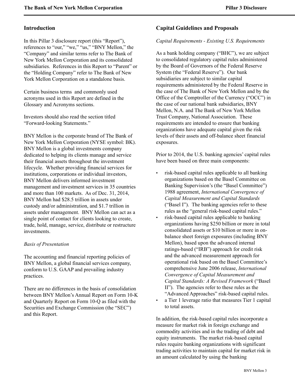### <span id="page-4-0"></span>**Introduction**

In this Pillar 3 disclosure report (this "Report"), references to "our," "we," "us," "BNY Mellon," the "Company" and similar terms refer to The Bank of New York Mellon Corporation and its consolidated subsidiaries. References in this Report to "Parent" or the "Holding Company" refer to The Bank of New York Mellon Corporation on a standalone basis.

Certain business terms and commonly used acronyms used in this Report are defined in the Glossary and Acronyms sections.

Investors should also read the section titled "Forward-looking Statements."

BNY Mellon is the corporate brand of The Bank of New York Mellon Corporation (NYSE symbol: BK). BNY Mellon is a global investments company dedicated to helping its clients manage and service their financial assets throughout the investment lifecycle. Whether providing financial services for institutions, corporations or individual investors, BNY Mellon delivers informed investment management and investment services in 35 countries and more than 100 markets. As of Dec. 31, 2014, BNY Mellon had \$28.5 trillion in assets under custody and/or administration, and \$1.7 trillion in assets under management. BNY Mellon can act as a single point of contact for clients looking to create, trade, hold, manage, service, distribute or restructure investments.

### *Basis of Presentation*

The accounting and financial reporting policies of BNY Mellon, a global financial services company, conform to U.S. GAAP and prevailing industry practices.

There are no differences in the basis of consolidation between BNY Mellon's Annual Report on Form 10-K and Quarterly Report on Form 10-Q as filed with the Securities and Exchange Commission (the "SEC") and this Report.

# **Capital Guidelines and Proposals**

### *Capital Requirements - Existing U.S. Requirements*

As a bank holding company ("BHC"), we are subject to consolidated regulatory capital rules administered by the Board of Governors of the Federal Reserve System (the "Federal Reserve"). Our bank subsidiaries are subject to similar capital requirements administered by the Federal Reserve in the case of The Bank of New York Mellon and by the Office of the Comptroller of the Currency ("OCC") in the case of our national bank subsidiaries, BNY Mellon, N.A. and The Bank of New York Mellon Trust Company, National Association. These requirements are intended to ensure that banking organizations have adequate capital given the risk levels of their assets and off-balance sheet financial exposures.

Prior to 2014, the U.S. banking agencies' capital rules have been based on three main components:

- risk-based capital rules applicable to all banking organizations based on the Basel Committee on Banking Supervision's (the "Basel Committee") 1988 agreement, *International Convergence of Capital Measurement and Capital Standards* ("Basel I"). The banking agencies refer to these rules as the "general risk-based capital rules."
- risk-based capital rules applicable to banking organizations having \$250 billion or more in total consolidated assets or \$10 billion or more in onbalance sheet foreign exposures (including BNY Mellon), based upon the advanced internal ratings-based ("IRB") approach for credit risk and the advanced measurement approach for operational risk based on the Basel Committee's comprehensive June 2006 release, *International Convergence of Capital Measurement and Capital Standards: A Revised Framework* ("Basel II"). The agencies refer to these rules as the "Advanced Approaches" risk-based capital rules.
- a Tier 1 leverage ratio that measures Tier 1 capital to total assets.

In addition, the risk-based capital rules incorporate a measure for market risk in foreign exchange and commodity activities and in the trading of debt and equity instruments. The market risk-based capital rules require banking organizations with significant trading activities to maintain capital for market risk in an amount calculated by using the banking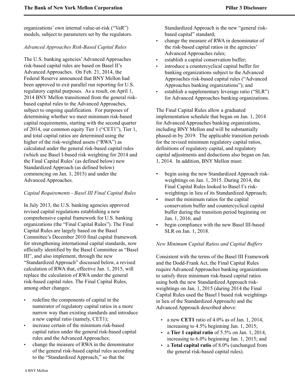organizations' own internal value-at-risk ("VaR") models, subject to parameters set by the regulators.

### *Advanced Approaches Risk-Based Capital Rules*

The U.S. banking agencies'Advanced Approaches risk-based capital rules are based on Basel II's Advanced Approaches. On Feb. 21, 2014, the Federal Reserve announced that BNY Mellon had been approved to exit parallel run reporting for U.S. regulatory capital purposes. As a result, on April 1, 2014 BNY Mellon transitioned from the general riskbased capital rules to the Advanced Approaches, subject to ongoing qualification. For purposes of determining whether we meet minimum risk-based capital requirements, starting with the second quarter of 2014, our common equity Tier 1 ("CET1"), Tier 1, and total capital ratios are determined using the higher of the risk-weighted assets ("RWA") as calculated under the general risk-based capital rules (which use Basel I-based risk weighting for 2014 and the Final Capital Rules' (as defined below) new Standardized Approach (as defined below) commencing on Jan. 1, 2015) and under the Advanced Approaches.

### *Capital Requirements - Basel III Final Capital Rules*

In July 2013, the U.S. banking agencies approved revised capital regulations establishing a new comprehensive capital framework for U.S. banking organizations (the "Final Capital Rules"). The Final Capital Rules are largely based on the Basel Committee's December 2010 final capital framework for strengthening international capital standards, now officially identified by the Basel Committee as "Basel III", and also implement, through the new "Standardized Approach" discussed below, a revised calculation of RWA that, effective Jan. 1, 2015, will replace the calculation of RWA under the general risk-based capital rules. The Final Capital Rules, among other changes:

- redefine the components of capital in the numerator of regulatory capital ratios in a more narrow way than existing standards and introduce a new capital ratio (namely, CET1);
- increase certain of the minimum risk-based capital ratios under the general risk-based capital rules and the Advanced Approaches;
- change the measure of RWA in the denominator of the general risk-based capital rules according to the "Standardized Approach," so that the

Standardized Approach is the new "general riskbased capital" standard;

- change the measure of RWA in denominator of the risk-based capital ratios in the agencies' Advanced Approaches rules;
- establish a capital conservation buffer;
- introduce a countercyclical capital buffer for banking organizations subject to the Advanced Approaches risk-based capital rules ("Advanced Approaches banking organizations"); and
- establish a supplementary leverage ratio ("SLR") for Advanced Approaches banking organizations.

The Final Capital Rules allow a graduated implementation schedule that began on Jan. 1, 2014 for Advanced Approaches banking organizations, including BNY Mellon and will be substantially phased-in by 2019. The applicable transition periods for the revised minimum regulatory capital ratios, definitions of regulatory capital, and regulatory capital adjustments and deductions also began on Jan. 1, 2014. In addition, BNY Mellon must:

- begin using the new Standardized Approach riskweightings on Jan. 1, 2015. During 2014, the Final Capital Rules looked to Basel I's riskweightings in lieu of its Standardized Approach;
- meet the minimum ratios for the capital conservation buffer and countercyclical capital buffer during the transition period beginning on Jan. 1, 2016; and
- begin compliance with the new Basel III-based SLR on Jan. 1, 2018.

### *New Minimum Capital Ratios and Capital Buffers*

Consistent with the terms of the Basel III Framework and the Dodd-Frank Act, the Final Capital Rules require Advanced Approaches banking organizations to satisfy three minimum risk-based capital ratios using both the new Standardized Approach riskweightings on Jan. 1, 2015 (during 2014 the Final Capital Rules used the Basel I based risk weightings in lieu of the Standardized Approach) and the Advanced Approach described above:

- a new **CET1** ratio of 4.0% as of Jan. 1, 2014, increasing to 4.5% beginning Jan. 1, 2015;
- a **Tier 1 capital ratio** of 5.5% on Jan. 1, 2014, increasing to 6.0% beginning Jan. 1, 2015; and
- a **Total capital ratio** of 8.0% (unchanged from the general risk-based capital rules).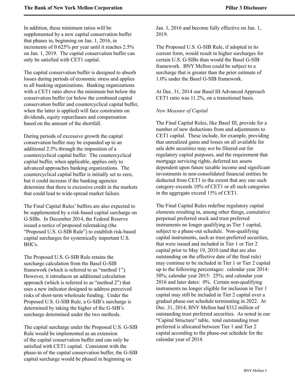In addition, these minimum ratios will be supplemented by a new capital conservation buffer that phases in, beginning on Jan. 1, 2016, in increments of 0.625% per year until it reaches 2.5% on Jan. 1, 2019. The capital conservation buffer can only be satisfied with CET1 capital.

The capital conservation buffer is designed to absorb losses during periods of economic stress and applies to all banking organizations. Banking organizations with a CET1 ratio above the minimum but below the conservation buffer (or below the combined capital conservation buffer and countercyclical capital buffer, when the latter is applied) will face constraints on dividends, equity repurchases and compensation based on the amount of the shortfall.

During periods of excessive growth the capital conservation buffer may be expanded up to an additional 2.5% through the imposition of a countercyclical capital buffer. The countercyclical capital buffer, when applicable, applies only to advanced approaches banking organizations. The countercyclical capital buffer is initially set to zero, but it could increase if the banking agencies determine that there is excessive credit in the markets that could lead to wide-spread market failure.

The Final Capital Rules' buffers are also expected to be supplemented by a risk-based capital surcharge on G-SIBs. In December 2014, the Federal Reserve issued a notice of proposed rulemaking (the "Proposed U.S. G-SIB Rule") to establish risk-based capital surcharges for systemically important U.S. BHCs.

The Proposed U.S. G-SIB Rule retains the surcharge calculation from the Basel G-SIB framework (which is referred to as "method 1"). However, it introduces an additional calculation approach (which is referred to as "method 2") that uses a new indicator designed to address perceived risks of short-term wholesale funding. Under the Proposed U.S. G-SIB Rule, a G-SIB's surcharge is determined by taking the higher of the G-SIB's surcharge determined under the two methods.

The capital surcharge under the Proposed U.S. G-SIB Rule would be implemented as an extension of the capital conservation buffer and can only be satisfied with CET1 capital. Consistent with the phase-in of the capital conservation buffer, the G-SIB capital surcharge would be phased in beginning on

Jan. 1, 2016 and become fully effective on Jan. 1, 2019.

The Proposed U.S. G-SIB Rule, if adopted in its current form, would result in higher surcharges for certain U.S. G-SIBs than would the Basel G-SIB framework. BNY Mellon could be subject to a surcharge that is greater than the prior estimate of 1.0% under the Basel G-SIB framework.

At Dec. 31, 2014 our Basel III Advanced Approach CET1 ratio was 11.2%, on a transitional basis.

### *New Measure of Capital*

The Final Capital Rules, like Basel III, provide for a number of new deductions from and adjustments to CET1 capital. These include, for example, providing that unrealized gains and losses on all available for sale debt securities may *not* be filtered out for regulatory capital purposes, and the requirement that mortgage servicing rights, deferred tax assets dependent upon future taxable income and significant investments in non-consolidated financial entities be deducted from CET1 to the extent that any one such category exceeds 10% of CET1 or all such categories in the aggregate exceed 15% of CET1.

The Final Capital Rules redefine regulatory capital elements resulting in, among other things, cumulative perpetual preferred stock and trust preferred instruments no longer qualifying as Tier 1 capital, subject to a phase-out schedule. Non-qualifying capital instruments, such as trust preferred securities, that were issued and included in Tier 1 or Tier 2 capital prior to May 19, 2010 (and that are also outstanding on the effective date of the final rule) may continue to be included in Tier 1 or Tier 2 capital up to the following percentages: calendar year 2014: 50%; calendar year 2015: 25%; and calendar year 2016 and later dates: 0%. Certain non-qualifying instruments no longer eligible for inclusion in Tier 1 capital may still be included in Tier 2 capital over a gradual phase-out schedule terminating in 2022. At Dec. 31, 2014, BNY Mellon had \$312 million of outstanding trust preferred securities. As noted in our "Capital Structure" table, total outstanding trust preferred is allocated between Tier 1 and Tier 2 capital according to the phase-out schedule for the calendar year of 2014.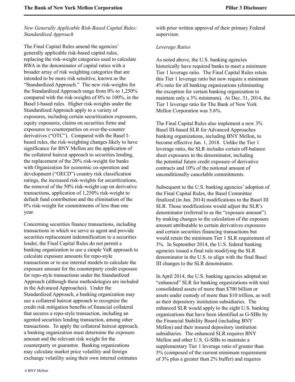### *New Generally Applicable Risk-Based Capital Rules: Standardized Approach*

The Final Capital Rules amend the agencies' generally applicable risk-based capital rules, replacing the risk-weight categories used to calculate RWA in the denominator of capital ratios with a broader array of risk weighting categories that are intended to be more risk sensitive, known as the "Standardized Approach." The new risk-weights for the Standardized Approach range from 0% to 1,250% compared with the risk-weights of 0% to 100%, in the Basel I-based rules. Higher risk-weights under the Standardized Approach apply to a variety of exposures, including certain securitization exposures, equity exposures, claims on securities firms and exposures to counterparties on over-the-counter derivatives ("OTC"). Compared with the Basel Ibased rules, the risk-weighting changes likely to have significance for BNY Mellon are the application of the collateral haircut approach to securities lending, the replacement of the 20% risk-weight for banks with Organization for economic co-operation and development ("OECD") country risk classification ratings, the increased risk-weights for securitizations, the removal of the 50% risk-weight cap on derivative transactions, application of 1,250% risk-weight to default fund contribution and the elimination of the 0% risk-weight for commitments of less than one year.

Concerning securities finance transactions, including transactions in which we serve as agent and provide securities replacement indemnification to a securities lender, the Final Capital Rules do not permit a banking organization to use a simple VaR approach to calculate exposure amounts for repo-style transactions or to use internal models to calculate the exposure amount for the counterparty credit exposure for repo-style transactions under the Standardized Approach (although these methodologies are included in the Advanced Approaches). Under the Standardized Approach, a banking organization may use a collateral haircut approach to recognize the credit risk mitigation benefits of financial collateral that secures a repo-style transaction, including an agented securities lending transaction, among other transactions. To apply the collateral haircut approach, a banking organization must determine the exposure amount and the relevant risk weight for the counterparty or guarantor. Banking organizations may calculate market price volatility and foreign exchange volatility using their own internal estimates

with prior written approval of their primary Federal supervisor.

### *Leverage Ratios*

As noted above, the U.S. banking agencies historically have required banks to meet a minimum Tier 1 leverage ratio. The Final Capital Rules retain this Tier 1 leverage ratio but now require a minimum 4% ratio for all banking organizations (eliminating the exception for certain banking organization to maintain only a 3% minimum). At Dec. 31, 2014, the Tier 1 leverage ratio for The Bank of New York Mellon Corporation was 5.6%.

The Final Capital Rules also implement a new 3% Basel III-based SLR for Advanced Approaches banking organizations, including BNY Mellon, to become effective Jan. 1, 2018. Unlike the Tier 1 leverage ratio, the SLR includes certain off-balance sheet exposures in the denominator, including the potential future credit exposure of derivative contracts and 10% of the notional amount of unconditionally cancelable commitments.

Subsequent to the U.S. banking agencies' adoption of the Final Capital Rules, the Basel Committee finalized (in Jan. 2014) modifications to the Basel III SLR. Those modifications would adjust the SLR's denominator (referred to as the "exposure amount") by making changes to the calculation of the exposure amount attributable to certain derivatives exposures and certain securities financing transactions but would retain the minimum Tier 1 SLR requirement of 3%. In September 2014, the U.S. federal banking agencies issued a final rule modifying the SLR denominator in the U.S. to align with the final Basel III changes to the SLR denominator.

In April 2014, the U.S. banking agencies adopted an "enhanced" SLR for banking organizations with total consolidated assets of more than \$700 billion or assets under custody of more than \$10 trillion, as well as their depository institution subsidiaries. The enhanced SLR would apply to the eight U.S. banking organizations that have been identified as G-SIBs by the Financial Stability Board (including BNY Mellon) and their insured depository institution subsidiaries. The enhanced SLR requires BNY Mellon and other U.S. G-SIBs to maintain a supplementary Tier 1 leverage ratio of greater than 5% (composed of the current minimum requirement of 3% plus a greater than 2% buffer) and requires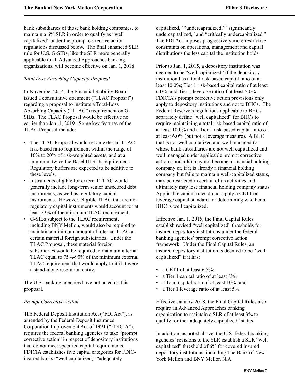bank subsidiaries of those bank holding companies, to maintain a 6% SLR in order to qualify as "well capitalized" under the prompt corrective action regulations discussed below. The final enhanced SLR rule for U.S. G-SIBs, like the SLR more generally applicable to all Advanced Approaches banking organizations, will become effective on Jan. 1, 2018.

### *Total Loss Absorbing Capacity Proposal*

In November 2014, the Financial Stability Board issued a consultative document ("TLAC Proposal") regarding a proposal to institute a Total-Loss Absorbing Capacity ("TLAC") requirement on G-SIBs. The TLAC Proposal would be effective no earlier than Jan. 1, 2019. Some key features of the TLAC Proposal include:

- The TLAC Proposal would set an external TLAC risk-based ratio requirement within the range of 16% to 20% of risk-weighted assets, and at a minimum twice the Basel III SLR requirement. Regulatory buffers are expected to be additive to these levels.
- Instruments eligible for external TLAC would generally include long-term senior unsecured debt instruments, as well as regulatory capital instruments. However, eligible TLAC that are not regulatory capital instruments would account for at least 33% of the minimum TLAC requirement.
- G-SIBs subject to the TLAC requirement, including BNY Mellon, would also be required to maintain a minimum amount of internal TLAC at certain material foreign subsidiaries. Under the TLAC Proposal, these material foreign subsidiaries would be required to maintain internal TLAC equal to 75%-90% of the minimum external TLAC requirement that would apply to it if it were a stand-alone resolution entity.

The U.S. banking agencies have not acted on this proposal.

### *Prompt Corrective Action*

The Federal Deposit Institution Act ("FDI Act"), as amended by the Federal Deposit Insurance Corporation Improvement Act of 1991 ("FDICIA"), requires the federal banking agencies to take "prompt corrective action" in respect of depository institutions that do not meet specified capital requirements. FDICIA establishes five capital categories for FDICinsured banks: "well capitalized," "adequately

capitalized," "undercapitalized," "significantly undercapitalized," and "critically undercapitalized." The FDI Act imposes progressively more restrictive constraints on operations, management and capital distributions the less capital the institution holds.

Prior to Jan. 1, 2015, a depository institution was deemed to be "well capitalized" if the depository institution has a total risk-based capital ratio of at least 10.0%; Tier 1 risk-based capital ratio of at least 6.0%; and Tier 1 leverage ratio of at least 5.0%. FDICIA's prompt corrective action provisions only apply to depository institutions and not to BHCs. The Federal Reserve's regulations applicable to BHCs separately define "well capitalized" for BHCs to require maintaining a total risk-based capital ratio of at least 10.0% and a Tier 1 risk-based capital ratio of at least 6.0% (but not a leverage measure). A BHC that is not well capitalized and well managed (or whose bank subsidiaries are not well capitalized and well managed under applicable prompt corrective action standards) may not become a financial holding company or, if it is already a financial holding company but fails to maintain well-capitalized status, may be restricted in certain of its activities and ultimately may lose financial holding company status. Applicable capital rules do not apply a CET1 or leverage capital standard for determining whether a BHC is well capitalized.

Effective Jan. 1, 2015, the Final Capital Rules establish revised "well capitalized" thresholds for insured depository institutions under the federal banking agencies' prompt corrective action framework. Under the Final Capital Rules, an insured depository institution is deemed to be "well capitalized" if it has:

- a CET1 of at least  $6.5\%$ ;
- a Tier 1 capital ratio of at least 8%;
- a Total capital ratio of at least 10%; and
- a Tier 1 leverage ratio of at least 5%.

Effective January 2018, the Final Capital Rules also require an Advanced Approaches banking organization to maintain a SLR of at least 3% to qualify for the "adequately capitalized" status.

In addition, as noted above, the U.S. federal banking agencies' revisions to the SLR establish a SLR "well capitalized" threshold of 6% for covered insured depository institutions, including The Bank of New York Mellon and BNY Mellon N.A.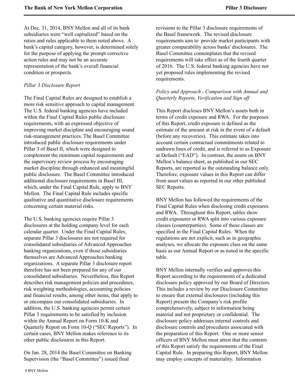At Dec. 31, 2014, BNY Mellon and all of its bank subsidiaries were "well capitalized" based on the ratios and rules applicable to them noted above. A bank's capital category, however, is determined solely for the purpose of applying the prompt corrective action rules and may not be an accurate representation of the bank's overall financial condition or prospects.

### *Pillar 3 Disclosure Report*

The Final Capital Rules are designed to establish a more risk sensitive approach to capital management. The U.S. federal banking agencies have included within the Final Capital Rules public disclosure requirements, with an expressed objective of improving market discipline and encouraging sound risk-management practices. The Basel Committee introduced public disclosure requirements under Pillar 3 of Basel II, which were designed to complement the minimum capital requirements and the supervisory review process by encouraging market discipline through enhanced and meaningful public disclosure. The Basel Committee introduced additional disclosure requirements in Basel III, which, under the Final Capital Rule, apply to BNY Mellon. The Final Capital Rule includes specific qualitative and quantitative disclosure requirements concerning certain material risks.

The U.S. banking agencies require Pillar 3 disclosures at the holding company level for each calendar quarter. Under the Final Capital Rules, separate Pillar 3 disclosures are not required for consolidated subsidiaries of Advanced Approaches banking organizations, even if those subsidiaries themselves are Advanced Approaches banking organizations. A separate Pillar 3 disclosure report therefore has not been prepared for any of our consolidated subsidiaries. Nevertheless, this Report describes risk management policies and procedures, risk weighting methodologies, accounting policies and financial results, among other items, that apply to or encompass our consolidated subsidiaries. In addition, the U.S. banking agencies permit certain Pillar 3 requirements to be satisfied by inclusion within the Annual Report on Form 10-K and Quarterly Report on Form 10-Q ("SEC Reports"). In certain cases, BNY Mellon makes reference to its other public disclosures in this Report.

On Jan. 28, 2014 the Basel Committee on Banking Supervision (the "Basel Committee") issued final

revisions to the Pillar 3 disclosure requirements of the Basel framework. The revised disclosure requirements aim to provide market participants with greater comparability across banks' disclosures. The Basel Committee contemplates that the revised requirements will take effect as of the fourth quarter of 2016. The U.S. federal banking agencies have not yet proposed rules implementing the revised requirements.

### *Policy and Approach - Comparison with Annual and Quarterly Reports, Verification and Sign off*

This Report discloses BNY Mellon's assets both in terms of credit exposure and RWA. For the purposes of this Report, credit exposure is defined as the estimate of the amount at risk in the event of a default (before any recoveries). This estimate takes into account certain contractual commitments related to undrawn lines of credit, and is referred to as Exposure at Default ("EAD"). In contrast, the assets on BNY Mellon's balance sheet, as published in our SEC Reports, are reported as the outstanding balance only. Therefore, exposure values in this Report can differ from asset values as reported in our other published SEC Reports.

BNY Mellon has followed the requirements of the Final Capital Rules when disclosing credit exposures and RWA. Throughout this Report, tables show credit exposures or RWA split into various exposure classes (counterparties). Some of these classes are specified in the Final Capital Rules. When the regulations are not explicit, such as in geographic analyses, we allocate the exposure class on the same basis as our Annual Report or as noted in the specific table.

BNY Mellon internally verifies and approves this Report according to the requirements of a dedicated disclosure policy approved by our Board of Directors. This includes a review by our Disclosure Committee to ensure that external disclosures (including this Report) present the Company's risk profile comprehensively, subject to information being material and not proprietary or confidential. The disclosure policy addresses internal controls and disclosure controls and procedures associated with the preparation of this Report. One or more senior officers of BNY Mellon must attest that the contents of this Report satisfy the requirements of the Final Capital Rule. In preparing this Report, BNY Mellon may employ concepts of materiality. Information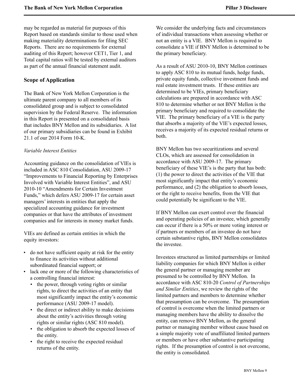may be regarded as material for purposes of this Report based on standards similar to those used when making materiality determinations for filing SEC Reports. There are no requirements for external auditing of this Report; however CET1, Tier 1, and Total capital ratios will be tested by external auditors as part of the annual financial statement audit.

# <span id="page-10-0"></span>**Scope of Application**

The Bank of New York Mellon Corporation is the ultimate parent company to all members of its consolidated group and is subject to consolidated supervision by the Federal Reserve. The information in this Report is presented on a consolidated basis that includes BNY Mellon and its subsidiaries. A list of our primary subsidiaries can be found in Exhibit 21.1 of our 2014 Form 10-K.

### *Variable Interest Entities*

Accounting guidance on the consolidation of VIEs is included in ASC 810 Consolidation, ASU 2009-17 "Improvements to Financial Reporting by Enterprises Involved with Variable Interest Entities", and ASU 2010-10 "Amendments for Certain Investment Funds," which defers ASU 2009-17 for certain asset managers' interests in entities that apply the specialized accounting guidance for investment companies or that have the attributes of investment companies and for interests in money market funds.

VIEs are defined as certain entities in which the equity investors:

- do not have sufficient equity at risk for the entity to finance its activities without additional subordinated financial support; or
- lack one or more of the following characteristics of a controlling financial interest:
	- the power, through voting rights or similar rights, to direct the activities of an entity that most significantly impact the entity's economic performance (ASU 2009-17 model).
	- the direct or indirect ability to make decisions about the entity's activities through voting rights or similar rights (ASC 810 model).
	- the obligation to absorb the expected losses of the entity.
	- the right to receive the expected residual returns of the entity.

We consider the underlying facts and circumstances of individual transactions when assessing whether or not an entity is a VIE. BNY Mellon is required to consolidate a VIE if BNY Mellon is determined to be the primary beneficiary.

As a result of ASU 2010-10, BNY Mellon continues to apply ASC 810 to its mutual funds, hedge funds, private equity funds, collective investment funds and real estate investment trusts. If these entities are determined to be VIEs, primary beneficiary calculations are prepared in accordance with ASC 810 to determine whether or not BNY Mellon is the primary beneficiary and required to consolidate the VIE. The primary beneficiary of a VIE is the party that absorbs a majority of the VIE's expected losses, receives a majority of its expected residual returns or both.

BNY Mellon has two securitizations and several CLOs, which are assessed for consolidation in accordance with ASU 2009-17. The primary beneficiary of these VIE's is the party that has both: (1) the power to direct the activities of the VIE that most significantly impact that entity's economic performance, and (2) the obligation to absorb losses, or the right to receive benefits, from the VIE that could potentially be significant to the VIE.

If BNY Mellon can exert control over the financial and operating policies of an investee, which generally can occur if there is a 50% or more voting interest or if partners or members of an investee do not have certain substantive rights, BNY Mellon consolidates the investee.

Investees structured as limited partnerships or limited liability companies for which BNY Mellon is either the general partner or managing member are presumed to be controlled by BNY Mellon. In accordance with ASC 810-20 *Control of Partnerships and Similar Entities*, we review the rights of the limited partners and members to determine whether that presumption can be overcome. The presumption of control is overcome when the limited partners or managing members have the ability to dissolve the entity, can remove BNY Mellon, as the general partner or managing member without cause based on a simple majority vote of unaffiliated limited partners or members or have other substantive participating rights. If the presumption of control is not overcome, the entity is consolidated.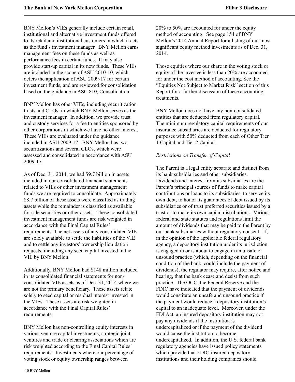BNY Mellon's VIEs generally include certain retail, institutional and alternative investment funds offered to its retail and institutional customers in which it acts as the fund's investment manager. BNY Mellon earns management fees on these funds as well as performance fees in certain funds. It may also provide start-up capital in its new funds. These VIEs are included in the scope of ASU 2010-10, which defers the application of ASU 2009-17 for certain investment funds, and are reviewed for consolidation based on the guidance in ASC 810, Consolidation.

BNY Mellon has other VIEs, including securitization trusts and CLOs, in which BNY Mellon serves as the investment manager. In addition, we provide trust and custody services for a fee to entities sponsored by other corporations in which we have no other interest. These VIEs are evaluated under the guidance included in ASU 2009-17. BNY Mellon has two securitizations and several CLOs, which were assessed and consolidated in accordance with ASU 2009-17.

As of Dec. 31, 2014, we had \$9.7 billion in assets included in our consolidated financial statements related to VIEs or other investment management funds we are required to consolidate. Approximately \$8.7 billion of these assets were classified as trading assets while the remainder is classified as available for sale securities or other assets. These consolidated investment management funds are risk weighted in accordance with the Final Capital Rules' requirements. The net assets of any consolidated VIE are solely available to settle the liabilities of the VIE and to settle any investors' ownership liquidation requests, including any seed capital invested in the VIE by BNY Mellon.

Additionally, BNY Mellon had \$148 million included in its consolidated financial statements for nonconsolidated VIE assets as of Dec. 31, 2014 where we are not the primary beneficiary. These assets relate solely to seed capital or residual interest invested in the VIEs. These assets are risk weighted in accordance with the Final Capital Rules' requirements.

BNY Mellon has non-controlling equity interests in various venture capital investments, strategic joint ventures and trade or clearing associations which are risk weighted according to the Final Capital Rules' requirements. Investments where our percentage of voting stock or equity ownership ranges between

20% to 50% are accounted for under the equity method of accounting. See page 154 of BNY Mellon's 2014 Annual Report for a listing of our most significant equity method investments as of Dec. 31, 2014.

Those equities where our share in the voting stock or equity of the investee is less than 20% are accounted for under the cost method of accounting. See the "Equities Not Subject to Market Risk" section of this Report for a further discussion of these accounting treatments.

BNY Mellon does not have any non-consolidated entities that are deducted from regulatory capital. The minimum regulatory capital requirements of our insurance subsidiaries are deducted for regulatory purposes with 50% deducted from each of Other Tier 1 Capital and Tier 2 Capital.

#### *Restrictions on Transfer of Capital*

The Parent is a legal entity separate and distinct from its bank subsidiaries and other subsidiaries. Dividends and interest from its subsidiaries are the Parent's principal sources of funds to make capital contributions or loans to its subsidiaries, to service its own debt, to honor its guarantees of debt issued by its subsidiaries or of trust preferred securities issued by a trust or to make its own capital distributions. Various federal and state statutes and regulations limit the amount of dividends that may be paid to the Parent by our bank subsidiaries without regulatory consent. If, in the opinion of the applicable federal regulatory agency, a depository institution under its jurisdiction is engaged in or is about to engage in an unsafe or unsound practice (which, depending on the financial condition of the bank, could include the payment of dividends), the regulator may require, after notice and hearing, that the bank cease and desist from such practice. The OCC, the Federal Reserve and the FDIC have indicated that the payment of dividends would constitute an unsafe and unsound practice if the payment would reduce a depository institution's capital to an inadequate level. Moreover, under the FDI Act, an insured depository institution may not pay any dividends if the institution is undercapitalized or if the payment of the dividend would cause the institution to become undercapitalized. In addition, the U.S. federal bank regulatory agencies have issued policy statements which provide that FDIC-insured depository institutions and their holding companies should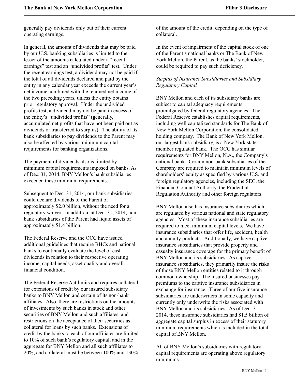generally pay dividends only out of their current operating earnings.

In general, the amount of dividends that may be paid by our U.S. banking subsidiaries is limited to the lesser of the amounts calculated under a "recent earnings" test and an "undivided profits" test. Under the recent earnings test, a dividend may not be paid if the total of all dividends declared and paid by the entity in any calendar year exceeds the current year's net income combined with the retained net income of the two preceding years, unless the entity obtains prior regulatory approval. Under the undivided profits test, a dividend may not be paid in excess of the entity's "undivided profits" (generally, accumulated net profits that have not been paid out as dividends or transferred to surplus). The ability of its bank subsidiaries to pay dividends to the Parent may also be affected by various minimum capital requirements for banking organizations.

The payment of dividends also is limited by minimum capital requirements imposed on banks. As of Dec. 31, 2014, BNY Mellon's bank subsidiaries exceeded these minimum requirements.

Subsequent to Dec. 31, 2014, our bank subsidiaries could declare dividends to the Parent of approximately \$2.0 billion, without the need for a regulatory waiver. In addition, at Dec. 31, 2014, nonbank subsidiaries of the Parent had liquid assets of approximately \$1.4 billion.

The Federal Reserve and the OCC have issued additional guidelines that require BHCs and national banks to continually evaluate the level of cash dividends in relation to their respective operating income, capital needs, asset quality and overall financial condition.

The Federal Reserve Act limits and requires collateral for extensions of credit by our insured subsidiary banks to BNY Mellon and certain of its non-bank affiliates. Also, there are restrictions on the amounts of investments by such banks in stock and other securities of BNY Mellon and such affiliates, and restrictions on the acceptance of their securities as collateral for loans by such banks. Extensions of credit by the banks to each of our affiliates are limited to 10% of such bank's regulatory capital, and in the aggregate for BNY Mellon and all such affiliates to 20%, and collateral must be between 100% and 130%

of the amount of the credit, depending on the type of collateral.

In the event of impairment of the capital stock of one of the Parent's national banks or The Bank of New York Mellon, the Parent, as the banks' stockholder, could be required to pay such deficiency.

### *Surplus of Insurance Subsidiaries and Subsidiary Regulatory Capital*

BNY Mellon and each of its subsidiary banks are subject to capital adequacy requirements promulgated by federal regulatory agencies. The Federal Reserve establishes capital requirements, including well capitalized standards for The Bank of New York Mellon Corporation, the consolidated holding company. The Bank of New York Mellon, our largest bank subsidiary, is a New York state member regulated bank. The OCC has similar requirements for BNY Mellon, N.A., the Company's national bank. Certain non-bank subsidiaries of the Company are required to maintain minimum levels of shareholders' equity as specified by various U.S. and foreign regulatory agencies, including the SEC, the Financial Conduct Authority, the Prudential Regulation Authority and other foreign regulators.

BNY Mellon also has insurance subsidiaries which are regulated by various national and state regulatory agencies. Most of these insurance subsidiaries are required to meet minimum capital levels. We have insurance subsidiaries that offer life, accident, health and annuity products. Additionally, we have captive insurance subsidiaries that provide property and casualty insurance coverage for the primary benefit of BNY Mellon and its subsidiaries. As captive insurance subsidiaries, they primarily insure the risks of those BNY Mellon entities related to it through common ownership. The insured businesses pay premiums to the captive insurance subsidiaries in exchange for insurance. Three of our five insurance subsidiaries are underwriters in some capacity and currently only underwrite the risks associated with BNY Mellon and its subsidiaries. As of Dec. 31, 2014, these insurance subsidiaries had \$1.5 billion of aggregate capital surplus in excess of their statutory minimum requirements which is included in the total capital of BNY Mellon.

All of BNY Mellon's subsidiaries with regulatory capital requirements are operating above regulatory minimums.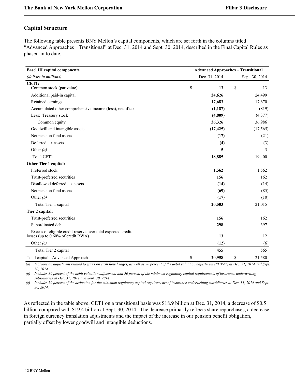# <span id="page-13-0"></span>**Capital Structure**

The following table presents BNY Mellon's capital components, which are set forth in the columns titled "Advanced Approaches – Transitional" at Dec. 31, 2014 and Sept. 30, 2014, described in the Final Capital Rules as phased-in to date.

| <b>Basel III capital components</b>                                                                              |               | <b>Advanced Approaches - Transitional</b> |                |  |
|------------------------------------------------------------------------------------------------------------------|---------------|-------------------------------------------|----------------|--|
| (dollars in millions)                                                                                            | Dec. 31, 2014 |                                           | Sept. 30, 2014 |  |
| CET1:                                                                                                            |               |                                           |                |  |
| Common stock (par value)                                                                                         | \$<br>13      | \$                                        | 13             |  |
| Additional paid-in capital                                                                                       | 24,626        |                                           | 24,499         |  |
| Retained earnings                                                                                                | 17,683        |                                           | 17,670         |  |
| Accumulated other comprehensive income (loss), net of tax                                                        | (1,187)       |                                           | (819)          |  |
| Less: Treasury stock                                                                                             | (4,809)       |                                           | (4, 377)       |  |
| Common equity                                                                                                    | 36,326        |                                           | 36,986         |  |
| Goodwill and intangible assets                                                                                   | (17, 425)     |                                           | (17, 565)      |  |
| Net pension fund assets                                                                                          | (17)          |                                           | (21)           |  |
| Deferred tax assets                                                                                              | (4)           |                                           | (3)            |  |
| Other $(a)$                                                                                                      | 5             |                                           | 3              |  |
| <b>Total CET1</b>                                                                                                | 18,885        |                                           | 19,400         |  |
| Other Tier 1 capital:                                                                                            |               |                                           |                |  |
| Preferred stock                                                                                                  | 1,562         |                                           | 1,562          |  |
| Trust-preferred securities                                                                                       | 156           |                                           | 162            |  |
| Disallowed deferred tax assets                                                                                   | (14)          |                                           | (14)           |  |
| Net pension fund assets                                                                                          | (69)          |                                           | (85)           |  |
| Other $(b)$                                                                                                      | (17)          |                                           | (10)           |  |
| Total Tier 1 capital                                                                                             | 20,503        |                                           | 21,015         |  |
| Tier 2 capital:                                                                                                  |               |                                           |                |  |
| Trust-preferred securities                                                                                       | 156           |                                           | 162            |  |
| Subordinated debt                                                                                                | 298           |                                           | 397            |  |
| Excess of eligible credit reserve over total expected credit<br>losses (up to $0.\overline{60\%}$ of credit RWA) | 13            |                                           | 12             |  |
| Other $(c)$                                                                                                      | (12)          |                                           | (6)            |  |
| Total Tier 2 capital                                                                                             | 455           |                                           | 565            |  |
| Total capital - Advanced Approach                                                                                | \$<br>20,958  | \$                                        | 21,580         |  |

*(a) Includes an adjustment related to gains on cash flow hedges, as well as 20 percent of the debit valuation adjustment ("DVA") at Dec. 31, 2014 and Sept. 30, 2014.* 

*(b) Includes 80 percent of the debit valuation adjustment and 50 percent of the minimum regulatory capital requirements of insurance underwriting subsidiaries at Dec. 31, 2014 and Sept. 30, 2014.* 

*(c) Includes 50 percent of the deduction for the minimum regulatory capital requirements of insurance underwriting subsidiaries at Dec. 31, 2014 and Sept. 30, 2014.*

As reflected in the table above, CET1 on a transitional basis was \$18.9 billion at Dec. 31, 2014, a decrease of \$0.5 billion compared with \$19.4 billion at Sept. 30, 2014. The decrease primarily reflects share repurchases, a decrease in foreign currency translation adjustments and the impact of the increase in our pension benefit obligation, partially offset by lower goodwill and intangible deductions.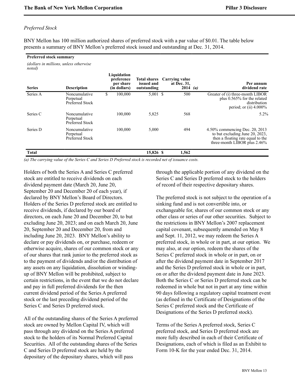### *Preferred Stock*

*noted)*

BNY Mellon has 100 million authorized shares of preferred stock with a par value of \$0.01. The table below presents a summary of BNY Mellon's preferred stock issued and outstanding at Dec. 31, 2014.

#### **Preferred stock summary**

*(dollars in millions, unless otherwise*

| <b>Series</b> | <b>Description</b>                            | Liquidation<br>preference<br>per share<br>(in dollars) | <b>Total shares</b><br>issued and<br>outstanding | Carrying value<br>at Dec. 31,<br>$2014$ ( <i>a</i> ) | Per annum<br>dividend rate                                                                                                                |
|---------------|-----------------------------------------------|--------------------------------------------------------|--------------------------------------------------|------------------------------------------------------|-------------------------------------------------------------------------------------------------------------------------------------------|
| Series A      | Noncumulative<br>Perpetual<br>Preferred Stock | \$<br>100,000                                          | $5,001$ \$                                       | 500                                                  | Greater of (i) three-month LIBOR<br>plus 0.565% for the related<br>distribution<br>period; or (ii) $4.000\%$                              |
| Series C      | Noncumulative<br>Perpetual<br>Preferred Stock | 100,000                                                | 5,825                                            | 568                                                  | $5.2\%$                                                                                                                                   |
| Series D      | Noncumulative<br>Perpetual<br>Preferred Stock | 100,000                                                | 5,000                                            | 494                                                  | 4.50% commencing Dec. 20, 2013<br>to but excluding June 20, 2023.<br>then a floating rate equal to the<br>three-month LIBOR plus $2.46\%$ |
| <b>Total</b>  |                                               |                                                        | 15,826 \$                                        | 1,562                                                |                                                                                                                                           |

*(a) The carrying value of the Series C and Series D Preferred stock is recorded net of issuance costs.*

Holders of both the Series A and Series C preferred stock are entitled to receive dividends on each dividend payment date (March 20, June 20, September 20 and December 20 of each year), if declared by BNY Mellon's Board of Directors. Holders of the Series D preferred stock are entitled to receive dividends, if declared by our board of directors, on each June 20 and December 20, to but excluding June 20, 2023; and on each March 20, June 20, September 20 and December 20, from and including June 20, 2023. BNY Mellon's ability to declare or pay dividends on, or purchase, redeem or otherwise acquire, shares of our common stock or any of our shares that rank junior to the preferred stock as to the payment of dividends and/or the distribution of any assets on any liquidation, dissolution or windingup of BNY Mellon will be prohibited, subject to certain restrictions, in the event that we do not declare and pay in full preferred dividends for the then current dividend period of the Series A preferred stock or the last preceding dividend period of the Series C and Series D preferred stock.

All of the outstanding shares of the Series A preferred stock are owned by Mellon Capital IV, which will pass through any dividend on the Series A preferred stock to the holders of its Normal Preferred Capital Securities. All of the outstanding shares of the Series C and Series D preferred stock are held by the depositary of the depositary shares, which will pass

through the applicable portion of any dividend on the Series C and Series D preferred stock to the holders of record of their respective depositary shares.

The preferred stock is not subject to the operation of a sinking fund and is not convertible into, or exchangeable for, shares of our common stock or any other class or series of our other securities. Subject to the restrictions in BNY Mellon's 2007 replacement capital covenant, subsequently amended on May 8 and Sept. 11, 2012, we may redeem the Series A preferred stock, in whole or in part, at our option. We may also, at our option, redeem the shares of the Series C preferred stock in whole or in part, on or after the dividend payment date in September 2017 and the Series D preferred stock in whole or in part, on or after the dividend payment date in June 2023. Both the Series C or Series D preferred stock can be redeemed in whole but not in part at any time within 90 days following a regulatory capital treatment event (as defined in the Certificate of Designations of the Series C preferred stock and the Certificate of Designations of the Series D preferred stock).

Terms of the Series A preferred stock, Series C preferred stock, and Series D preferred stock are more fully described in each of their Certificate of Designations, each of which is filed as an Exhibit to Form 10-K for the year ended Dec. 31, 2014.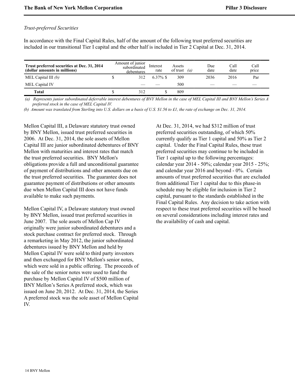### *Trust-preferred Securities*

In accordance with the Final Capital Rules, half of the amount of the following trust preferred securities are included in our transitional Tier I capital and the other half is included in Tier 2 Capital at Dec. 31, 2014.

| Trust preferred securities at Dec. 31, 2014<br>(dollar amounts in millions) | Amount of junior<br>subordinated<br>debentures | Interest<br>rate | Assets<br>of trust | $\alpha$ | Due<br>date | Call<br>date | Call<br>price |
|-----------------------------------------------------------------------------|------------------------------------------------|------------------|--------------------|----------|-------------|--------------|---------------|
| MEL Capital III $(b)$                                                       | 312                                            | $6.37\%$ \$      | 309                |          | 2036        | 2016         | Par           |
| MEL Capital IV                                                              |                                                |                  | 500                |          |             |              |               |
| <b>Total</b>                                                                | 312                                            |                  | 809                |          |             |              |               |

 *(a) Represents junior subordinated deferrable interest debentures of BNY Mellon in the case of MEL Capital III and BNY Mellon's Series A preferred stock in the case of MEL Capital IV.*

*(b) Amount was translated from Sterling into U.S. dollars on a basis of U.S. \$1.56 to £1, the rate of exchange on Dec. 31, 2014.*

Mellon Capital III, a Delaware statutory trust owned by BNY Mellon, issued trust preferred securities in 2006. At Dec. 31, 2014, the sole assets of Mellon Capital III are junior subordinated debentures of BNY Mellon with maturities and interest rates that match the trust preferred securities. BNY Mellon's obligations provide a full and unconditional guarantee of payment of distributions and other amounts due on the trust preferred securities. The guarantee does not guarantee payment of distributions or other amounts due when Mellon Capital III does not have funds available to make such payments.

Mellon Capital IV, a Delaware statutory trust owned by BNY Mellon, issued trust preferred securities in June 2007. The sole assets of Mellon Cap IV originally were junior subordinated debentures and a stock purchase contract for preferred stock. Through a remarketing in May 2012, the junior subordinated debentures issued by BNY Mellon and held by Mellon Capital IV were sold to third party investors and then exchanged for BNY Mellon's senior notes, which were sold in a public offering. The proceeds of the sale of the senior notes were used to fund the purchase by Mellon Capital IV of \$500 million of BNY Mellon's Series A preferred stock, which was issued on June 20, 2012. At Dec. 31, 2014, the Series A preferred stock was the sole asset of Mellon Capital IV.

At Dec. 31, 2014, we had \$312 million of trust preferred securities outstanding, of which 50% currently qualify as Tier 1 capital and 50% as Tier 2 capital. Under the Final Capital Rules, these trust preferred securities may continue to be included in Tier 1 capital up to the following percentages: calendar year 2014 - 50%; calendar year 2015 - 25%; and calendar year 2016 and beyond - 0%. Certain amounts of trust preferred securities that are excluded from additional Tier 1 capital due to this phase-in schedule may be eligible for inclusion in Tier 2 capital, pursuant to the standards established in the Final Capital Rules. Any decision to take action with respect to these trust preferred securities will be based on several considerations including interest rates and the availability of cash and capital.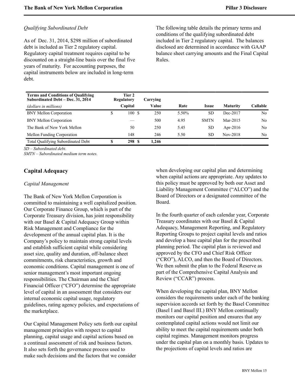### *Qualifying Subordinated Debt*

As of Dec. 31, 2014, \$298 million of subordinated debt is included as Tier 2 regulatory capital. Regulatory capital treatment requires capital to be discounted on a straight-line basis over the final five years of maturity. For accounting purposes, the capital instruments below are included in long-term debt.

The following table details the primary terms and conditions of the qualifying subordinated debt included in Tier 2 regulatory capital. The balances disclosed are determined in accordance with GAAP balance sheet carrying amounts and the Final Capital Rules.

| <b>Terms and Conditions of Qualifying</b><br>Subordinated Debt – Dec. 31, 2014 |    | Tier 2<br>Regulatory | Carrving |       |             |                 |                |
|--------------------------------------------------------------------------------|----|----------------------|----------|-------|-------------|-----------------|----------------|
| (dollars in millions)                                                          |    | Capital              | Value    | Rate  | Issue       | <b>Maturity</b> | Callable       |
| <b>BNY Mellon Corporation</b>                                                  | \$ | 100 \$               | 250      | 5.50% | <b>SD</b>   | Dec-2017        | N <sub>0</sub> |
| <b>BNY Mellon Corporation</b>                                                  |    |                      | 500      | 4.95  | <b>SMTN</b> | Mar-2015        | No             |
| The Bank of New York Mellon                                                    |    | 50                   | 250      | 5.45  | <b>SD</b>   | Apr-2016        | No.            |
| Mellon Funding Corporation                                                     |    | 148                  | 246      | 5.50  | SD.         | Nov-2018        | No             |
| <b>Total Qualifying Subordinated Debt</b>                                      | S  | 298 S                | 1.246    |       |             |                 |                |

*SD – Subordinated debt.*

*SMTN – Subordinated medium term notes.*

# <span id="page-16-0"></span>**Capital Adequacy**

#### *Capital Management*

The Bank of New York Mellon Corporation is committed to maintaining a well capitalized position. Our Corporate Finance Group, which is part of the Corporate Treasury division, has joint responsibility with our Basel & Capital Adequacy Group within Risk Management and Compliance for the development of the annual capital plan. It is the Company's policy to maintain strong capital levels and establish sufficient capital while considering asset size, quality and duration, off-balance sheet commitments, risk characteristics, growth and economic conditions. Capital management is one of senior management's most important ongoing responsibilities. The Chairman and the Chief Financial Officer ("CFO") determine the appropriate level of capital in an assessment that considers our internal economic capital usage, regulatory guidelines, rating agency policies, and expectations of the marketplace.

Our Capital Management Policy sets forth our capital management principles with respect to capital planning, capital usage and capital actions based on a continual assessment of risk and business factors. It also sets forth the governance process used to make such decisions and the factors that we consider

when developing our capital plan and determining when capital actions are appropriate. Any updates to this policy must be approved by both our Asset and Liability Management Committee ("ALCO") and the Board of Directors or a designated committee of the Board.

In the fourth quarter of each calendar year, Corporate Treasury coordinates with our Basel & Capital Adequacy, Management Reporting, and Regulatory Reporting Groups to project capital levels and ratios and develop a base capital plan for the prescribed planning period. The capital plan is reviewed and approved by the CFO and Chief Risk Officer ("CRO"), ALCO, and then the Board of Directors. We then submit the plan to the Federal Reserve as part of the Comprehensive Capital Analysis and Review ("CCAR") process.

When developing the capital plan, BNY Mellon considers the requirements under each of the banking supervision accords set forth by the Basel Committee (Basel I and Basel III.) BNY Mellon continually monitors our capital position and ensures that any contemplated capital actions would not limit our ability to meet the capital requirements under both capital regimes. Management monitors progress under the capital plan on a monthly basis. Updates to the projections of capital levels and ratios are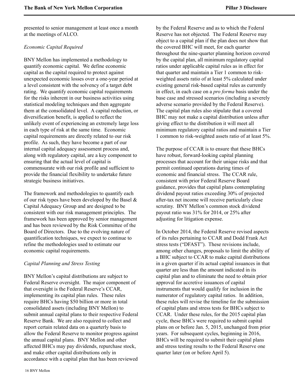presented to senior management at least once a month at the meetings of ALCO.

### *Economic Capital Required*

BNY Mellon has implemented a methodology to quantify economic capital. We define economic capital as the capital required to protect against unexpected economic losses over a one-year period at a level consistent with the solvency of a target debt rating. We quantify economic capital requirements for the risks inherent in our business activities using statistical modeling techniques and then aggregate them at the consolidated level. A capital reduction, or diversification benefit, is applied to reflect the unlikely event of experiencing an extremely large loss in each type of risk at the same time. Economic capital requirements are directly related to our risk profile. As such, they have become a part of our internal capital adequacy assessment process and, along with regulatory capital, are a key component to ensuring that the actual level of capital is commensurate with our risk profile and sufficient to provide the financial flexibility to undertake future strategic business initiatives.

The framework and methodologies to quantify each of our risk types have been developed by the Basel & Capital Adequacy Group and are designed to be consistent with our risk management principles. The framework has been approved by senior management and has been reviewed by the Risk Committee of the Board of Directors. Due to the evolving nature of quantification techniques, we expect to continue to refine the methodologies used to estimate our economic capital requirements.

### *Capital Planning and Stress Testing*

BNY Mellon's capital distributions are subject to Federal Reserve oversight. The major component of that oversight is the Federal Reserve's CCAR, implementing its capital plan rules. These rules require BHCs having \$50 billion or more in total consolidated assets (including BNY Mellon) to submit annual capital plans to their respective Federal Reserve Bank. We are also required to collect and report certain related data on a quarterly basis to allow the Federal Reserve to monitor progress against the annual capital plans. BNY Mellon and other affected BHCs may pay dividends, repurchase stock, and make other capital distributions only in accordance with a capital plan that has been reviewed

by the Federal Reserve and as to which the Federal Reserve has not objected. The Federal Reserve may object to a capital plan if the plan does not show that the covered BHC will meet, for each quarter throughout the nine-quarter planning horizon covered by the capital plan, all minimum regulatory capital ratios under applicable capital rules as in effect for that quarter and maintain a Tier 1 common to riskweighted assets ratio of at least 5% calculated under existing general risk-based capital rules as currently in effect, in each case on a *pro forma* basis under the base case and stressed scenarios (including a severely adverse scenario provided by the Federal Reserve). The capital plan rules also stipulate that a covered BHC may not make a capital distribution unless after giving effect to the distribution it will meet all minimum regulatory capital ratios and maintain a Tier 1 common to risk-weighted assets ratio of at least 5%.

The purpose of CCAR is to ensure that these BHCs have robust, forward-looking capital planning processes that account for their unique risks and that permit continued operations during times of economic and financial stress. The CCAR rule, consistent with prior Federal Reserve Board guidance, provides that capital plans contemplating dividend payout ratios exceeding 30% of projected after-tax net income will receive particularly close scrutiny. BNY Mellon's common stock dividend payout ratio was 31% for 2014, or 25% after adjusting for litigation expense.

In October 2014, the Federal Reserve revised aspects of its rules pertaining to CCAR and Dodd Frank Act stress tests ("DFAST"). These revisions include, among other changes, proposals to limit the ability of a BHC subject to CCAR to make capital distributions in a given quarter if its actual capital issuances in that quarter are less than the amount indicated in its capital plan and to eliminate the need to obtain prior approval for accretive issuances of capital instruments that would qualify for inclusion in the numerator of regulatory capital ratios. In addition, these rules will revise the timeline for the submission of capital plans and stress tests for BHCs subject to CCAR. Under these rules, for the 2015 capital plan cycle, these BHCs were required to submit capital plans on or before Jan. 5, 2015, unchanged from prior years. For subsequent cycles, beginning in 2016, BHCs will be required to submit their capital plans and stress testing results to the Federal Reserve one quarter later (on or before April 5).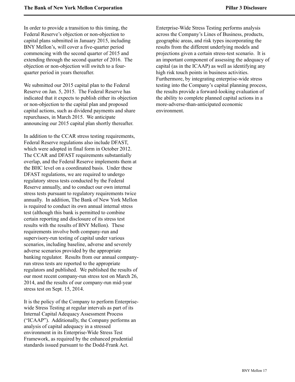In order to provide a transition to this timing, the Federal Reserve's objection or non-objection to capital plans submitted in January 2015, including BNY Mellon's, will cover a five-quarter period commencing with the second quarter of 2015 and extending through the second quarter of 2016. The objection or non-objection will switch to a fourquarter period in years thereafter.

We submitted our 2015 capital plan to the Federal Reserve on Jan. 5, 2015. The Federal Reserve has indicated that it expects to publish either its objection or non-objection to the capital plan and proposed capital actions, such as dividend payments and share repurchases, in March 2015. We anticipate announcing our 2015 capital plan shortly thereafter.

In addition to the CCAR stress testing requirements, Federal Reserve regulations also include DFAST, which were adopted in final form in October 2012. The CCAR and DFAST requirements substantially overlap, and the Federal Reserve implements them at the BHC level on a coordinated basis. Under these DFAST regulations, we are required to undergo regulatory stress tests conducted by the Federal Reserve annually, and to conduct our own internal stress tests pursuant to regulatory requirements twice annually. In addition, The Bank of New York Mellon is required to conduct its own annual internal stress test (although this bank is permitted to combine certain reporting and disclosure of its stress test results with the results of BNY Mellon). These requirements involve both company-run and supervisory-run testing of capital under various scenarios, including baseline, adverse and severely adverse scenarios provided by the appropriate banking regulator. Results from our annual companyrun stress tests are reported to the appropriate regulators and published. We published the results of our most recent company-run stress test on March 26, 2014, and the results of our company-run mid-year stress test on Sept. 15, 2014.

It is the policy of the Company to perform Enterprisewide Stress Testing at regular intervals as part of its Internal Capital Adequacy Assessment Process ("ICAAP"). Additionally, the Company performs an analysis of capital adequacy in a stressed environment in its Enterprise-Wide Stress Test Framework, as required by the enhanced prudential standards issued pursuant to the Dodd-Frank Act.

Enterprise-Wide Stress Testing performs analysis across the Company's Lines of Business, products, geographic areas, and risk types incorporating the results from the different underlying models and projections given a certain stress-test scenario. It is an important component of assessing the adequacy of capital (as in the ICAAP) as well as identifying any high risk touch points in business activities. Furthermore, by integrating enterprise-wide stress testing into the Company's capital planning process, the results provide a forward-looking evaluation of the ability to complete planned capital actions in a more-adverse-than-anticipated economic environment.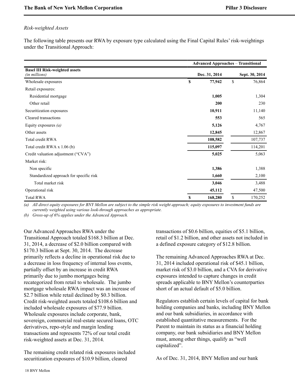### *Risk-weighted Assets*

The following table presents our RWA by exposure type calculated using the Final Capital Rules' risk-weightings under the Transitional Approach:

|                                                        | <b>Advanced Approaches - Transitional</b> |                |
|--------------------------------------------------------|-------------------------------------------|----------------|
| <b>Basel III Risk-weighted assets</b><br>(in millions) | Dec. 31, 2014                             | Sept. 30, 2014 |
| Wholesale exposures                                    | \$<br>77,942                              | \$<br>76,864   |
| Retail exposures:                                      |                                           |                |
| Residential mortgage                                   | 1,005                                     | 1,304          |
| Other retail                                           | 200                                       | 230            |
| Securitization exposures                               | 10,911                                    | 11,140         |
| Cleared transactions                                   | 553                                       | 565            |
| Equity exposures $(a)$                                 | 5,126                                     | 4,767          |
| Other assets                                           | 12,845                                    | 12,867         |
| Total credit RWA                                       | 108,582                                   | 107,737        |
| Total credit RWA x 1.06 (b)                            | 115,097                                   | 114,201        |
| Credit valuation adjustment ("CVA")                    | 5,025                                     | 5,063          |
| Market risk:                                           |                                           |                |
| Non specific                                           | 1,386                                     | 1,388          |
| Standardized approach for specific risk                | 1,660                                     | 2,100          |
| Total market risk                                      | 3,046                                     | 3,488          |
| Operational risk                                       | 45,112                                    | 47,500         |
| <b>Total RWA</b>                                       | \$<br>168,280                             | \$<br>170,252  |

*(a) All direct equity exposures for BNY Mellon are subject to the simple risk weight approach; equity exposures to investment funds are currently weighted using various look-through approaches as appropriate.* 

*(b) Gross-up of 6% applies under the Advanced Approach.*

Our Advanced Approaches RWA under the Transitional Approach totaled \$168.3 billion at Dec. 31, 2014, a decrease of \$2.0 billion compared with \$170.3 billion at Sept. 30, 2014. The decrease primarily reflects a decline in operational risk due to a decrease in loss frequency of internal loss events, partially offset by an increase in credit RWA primarily due to jumbo mortgages being recategorized from retail to wholesale. The jumbo mortgage wholesale RWA impact was an increase of \$2.7 billion while retail declined by \$0.3 billion. Credit risk-weighted assets totaled \$108.6 billion and included wholesale exposures of \$77.9 billion. Wholesale exposures include corporate, bank, sovereign, commercial real-estate secured loans, OTC derivatives, repo-style and margin lending transactions and represents 72% of our total credit risk-weighted assets at Dec. 31, 2014.

The remaining credit related risk exposures included securitization exposures of \$10.9 billion, cleared

transactions of \$0.6 billion, equities of \$5.1 billion, retail of \$1.2 billion, and other assets not included in a defined exposure category of \$12.8 billion.

The remaining Advanced Approaches RWA at Dec. 31, 2014 included operational risk of \$45.1 billion, market risk of \$3.0 billion, and a CVA for derivative exposures intended to capture changes in credit spreads applicable to BNY Mellon's counterparties short of an actual default of \$5.0 billion.

Regulators establish certain levels of capital for bank holding companies and banks, including BNY Mellon and our bank subsidiaries, in accordance with established quantitative measurements. For the Parent to maintain its status as a financial holding company, our bank subsidiaries and BNY Mellon must, among other things, qualify as "well capitalized".

As of Dec. 31, 2014, BNY Mellon and our bank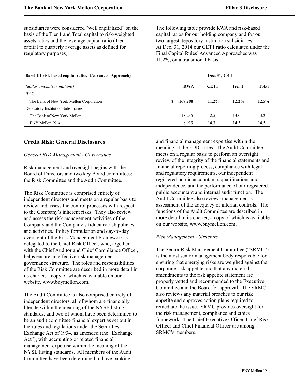subsidiaries were considered "well capitalized" on the basis of the Tier 1 and Total capital to risk-weighted assets ratios and the leverage capital ratio (Tier 1 capital to quarterly average assets as defined for regulatory purposes).

The following table provide RWA and risk-based capital ratios for our holding company and for our two largest depository institution subsidiaries. At Dec. 31, 2014 our CET1 ratio calculated under the Final Capital Rules'Advanced Approaches was 11.2%, on a transitional basis.

| <b>Basel III risk-based capital ratios- (Advanced Approach)</b> |   |            | Dec. 31, 2014    |          |          |
|-----------------------------------------------------------------|---|------------|------------------|----------|----------|
| (dollar amounts in millions)                                    |   | <b>RWA</b> | CET <sub>1</sub> | Tier 1   | Total    |
| BHC:                                                            |   |            |                  |          |          |
| The Bank of New York Mellon Corporation                         | S | 168,280    | $11.2\%$         | $12.2\%$ | $12.5\%$ |
| Depository Institution Subsidiaries:                            |   |            |                  |          |          |
| The Bank of New York Mellon                                     |   | 118,235    | 12.5             | 13.0     | 13.2     |
| BNY Mellon, N.A.                                                |   | 8.919      | 14.3             | 14.3     | 14.5     |

### <span id="page-20-0"></span>**Credit Risk: General Disclosures**

### *General Risk Management - Governance*

Risk management and oversight begins with the Board of Directors and two key Board committees: the Risk Committee and the Audit Committee.

The Risk Committee is comprised entirely of independent directors and meets on a regular basis to review and assess the control processes with respect to the Company's inherent risks. They also review and assess the risk management activities of the Company and the Company's fiduciary risk policies and activities. Policy formulation and day-to-day oversight of the Risk Management Framework is delegated to the Chief Risk Officer, who, together with the Chief Auditor and Chief Compliance Officer, helps ensure an effective risk management governance structure. The roles and responsibilities of the Risk Committee are described in more detail in its charter, a copy of which is available on our website, www.bnymellon.com.

The Audit Committee is also comprised entirely of independent directors, all of whom are financially literate within the meaning of the NYSE listing standards, and two of whom have been determined to be an audit committee financial expert as set out in the rules and regulations under the Securities Exchange Act of 1934, as amended (the "Exchange Act"), with accounting or related financial management expertise within the meaning of the NYSE listing standards. All members of the Audit Committee have been determined to have banking

and financial management expertise within the meaning of the FDIC rules. The Audit Committee meets on a regular basis to perform an oversight review of the integrity of the financial statements and financial reporting process, compliance with legal and regulatory requirements, our independent registered public accountant's qualifications and independence, and the performance of our registered public accountant and internal audit function. The Audit Committee also reviews management's assessment of the adequacy of internal controls. The functions of the Audit Committee are described in more detail in its charter, a copy of which is available on our website, www.bnymellon.com.

#### *Risk Management - Structure*

The Senior Risk Management Committee ("SRMC") is the most senior management body responsible for ensuring that emerging risks are weighed against the corporate risk appetite and that any material amendments to the risk appetite statement are properly vetted and recommended to the Executive Committee and the Board for approval. The SRMC also reviews any material breaches to our risk appetite and approves action plans required to remediate the issue. SRMC provides oversight for the risk management, compliance and ethics framework. The Chief Executive Officer, Chief Risk Officer and Chief Financial Officer are among SRMC's members.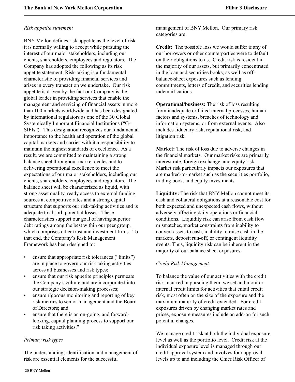#### *Risk appetite statement*

BNY Mellon defines risk appetite as the level of risk it is normally willing to accept while pursuing the interest of our major stakeholders, including our clients, shareholders, employees and regulators. The Company has adopted the following as its risk appetite statement: Risk-taking is a fundamental characteristic of providing financial services and arises in every transaction we undertake. Our risk appetite is driven by the fact our Company is the global leader in providing services that enable the management and servicing of financial assets in more than 100 markets worldwide and has been designated by international regulators as one of the 30 Global Systemically Important Financial Institutions ("G-SIFIs"). This designation recognizes our fundamental importance to the health and operation of the global capital markets and carries with it a responsibility to maintain the highest standards of excellence. As a result, we are committed to maintaining a strong balance sheet throughout market cycles and to delivering operational excellence to meet the expectations of our major stakeholders, including our clients, shareholders, employees and regulators. The balance sheet will be characterized as liquid, with strong asset quality, ready access to external funding sources at competitive rates and a strong capital structure that supports our risk-taking activities and is adequate to absorb potential losses. These characteristics support our goal of having superior debt ratings among the best within our peer group, which comprises other trust and investment firms. To that end, the Company's Risk Management Framework has been designed to:

- ensure that appropriate risk tolerances ("limits") are in place to govern our risk taking activities across all businesses and risk types;
- ensure that our risk appetite principles permeate the Company's culture and are incorporated into our strategic decision-making processes;
- ensure rigorous monitoring and reporting of key risk metrics to senior management and the Board of Directors; and
- ensure that there is an on-going, and forwardlooking, capital planning process to support our risk taking activities."

### *Primary risk types*

The understanding, identification and management of risk are essential elements for the successful

management of BNY Mellon. Our primary risk categories are:

**Credit:** The possible loss we would suffer if any of our borrowers or other counterparties were to default on their obligations to us. Credit risk is resident in the majority of our assets, but primarily concentrated in the loan and securities books, as well as offbalance-sheet exposures such as lending commitments, letters of credit, and securities lending indemnifications.

**Operational/business:** The risk of loss resulting from inadequate or failed internal processes, human factors and systems, breaches of technology and information systems, or from external events. Also includes fiduciary risk, reputational risk, and litigation risk.

**Market:** The risk of loss due to adverse changes in the financial markets. Our market risks are primarily interest rate, foreign exchange, and equity risk. Market risk particularly impacts our exposures that are marked-to-market such as the securities portfolio, trading book, and equity investments.

**Liquidity:** The risk that BNY Mellon cannot meet its cash and collateral obligations at a reasonable cost for both expected and unexpected cash flows, without adversely affecting daily operations or financial conditions. Liquidity risk can arise from cash flow mismatches, market constraints from inability to convert assets to cash, inability to raise cash in the markets, deposit run-off, or contingent liquidity events. Thus, liquidity risk can be inherent in the majority of our balance sheet exposures.

### *Credit Risk Management*

To balance the value of our activities with the credit risk incurred in pursuing them, we set and monitor internal credit limits for activities that entail credit risk, most often on the size of the exposure and the maximum maturity of credit extended. For credit exposures driven by changing market rates and prices, exposure measures include an add-on for such potential changes.

We manage credit risk at both the individual exposure level as well as the portfolio level. Credit risk at the individual exposure level is managed through our credit approval system and involves four approval levels up to and including the Chief Risk Officer of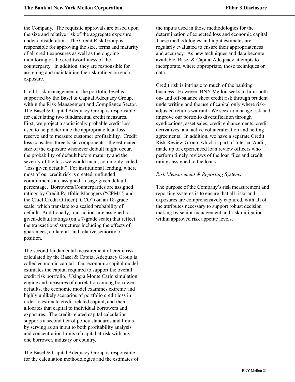the Company. The requisite approvals are based upon the size and relative risk of the aggregate exposure under consideration. The Credit Risk Group is responsible for approving the size, terms and maturity of all credit exposures as well as the ongoing monitoring of the creditworthiness of the counterparty. In addition, they are responsible for assigning and maintaining the risk ratings on each exposure.

Credit risk management at the portfolio level is supported by the Basel & Capital Adequacy Group, within the Risk Management and Compliance Sector. The Basel & Capital Adequacy Group is responsible for calculating two fundamental credit measures. First, we project a statistically probable credit loss, used to help determine the appropriate loan loss reserve and to measure customer profitability. Credit loss considers three basic components: the estimated size of the exposure whenever default might occur, the probability of default before maturity and the severity of the loss we would incur, commonly called "loss given default." For institutional lending, where most of our credit risk is created, unfunded commitments are assigned a usage given default percentage. Borrowers/Counterparties are assigned ratings by Credit Portfolio Managers ("CPMs") and the Chief Credit Officer ("CCO") on an 18-grade scale, which translate to a scaled probability of default. Additionally, transactions are assigned lossgiven-default ratings (on a 7-grade scale) that reflect the transactions' structures including the effects of guarantees, collateral, and relative seniority of position.

The second fundamental measurement of credit risk calculated by the Basel & Capital Adequacy Group is called economic capital. Our economic capital model estimates the capital required to support the overall credit risk portfolio. Using a Monte Carlo simulation engine and measures of correlation among borrower defaults, the economic model examines extreme and highly unlikely scenarios of portfolio credit loss in order to estimate credit-related capital, and then allocates that capital to individual borrowers and exposures. The credit-related capital calculation supports a second tier of policy standards and limits by serving as an input to both profitability analysis and concentration limits of capital at risk with any one borrower, industry or country.

The Basel & Capital Adequacy Group is responsible for the calculation methodologies and the estimates of the inputs used in those methodologies for the determination of expected loss and economic capital. These methodologies and input estimates are regularly evaluated to ensure their appropriateness and accuracy. As new techniques and data become available, Basel & Capital Adequacy attempts to incorporate, where appropriate, those techniques or data.

Credit risk is intrinsic to much of the banking business. However, BNY Mellon seeks to limit both on- and off-balance sheet credit risk through prudent underwriting and the use of capital only where riskadjusted returns warrant. We seek to manage risk and improve our portfolio diversification through syndications, asset sales, credit enhancements, credit derivatives, and active collateralization and netting agreements. In addition, we have a separate Credit Risk Review Group, which is part of Internal Audit, made up of experienced loan review officers who perform timely reviews of the loan files and credit ratings assigned to the loans.

### *Risk Measurement & Reporting Systems*

The purpose of the Company's risk measurement and reporting systems is to ensure that all risks and exposures are comprehensively captured, with all of the attributes necessary to support robust decision making by senior management and risk mitigation within approved risk appetite levels.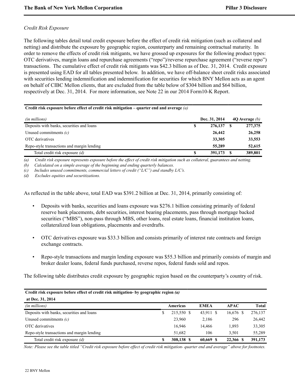### *Credit Risk Exposure*

The following tables detail total credit exposure before the effect of credit risk mitigation (such as collateral and netting) and distribute the exposure by geographic region, counterparty and remaining contractual maturity. In order to remove the effects of credit risk mitigants, we have grossed up exposures for the following product types: OTC derivatives, margin loans and repurchase agreements ("repo")/reverse repurchase agreement ("reverse repo") transactions. The cumulative effect of credit risk mitigants was \$42.3 billion as of Dec. 31, 2014. Credit exposure is presented using EAD for all tables presented below. In addition, we have off-balance sheet credit risks associated with securities lending indemnification and indemnification for securities for which BNY Mellon acts as an agent on behalf of CIBC Mellon clients, that are excluded from the table below of \$304 billion and \$64 billion, respectively at Dec. 31, 2014. For more information, see Note 22 in our 2014 Form10-K Report.

#### **Credit risk exposure before effect of credit risk mitigation – quarter end and average** *(a)*

| (in millions)                              |   | Dec. 31, 2014 | 40 Average $(b)$ |
|--------------------------------------------|---|---------------|------------------|
| Deposits with banks, securities and loans  | S | 276,137       | 277,375          |
| Unused commitments $(c)$                   |   | 26,442        | 26,258           |
| OTC derivatives                            |   | 33,305        | 33,553           |
| Repo-style transactions and margin lending |   | 55,289        | 52,615           |
| Total credit risk exposure (d)             |   | 391,173       | 389,801          |

*(a) Credit risk exposure represents exposure before the effect of credit risk mitigation such as collateral, guarantees and netting.*

*(b) Calculated on a simple average of the beginning and ending quarterly balances.*

*(c) Includes unused commitments, commercial letters of credit ("L/C") and standby L/C's.*

*(d) Excludes equities and securitizations.*

As reflected in the table above, total EAD was \$391.2 billion at Dec. 31, 2014, primarily consisting of:

- Deposits with banks, securities and loans exposure was \$276.1 billion consisting primarily of federal reserve bank placements, debt securities, interest bearing placements, pass through mortgage backed securities ("MBS"), non-pass through MBS, other loans, real estate loans, financial institution loans, collateralized loan obligations, placements and overdrafts.
- OTC derivatives exposure was \$33.3 billion and consists primarily of interest rate contracts and foreign exchange contracts.
- Repo-style transactions and margin lending exposure was \$55.3 billion and primarily consists of margin and broker dealer loans, federal funds purchased, reverse repos, federal funds sold and repos.

The following table distributes credit exposure by geographic region based on the counterparty's country of risk.

| Credit risk exposure before effect of credit risk mitigation- by geographic region (a) |   |            |             |             |              |  |  |  |  |  |  |
|----------------------------------------------------------------------------------------|---|------------|-------------|-------------|--------------|--|--|--|--|--|--|
| at Dec. 31, 2014                                                                       |   |            |             |             |              |  |  |  |  |  |  |
| (in millions)                                                                          |   | Americas   | <b>EMEA</b> | <b>APAC</b> | <b>Total</b> |  |  |  |  |  |  |
| Deposits with banks, securities and loans                                              | S | 215,550 \$ | 43,911 \$   | $16,676$ \$ | 276,137      |  |  |  |  |  |  |
| Unused commitments $(c)$                                                               |   | 23,960     | 2,186       | 296         | 26,442       |  |  |  |  |  |  |
| OTC derivatives                                                                        |   | 16,946     | 14,466      | 1,893       | 33,305       |  |  |  |  |  |  |
| Repo-style transactions and margin lending                                             |   | 51,682     | 106         | 3.501       | 55,289       |  |  |  |  |  |  |
| Total credit risk exposure (d)                                                         | S | 308,138 \$ | 60,669 \$   | 22.366 \$   | 391,173      |  |  |  |  |  |  |

*Note: Please see the table titled "Credit risk exposure before effect of credit risk mitigation- quarter end and average" above for footnotes.*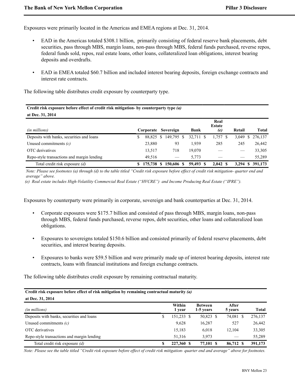Exposures were primarily located in the Americas and EMEA regions at Dec. 31, 2014.

- EAD in the Americas totaled \$308.1 billion, primarily consisting of federal reserve bank placements, debt securities, pass through MBS, margin loans, non-pass through MBS, federal funds purchased, reverse repos, federal funds sold, repos, real estate loans, other loans, collateralized loan obligations, interest bearing deposits and overdrafts.
- EAD in EMEA totaled \$60.7 billion and included interest bearing deposits, foreign exchange contracts and interest rate contracts.

The following table distributes credit exposure by counterparty type.

| Credit risk exposure before effect of credit risk mitigation- by counterparty type (a) |    |                     |  |                      |  |             |                              |  |        |                |  |  |
|----------------------------------------------------------------------------------------|----|---------------------|--|----------------------|--|-------------|------------------------------|--|--------|----------------|--|--|
| at Dec. 31, 2014                                                                       |    |                     |  |                      |  |             |                              |  |        |                |  |  |
| (in millions)                                                                          |    | Corporate Sovereign |  |                      |  | <b>Bank</b> | Real<br><b>Estate</b><br>(e) |  | Retail | <b>Total</b>   |  |  |
| Deposits with banks, securities and loans                                              | \$ |                     |  | 88,825 \$ 149,795 \$ |  | 32,711 \$   | $1,757$ \$                   |  | 3,049  | 276,137<br>S   |  |  |
| Unused commitments $(c)$                                                               |    | 23,880              |  | 93                   |  | 1.939       | 285                          |  | 245    | 26,442         |  |  |
| OTC derivatives                                                                        |    | 13,517              |  | 718                  |  | 19,070      |                              |  |        | 33,305         |  |  |
| Repo-style transactions and margin lending                                             |    | 49.516              |  |                      |  | 5.773       |                              |  |        | 55,289         |  |  |
| Total credit risk exposure <i>(d)</i>                                                  |    | 175,738 \$          |  | 150,606 \$           |  | 59,493      | 2.042 S                      |  | 3.294  | 391,173<br>-SS |  |  |

*Note: Please see footnotes (a) through (d) to the table titled "Credit risk exposure before effect of credit risk mitigation- quarter end and average" above.*

 *(e) Real estate includes High-Volatility Commercial Real Estate ("HVCRE") and Income Producing Real Estate ("IPRE").*

Exposures by counterparty were primarily in corporate, sovereign and bank counterparties at Dec. 31, 2014.

- Corporate exposures were \$175.7 billion and consisted of pass through MBS, margin loans, non-pass through MBS, federal funds purchased, reverse repos, debt securities, other loans and collateralized loan obligations.
- Exposures to sovereigns totaled \$150.6 billion and consisted primarily of federal reserve placements, debt securities, and interest bearing deposits.
- Exposures to banks were \$59.5 billion and were primarily made up of interest bearing deposits, interest rate contracts, loans with financial institutions and foreign exchange contracts.

The following table distributes credit exposure by remaining contractual maturity.

#### **Credit risk exposure before effect of risk mitigation by remaining contractual maturity** *(a)* **at Dec. 31, 2014**

| <i>(in millions)</i>                       |   | Within<br>1 vear | <b>Between</b><br>1-5 years | After<br>5 years | <b>Total</b> |
|--------------------------------------------|---|------------------|-----------------------------|------------------|--------------|
| Deposits with banks, securities and loans  | S | 151,233 \$       | 50,823 \$                   | 74,081 \$        | 276,137      |
| Unused commitments $(c)$                   |   | 9,628            | 16,287                      | 527              | 26,442       |
| OTC derivatives                            |   | 15,183           | 6.018                       | 12.104           | 33,305       |
| Repo-style transactions and margin lending |   | 51.316           | 3.973                       |                  | 55,289       |
| Total credit risk exposure (d)             |   | 227,360 \$       | 77,101 \$                   | 86,712 \$        | 391,173      |

*Note: Please see the table titled "Credit risk exposure before effect of credit risk mitigation- quarter end and average" above for footnotes.*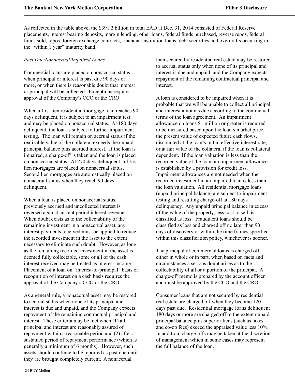As reflected in the table above, the \$391.2 billion in total EAD at Dec. 31, 2014 consisted of Federal Reserve placements, interest bearing deposits, margin lending, other loans, federal funds purchased, reverse repos, federal funds sold, repos, foreign exchange contracts, financial institution loans, debt securities and overdrafts occurring in the "within 1 year" maturity band.

### *Past Due/Nonaccrual/Impaired Loans*

Commercial loans are placed on nonaccrual status when principal or interest is past due 90 days or more, or when there is reasonable doubt that interest or principal will be collected. Exceptions require approval of the Company's CCO or the CRO.

When a first lien residential mortgage loan reaches 90 days delinquent, it is subject to an impairment test and may be placed on nonaccrual status. At 180 days delinquent, the loan is subject to further impairment testing. The loan will remain on accrual status if the realizable value of the collateral exceeds the unpaid principal balance plus accrued interest. If the loan is impaired, a charge-off is taken and the loan is placed on nonaccrual status. At 270 days delinquent, all first lien mortgages are placed on nonaccrual status. Second lien mortgages are automatically placed on nonaccrual status when they reach 90 days delinquent.

When a loan is placed on nonaccrual status, previously accrued and uncollected interest is reversed against current period interest revenue. When doubt exists as to the collectability of the remaining investment in a nonaccrual asset, any interest payments received must be applied to reduce the recorded investment in the asset to the extent necessary to eliminate such doubt. However, as long as the remaining recorded investment in the asset is deemed fully collectable, some or all of the cash interest received may be treated as interest income. Placement of a loan on "interest-to-principal" basis or recognition of interest on a cash basis requires the approval of the Company's CCO or the CRO.

As a general rule, a nonaccrual asset may be restored to accrual status when none of its principal and interest is due and unpaid, and the Company expects repayment of the remaining contractual principal and interest. These criteria may be met when (1) all principal and interest are reasonably assured of repayment within a reasonable period and (2) after a sustained period of repayment performance (which is generally a minimum of 6 months). However, such assets should continue to be reported as past due until they are brought completely current. A nonaccrual

loan secured by residential real estate may be restored to accrual status only when none of its principal and interest is due and unpaid, and the Company expects repayment of the remaining contractual principal and interest.

A loan is considered to be impaired when it is probable that we will be unable to collect all principal and interest amounts due according to the contractual terms of the loan agreement. An impairment allowance on loans \$1 million or greater is required to be measured based upon the loan's market price, the present value of expected future cash flows, discounted at the loan's initial effective interest rate, or at fair value of the collateral if the loan is collateral dependent. If the loan valuation is less than the recorded value of the loan, an impairment allowance is established by a provision for credit loss. Impairment allowances are not needed when the recorded investment in an impaired loan is less than the loan valuation. All residential mortgage loans (unpaid principal balance) are subject to impairment testing and resulting charge-off at 180 days delinquency. Any unpaid principal balance in excess of the value of the property, less cost to sell, is classified as loss. Fraudulent loans should be classified as loss and charged off no later than 90 days of discovery or within the time frames specified within this classification policy, whichever is sooner.

The principal of commercial loans is charged off, either in whole or in part, when based on facts and circumstances a serious doubt arises as to the collectability of all or a portion of the principal. A charge-off memo is prepared by the account officer and must be approved by the CCO and the CRO.

Consumer loans that are not secured by residential real estate are charged off when they become 120 days past due. Residential mortgage loans delinquent 180 days or more are charged off to the extent unpaid principal balance plus superior liens (such as taxes and co-op fees) exceed the appraised value less 10%. In addition, charge-offs may be taken at the discretion of management which in some cases may represent the full balance of the loan.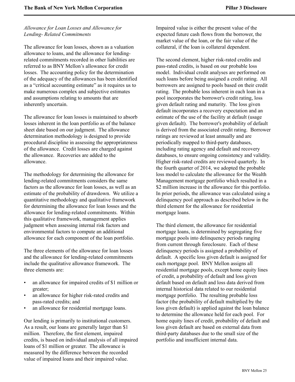### *Allowance for Loan Losses and Allowance for Lending- Related Commitments*

The allowance for loan losses, shown as a valuation allowance to loans, and the allowance for lendingrelated commitments recorded in other liabilities are referred to as BNY Mellon's allowance for credit losses. The accounting policy for the determination of the adequacy of the allowances has been identified as a "critical accounting estimate" as it requires us to make numerous complex and subjective estimates and assumptions relating to amounts that are inherently uncertain.

The allowance for loan losses is maintained to absorb losses inherent in the loan portfolio as of the balance sheet date based on our judgment. The allowance determination methodology is designed to provide procedural discipline in assessing the appropriateness of the allowance. Credit losses are charged against the allowance. Recoveries are added to the allowance.

The methodology for determining the allowance for lending-related commitments considers the same factors as the allowance for loan losses, as well as an estimate of the probability of drawdown. We utilize a quantitative methodology and qualitative framework for determining the allowance for loan losses and the allowance for lending-related commitments. Within this qualitative framework, management applies judgment when assessing internal risk factors and environmental factors to compute an additional allowance for each component of the loan portfolio.

The three elements of the allowance for loan losses and the allowance for lending-related commitments include the qualitative allowance framework. The three elements are:

- an allowance for impaired credits of \$1 million or greater;
- an allowance for higher risk-rated credits and pass-rated credits; and
- an allowance for residential mortgage loans.

Our lending is primarily to institutional customers. As a result, our loans are generally larger than \$1 million. Therefore, the first element, impaired credits, is based on individual analysis of all impaired loans of \$1 million or greater. The allowance is measured by the difference between the recorded value of impaired loans and their impaired value.

Impaired value is either the present value of the expected future cash flows from the borrower, the market value of the loan, or the fair value of the collateral, if the loan is collateral dependent.

The second element, higher risk-rated credits and pass-rated credits, is based on our probable loss model. Individual credit analyses are performed on such loans before being assigned a credit rating. All borrowers are assigned to pools based on their credit rating. The probable loss inherent in each loan in a pool incorporates the borrower's credit rating, loss given default rating and maturity. The loss given default incorporates a recovery expectation and an estimate of the use of the facility at default (usage given default). The borrower's probability of default is derived from the associated credit rating. Borrower ratings are reviewed at least annually and are periodically mapped to third-party databases, including rating agency and default and recovery databases, to ensure ongoing consistency and validity. Higher risk-rated credits are reviewed quarterly. In the fourth quarter of 2014, we adopted the probable loss model to calculate the allowance for the Wealth Management mortgage portfolio which resulted in a \$2 million increase in the allowance for this portfolio. In prior periods, the allowance was calculated using a delinquency pool approach as described below in the third element for the allowance for residential mortgage loans.

The third element, the allowance for residential mortgage loans, is determined by segregating five mortgage pools into delinquency periods ranging from current through foreclosure. Each of these delinquency periods is assigned a probability of default. A specific loss given default is assigned for each mortgage pool. BNY Mellon assigns all residential mortgage pools, except home equity lines of credit, a probability of default and loss given default based on default and loss data derived from internal historical data related to our residential mortgage portfolio. The resulting probable loss factor (the probability of default multiplied by the loss given default) is applied against the loan balance to determine the allowance held for each pool. For home equity lines of credit, probability of default and loss given default are based on external data from third-party databases due to the small size of the portfolio and insufficient internal data.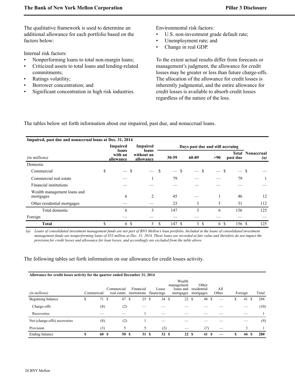The qualitative framework is used to determine an additional allowance for each portfolio based on the factors below:

Internal risk factors:

- Nonperforming loans to total non-margin loans;
- Criticized assets to total loans and lending-related commitments;
- Ratings volatility;
- Borrower concentration; and
- Significant concentration in high risk industries.

Environmental risk factors:

- U.S. non-investment grade default rate;
- Unemployment rate; and
- Change in real GDP.

To the extent actual results differ from forecasts or management's judgment, the allowance for credit losses may be greater or less than future charge-offs. The allocation of the allowance for credit losses is inherently judgmental, and the entire allowance for credit losses is available to absorb credit losses regardless of the nature of the loss.

The tables below set forth information about our impaired, past due, and nonaccrual loans.

| Impaired, past due and nonaccrual loans at Dec. 31, 2014 |                                           |                                  |    |                                  |                      |                                 |        |                                        |
|----------------------------------------------------------|-------------------------------------------|----------------------------------|----|----------------------------------|----------------------|---------------------------------|--------|----------------------------------------|
|                                                          | Impaired                                  | Impaired                         |    | Days past due and still accruing |                      |                                 |        |                                        |
| (in millions)                                            | loans<br>with an<br>allowance             | loans<br>without an<br>allowance |    | $30 - 59$                        | 60-89                | <b>Total</b><br>>90<br>past due |        | <b>Nonaccrual</b><br>$\left( a\right)$ |
| Domestic                                                 |                                           |                                  |    |                                  |                      |                                 |        |                                        |
| Commercial                                               | \$<br>\$<br>$\overbrace{\phantom{13333}}$ |                                  | S  | - \$                             | S                    | S                               | $-$ \$ |                                        |
| Commercial real estate                                   |                                           |                                  |    | 79                               |                      |                                 | 79     |                                        |
| Financial institutions                                   |                                           |                                  |    |                                  |                      |                                 |        |                                        |
| Wealth management loans and<br>mortgages                 | 6                                         | 2                                |    | 45                               |                      |                                 | 46     | 12                                     |
| Other residential mortgages                              |                                           |                                  |    | 23                               | 3                    | 5                               | 31     | 112                                    |
| Total domestic                                           | 6                                         | 3                                |    | 147                              | 3                    | 6                               | 156    | 125                                    |
| Foreign                                                  |                                           |                                  |    |                                  |                      |                                 |        |                                        |
| <b>Total</b>                                             | \$<br><sup>\$</sup><br>6                  | 3                                | \$ | 147 \$                           | $\mathfrak{Z}$<br>-S | 6 \$                            | 156 \$ | 125                                    |

*(a) Loans of consolidated investment management funds are not part of BNY Mellon's loan portfolio. Included in the loans of consolidated investment management funds are nonperforming loans of \$53 million at Dec. 31, 2014. These loans are recorded at fair value and therefore do not impact the provision for credit losses and allowance for loan losses, and accordingly are excluded from the table above.*

The following tables set forth information on our allowance for credit losses activity.

| Allowance for credit losses activity for the quarter ended December 31, 2014 |            |                           |                           |                     |                                                |                                   |              |  |         |   |       |
|------------------------------------------------------------------------------|------------|---------------------------|---------------------------|---------------------|------------------------------------------------|-----------------------------------|--------------|--|---------|---|-------|
| (in millions)                                                                | Commercial | Commercial<br>real estate | Financial<br>institutions | Lease<br>financings | Wealth<br>management<br>loans and<br>mortgages | Other<br>residential<br>mortgages | All<br>Other |  | Foreign |   | Total |
| Beginning balance                                                            | \$<br>71 S | 47 \$                     | 25S                       | 34S                 | 22S                                            | 48 \$                             |              |  | 41      | S | 288   |
| Charge-offs                                                                  | (8)        | (2)                       |                           |                     |                                                |                                   |              |  |         |   | (10)  |
| Recoveries                                                                   |            |                           |                           |                     |                                                |                                   |              |  |         |   |       |
| Net (charge-offs) recoveries                                                 | (8)        | (2)                       |                           |                     |                                                |                                   |              |  |         |   | (9)   |
| Provision                                                                    | (3)        |                           | 5                         | (2)                 |                                                | (7)                               |              |  |         |   |       |
| Ending balance                                                               | \$<br>60 S | 50S                       | 31S                       | 32S                 | 22S                                            | 41                                |              |  | 44      |   | 280   |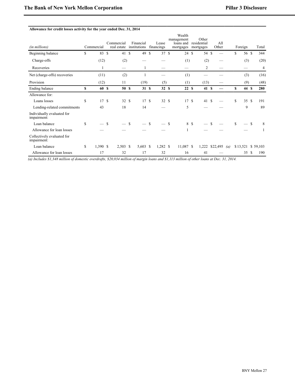|  |  | Allowance for credit losses activity for the year ended Dec. 31, 2014 |
|--|--|-----------------------------------------------------------------------|
|  |  |                                                                       |

| (in millions)                             |    | Commercial |               | Commercial<br>real estate |               | Financial<br>institutions |               | Lease<br>financings |               | Wealth<br>management<br>loans and<br>mortgages |      | Other<br>residential<br>mortgages |               | All<br>Other |                  |    | Foreign  |               | Total    |
|-------------------------------------------|----|------------|---------------|---------------------------|---------------|---------------------------|---------------|---------------------|---------------|------------------------------------------------|------|-----------------------------------|---------------|--------------|------------------|----|----------|---------------|----------|
| Beginning balance                         | \$ | 83         | <sup>\$</sup> | 41                        | <sup>\$</sup> | 49                        | \$            | 37S                 |               | 24S                                            |      | 54                                | \$            |              |                  | \$ | 56 \$    |               | 344      |
| Charge-offs                               |    | (12)       |               | (2)                       |               |                           |               |                     |               | (1)                                            |      | (2)                               |               |              |                  |    | (3)      |               | (20)     |
| Recoveries                                |    |            |               |                           |               |                           |               |                     |               |                                                |      | 2                                 |               |              |                  |    |          |               | 4        |
| Net (charge-offs) recoveries              |    | (11)       |               | (2)                       |               |                           |               |                     |               | (1)                                            |      |                                   |               |              |                  |    | (3)      |               | (16)     |
| Provision                                 |    | (12)       |               | 11                        |               | (19)                      |               | (5)                 |               | (1)                                            |      | (13)                              |               |              |                  |    | (9)      |               | (48)     |
| Ending balance                            | \$ | 60 S       |               | 50S                       |               | 31 \$                     |               | 32 S                |               | 22S                                            |      | 41S                               |               |              |                  | S  | 44 S     |               | 280      |
| Allowance for:                            |    |            |               |                           |               |                           |               |                     |               |                                                |      |                                   |               |              |                  |    |          |               |          |
| Loans losses                              | \$ | 17S        |               | 32S                       |               | 17S                       |               | 32S                 |               | 17S                                            |      | 41                                | <sup>\$</sup> |              |                  | \$ | 35S      |               | 191      |
| Lending-related commitments               |    | 43         |               | 18                        |               | 14                        |               |                     |               | 5                                              |      |                                   |               |              |                  |    | 9        |               | 89       |
| Individually evaluated for<br>impairment: |    |            |               |                           |               |                           |               |                     |               |                                                |      |                                   |               |              |                  |    |          |               |          |
| Loan balance                              | \$ |            | <b>S</b>      |                           | <sup>\$</sup> |                           | <sup>\$</sup> |                     | <sup>\$</sup> |                                                | 8 \$ |                                   | S             |              |                  | \$ |          | <sup>\$</sup> | 8        |
| Allowance for loan losses                 |    |            |               |                           |               |                           |               |                     |               |                                                |      |                                   |               |              |                  |    |          |               |          |
| Collectively evaluated for<br>impairment: |    |            |               |                           |               |                           |               |                     |               |                                                |      |                                   |               |              |                  |    |          |               |          |
| Loan balance                              | S  | $1,390$ \$ |               | $2,503$ \$                |               | $5,603$ \$                |               | $1,282$ \$          |               | 11,087 \$                                      |      | 1,222                             |               | \$22,495     | $\left(a\right)$ |    | \$13,521 |               | \$59,103 |
| Allowance for loan losses                 |    | 17         |               | 32                        |               | 17                        |               | 32                  |               | 16                                             |      | 41                                |               |              |                  |    | 35       | <sup>\$</sup> | 190      |

 *(a)Includes \$1,348 million of domestic overdrafts, \$20,034 million of margin loans and \$1,113 million of other loans at Dec. 31, 2014.*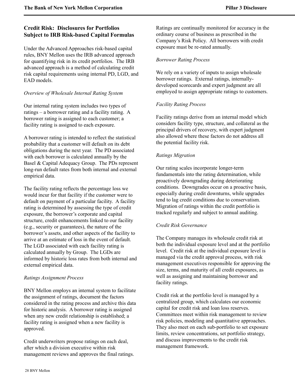# <span id="page-29-0"></span>**Credit Risk: Disclosures for Portfolios Subject to IRB Risk-based Capital Formulas**

Under the Advanced Approaches risk-based capital rules, BNY Mellon uses the IRB advanced approach for quantifying risk in its credit portfolios.The IRB advanced approach is a method of calculating credit risk capital requirements using internal PD, LGD, and EAD models.

### *Overview of Wholesale Internal Rating System*

Our internal rating system includes two types of ratings – a borrower rating and a facility rating. A borrower rating is assigned to each customer; a facility rating is assigned to each exposure.

A borrower rating is intended to reflect the statistical probability that a customer will default on its debt obligations during the next year. The PD associated with each borrower is calculated annually by the Basel & Capital Adequacy Group. The PDs represent long-run default rates from both internal and external empirical data.

The facility rating reflects the percentage loss we would incur for that facility if the customer were to default on payment of a particular facility. A facility rating is determined by assessing the type of credit exposure, the borrower's corporate and capital structure, credit enhancements linked to our facility (e.g., security or guarantees), the nature of the borrower's assets, and other aspects of the facility to arrive at an estimate of loss in the event of default. The LGD associated with each facility rating is calculated annually by Group. The LGDs are informed by historic loss rates from both internal and external empirical data.

### *Ratings Assignment Process*

BNY Mellon employs an internal system to facilitate the assignment of ratings, document the factors considered in the rating process and archive this data for historic analysis. A borrower rating is assigned when any new credit relationship is established; a facility rating is assigned when a new facility is approved.

Credit underwriters propose ratings on each deal, after which a division executive within risk management reviews and approves the final ratings. Ratings are continually monitored for accuracy in the ordinary course of business as prescribed in the Company's Risk Policy. All borrowers with credit exposure must be re-rated annually.

# *Borrower Rating Process*

We rely on a variety of inputs to assign wholesale borrower ratings. External ratings, internallydeveloped scorecards and expert judgment are all employed to assign appropriate ratings to customers.

# *Facility Rating Process*

Facility ratings derive from an internal model which considers facility type, structure, and collateral as the principal drivers of recovery, with expert judgment also allowed where these factors do not address all the potential facility risk.

# *Ratings Migration*

Our rating scales incorporate longer-term fundamentals into the rating determination, while proactively downgrading during deteriorating conditions. Downgrades occur on a proactive basis, especially during credit downturns, while upgrades tend to lag credit conditions due to conservatism. Migration of ratings within the credit portfolio is tracked regularly and subject to annual auditing.

# *Credit Risk Governance*

The Company manages its wholesale credit risk at both the individual exposure level and at the portfolio level. Credit risk at the individual exposure level is managed via the credit approval process, with risk management executives responsible for approving the size, terms, and maturity of all credit exposures, as well as assigning and maintaining borrower and facility ratings.

Credit risk at the portfolio level is managed by a centralized group, which calculates our economic capital for credit risk and loan loss reserves. Committees meet within risk management to review risk policies, modeling and quantitative approaches. They also meet on each sub-portfolio to set exposure limits, review concentrations, set portfolio strategy, and discuss improvements to the credit risk management framework.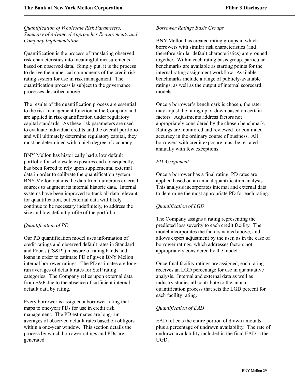### *Quantification of Wholesale Risk Parameters, Summary of Advanced Approaches Requirements and Company Implementation*

Quantification is the process of translating observed risk characteristics into meaningful measurements based on observed data. Simply put, it is the process to derive the numerical components of the credit risk rating system for use in risk management. The quantification process is subject to the governance processes described above.

The results of the quantification process are essential to the risk management function at the Company and are applied in risk quantification under regulatory capital standards. As these risk parameters are used to evaluate individual credits and the overall portfolio and will ultimately determine regulatory capital, they must be determined with a high degree of accuracy.

BNY Mellon has historically had a low default portfolio for wholesale exposures and consequently, has been forced to rely upon supplemental external data in order to calibrate the quantification system. BNY Mellon obtains the data from numerous external sources to augment its internal historic data. Internal systems have been improved to track all data relevant for quantification, but external data will likely continue to be necessary indefinitely, to address the size and low default profile of the portfolio.

### *Quantification of PD*

Our PD quantification model uses information of credit ratings and observed default rates in Standard and Poor's ("S&P") measure of rating bands and loans in order to estimate PD of given BNY Mellon internal borrower ratings. The PD estimates are longrun averages of default rates for S&P rating categories. The Company relies upon external data from S&P due to the absence of sufficient internal default data by rating.

Every borrower is assigned a borrower rating that maps to one-year PDs for use in credit risk management. The PD estimates are long-run averages of observed default rates based on obligors within a one-year window. This section details the process by which borrower ratings and PDs are generated.

### *Borrower Ratings Basis Groups*

BNY Mellon has created rating groups in which borrowers with similar risk characteristics (and therefore similar default characteristics) are grouped together. Within each rating basis group, particular benchmarks are available as starting points for the internal rating assignment workflow. Available benchmarks include a range of publicly-available ratings, as well as the output of internal scorecard models.

Once a borrower's benchmark is chosen, the rater may adjust the rating up or down based on certain factors. Adjustments address factors not appropriately considered by the chosen benchmark. Ratings are monitored and reviewed for continued accuracy in the ordinary course of business. All borrowers with credit exposure must be re-rated annually with few exceptions.

### *PD Assignment*

Once a borrower has a final rating, PD rates are applied based on an annual quantification analysis. This analysis incorporates internal and external data to determine the most appropriate PD for each rating.

### *Quantification of LGD*

The Company assigns a rating representing the predicted loss severity to each credit facility. The model incorporates the factors named above, and allows expert adjustment by the user, as in the case of borrower ratings, which addresses factors not appropriately considered by the model.

Once final facility ratings are assigned, each rating receives an LGD percentage for use in quantitative analysis. Internal and external data as well as industry studies all contribute to the annual quantification process that sets the LGD percent for each facility rating.

### *Quantification of EAD*

EAD reflects the entire portion of drawn amounts plus a percentage of undrawn availability. The rate of undrawn availability included in the final EAD is the UGD.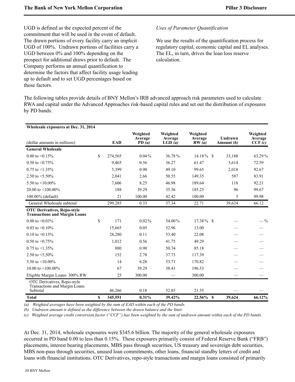UGD is defined as the expected percent of the commitment that will be used in the event of default. The drawn portions of every facility carry an implicit UGD of 100%. Undrawn portions of facilities carry a UGD between 0% and 100% depending on the prospect for additional draws prior to default. The Company performs an annual quantification to determine the factors that affect facility usage leading up to default and to set UGD percentages based on those factors.

### *Uses of Parameter Quantification*

We use the results of the quantification process for regulatory capital, economic capital and EL analyses. The EL, in turn, drives the loan loss reserve calculation.

The following tables provide details of BNY Mellon's IRB advanced approach risk parameters used to calculate RWA and capital under the Advanced Approaches risk-based capital rules and set out the distribution of exposures by PD bands.

| Wholesale exposures at Dec. 31, 2014                                       |    |            |                              |                               |                              |                               |                               |
|----------------------------------------------------------------------------|----|------------|------------------------------|-------------------------------|------------------------------|-------------------------------|-------------------------------|
| (dollar amounts in millions)                                               |    | <b>EAD</b> | Weighted<br>Average<br>PD(a) | Weighted<br>Average<br>LGD(a) | Weighted<br>Average<br>RW(a) | Undrawn<br>Amount (b)         | Weighted<br>Average<br>CCF(c) |
| <b>General Wholesale</b>                                                   |    |            |                              |                               |                              |                               |                               |
| 0.00 to $\leq 0.15\%$                                                      | \$ | 274,565    | $0.04\%$                     | 36.78%                        | $14.18\%$ \$                 | 33,188                        | 63.29%                        |
| $0.50$ to $\leq 0.75\%$                                                    |    | 9,465      | 0.56                         | 36.27                         | 61.47                        | 3,614                         | 72.59                         |
| $0.75$ to $\leq 1.35\%$                                                    |    | 5,399      | 0.90                         | 49.10                         | 99.65                        | 2,018                         | 92.67                         |
| 2.50 to $\leq 5.50\%$                                                      |    | 2,041      | 2.66                         | 50.55                         | 149.35                       | 587                           | 83.91                         |
| 5.50 to $\leq 10.00\%$                                                     |    | 7,606      | 8.25                         | 46.98                         | 189.64                       | 118                           | 92.21                         |
| 20.00 to $\leq 100.00\%$                                                   |    | 188        | 39.29                        | 35.36                         | 185.25                       | 96                            | 99.67                         |
| 100.00% (default)                                                          |    | 21         | 100.00                       | 42.42                         | 100.00                       | 3                             | 99.98                         |
| General Wholesale subtotal                                                 |    | 299,285    | 0.33                         | 37.34                         | 22.71                        | 39,624                        | 66.12                         |
| <b>OTC Derivatives, Repo-style</b><br><b>Transactions and Margin Loans</b> |    |            |                              |                               |                              |                               |                               |
| $0.00$ to $\leq 0.03\%$                                                    | \$ | 171        | $0.02\%$                     | 54.00%                        | $17.38\%$ \$                 |                               | $- \frac{9}{6}$               |
| 0.03 to $\leq 0.10\%$                                                      |    | 15,665     | 0.05                         | 52.96                         | 13.00                        |                               |                               |
| 0.10 to $\leq 0.15\%$                                                      |    | 28,280     | 0.11                         | 53.40                         | 22.08                        |                               |                               |
| 0.50 to $\leq$ 0.75%                                                       |    | 1,012      | 0.56                         | 41.75                         | 49.29                        |                               |                               |
| $0.75$ to $\leq 1.35\%$                                                    |    | 880        | 0.90                         | 50.74                         | 85.18                        |                               |                               |
| 2.50 to $\leq 5.50\%$                                                      |    | 152        | 2.78                         | 37.73                         | 117.39                       |                               |                               |
| 5.50 to $\leq 10.00\%$                                                     |    | 14         | 6.28                         | 53.71                         | 170.82                       |                               |                               |
| 10.00 to $\leq 100.00\%$                                                   |    | 67         | 39.29                        | 38.43                         | 196.53                       |                               |                               |
| Eligible Margin Loans- 300% RW                                             |    | 25         | 300.00                       |                               | 300.00                       | $\overbrace{\phantom{12332}}$ |                               |
| OTC Derivatives, Repo-style<br>Transactions and Margin Loans<br>Subtotal   |    | 46,266     | 0.18                         | 52.85                         | 21.55                        |                               |                               |
| <b>Total</b>                                                               | S  | 345,551    | 0.31%                        | 39.42%                        | $22.56\%$ \$                 | 39,624                        | 66.12%                        |

*(a) Weighted averages have been weighted by the sum of EAD within each of the PD bands.*

*(b) Undrawn amount is defined as the difference between the drawn balance and the limit.*

*(c) Weighted average credit conversion factor ("CCF") has been weighted by the sum of undrawn amount within each of the PD bands.*

At Dec. 31, 2014, wholesale exposures were \$345.6 billion. The majority of the general wholesale exposures occurred in PD band 0.00 to less than 0.15%. These exposures primarily consist of Federal Reserve Bank ("FRB") placements, interest bearing placements, MBS pass through securities, US treasury and sovereign debt securities, MBS non-pass through securities, unused loan commitments, other loans, financial standby letters of credit and loans with financial institutions. OTC Derivatives, repo-style transactions and margin loans consisted of primarily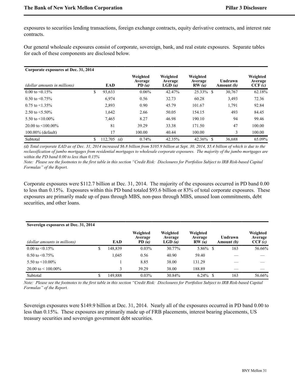exposures to securities lending transactions, foreign exchange contracts, equity derivative contracts, and interest rate contracts.

Our general wholesale exposures consist of corporate, sovereign, bank, and real estate exposures. Separate tables for each of these components are disclosed below.

| Corporate exposures at Dec. 31, 2014 |                      |                              |                               |                              |                       |                               |
|--------------------------------------|----------------------|------------------------------|-------------------------------|------------------------------|-----------------------|-------------------------------|
| (dollar amounts in millions)         | EAD                  | Weighted<br>Average<br>PD(a) | Weighted<br>Average<br>LGD(a) | Weighted<br>Average<br>RW(a) | Undrawn<br>Amount (b) | Weighted<br>Average<br>CCF(c) |
| $0.00$ to $\leq 0.15\%$              | \$<br>93,633         | 0.06%                        | 42.47%                        | 25.33% \$                    | 30,767                | 62.18%                        |
| $0.50$ to $\leq 0.75\%$              | 6,974                | 0.56                         | 32.73                         | 60.28                        | 3,493                 | 72.36                         |
| $0.75$ to $\leq 1.35\%$              | 2,893                | 0.90                         | 45.79                         | 101.67                       | 1,791                 | 92.84                         |
| 2.50 to $\leq 5.50\%$                | 1,642                | 2.66                         | 50.05                         | 154.15                       | 493                   | 84.45                         |
| 5.50 to $\leq 10.00\%$               | 7.465                | 8.27                         | 46.98                         | 190.10                       | 94                    | 99.46                         |
| 20.00 to $\leq 100.00\%$             | 81                   | 39.29                        | 33.38                         | 171.50                       | 47                    | 100.00                        |
| $100.00\%$ (default)                 | 17                   | 100.00                       | 40.44                         | 100.00                       | 3                     | 100.00                        |
| Subtotal                             | \$<br>112.705<br>(d) | 0.74%                        | 42.35%                        | $42.36\%$ \$                 | 36.688                | 65.09%                        |

*(d) Total corporate EAD as of Dec. 31, 2014 increased \$6.8 billion from \$105.9 billion at Sept. 30, 2014, \$5.4 billion of which is due to the reclassification of jumbo mortgages from residential mortgages to wholesale corporate exposures. The majority of the jumbo mortgages are within the PD band 0.00 to less than 0.15%* 

*Note: Please see the footnotes to the first table in this section "Credit Risk: Disclosures for Portfolios Subject to IRB Risk-based Capital Formulas" of the Report.* 

Corporate exposures were \$112.7 billion at Dec. 31, 2014. The majority of the exposures occurred in PD band 0.00 to less than 0.15%. Exposures within this PD band totaled \$93.6 billion or 83% of total corporate exposures. These exposures are primarily made up of pass through MBS, non-pass through MBS, unused loan commitments, debt securities, and other loans.

| Sovereign exposures at Dec. 31, 2014 |    |         |                              |                               |                              |                              |                               |
|--------------------------------------|----|---------|------------------------------|-------------------------------|------------------------------|------------------------------|-------------------------------|
| (dollar amounts in millions)         |    | EAD     | Weighted<br>Average<br>PD(a) | Weighted<br>Average<br>LGD(a) | Weighted<br>Average<br>RW(a) | Undrawn<br>Amount <i>(b)</i> | Weighted<br>Average<br>CCF(c) |
| $0.00 \text{ to } 0.15\%$            | \$ | 148,839 | 0.03%                        | 30.77%                        | $5.86\%$ \$                  | 163                          | 56.66%                        |
| $0.50$ to $\leq 0.75\%$              |    | 1.045   | 0.56                         | 40.90                         | 59.40                        |                              |                               |
| 5.50 to $\leq 10.00\%$               |    |         | 8.85                         | 38.00                         | 131.29                       |                              |                               |
| 20.00 to $\leq 100.00\%$             |    |         | 39.29                        | 38.00                         | 188.89                       |                              |                               |
| Subtotal                             | S  | 149.888 | $0.03\%$                     | 30.84%                        | $6.24\%$ \$                  | 163                          | 56.66%                        |

*Note: Please see the footnotes to the first table in this section "Credit Risk: Disclosures for Portfolios Subject to IRB Risk-based Capital Formulas" of the Report.* 

Sovereign exposures were \$149.9 billion at Dec. 31, 2014. Nearly all of the exposures occurred in PD band 0.00 to less than 0.15%. These exposures are primarily made up of FRB placements, interest bearing placements, US treasury securities and sovereign government debt securities.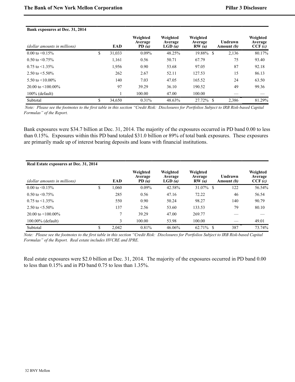#### **Bank exposures at Dec. 31, 2014**

| (dollar amounts in millions) | EAD          | Weighted<br>Average<br>PD(a) | Weighted<br>Average<br>LGD(a) | Weighted<br>Average<br>RW(a) | Undrawn<br>Amount (b) | Weighted<br>Average<br>CCF(c) |
|------------------------------|--------------|------------------------------|-------------------------------|------------------------------|-----------------------|-------------------------------|
| $0.00 \text{ to } 0.15\%$    | \$<br>31,033 | $0.09\%$                     | 48.25%                        | 19.88%<br>S                  | 2,136                 | 80.17%                        |
| $0.50$ to $\leq 0.75\%$      | 1,161        | 0.56                         | 50.71                         | 67.79                        | 75                    | 93.40                         |
| $0.75$ to $\leq 1.35\%$      | 1,956        | 0.90                         | 53.68                         | 97.05                        | 87                    | 92.18                         |
| 2.50 to $\leq 5.50\%$        | 262          | 2.67                         | 52.11                         | 127.53                       | 15                    | 86.13                         |
| 5.50 to $\leq$ 10.00%        | 140          | 7.03                         | 47.05                         | 165.52                       | 24                    | 63.50                         |
| 20.00 to $\leq 100.00\%$     | 97           | 39.29                        | 36.10                         | 190.52                       | 49                    | 99.36                         |
| $100\%$ (default)            |              | 100.00                       | 47.00                         | 100.00                       |                       |                               |
| Subtotal                     | \$<br>34,650 | $0.31\%$                     | 48.63%                        | 27.72%<br>-S                 | 2,386                 | 81.29%                        |

 *Note: Please see the footnotes to the first table in this section "Credit Risk: Disclosures for Portfolios Subject to IRB Risk-based Capital Formulas" of the Report.* 

Bank exposures were \$34.7 billion at Dec. 31, 2014. The majority of the exposures occurred in PD band 0.00 to less than 0.15%. Exposures within this PD band totaled \$31.0 billion or 89% of total bank exposures. These exposures are primarily made up of interest bearing deposits and loans with financial institutions.

| Real Estate exposures at Dec. 31, 2014 |             |                              |                               |                              |                       |                               |
|----------------------------------------|-------------|------------------------------|-------------------------------|------------------------------|-----------------------|-------------------------------|
| (dollar amounts in millions)           | <b>EAD</b>  | Weighted<br>Average<br>PD(a) | Weighted<br>Average<br>LGD(a) | Weighted<br>Average<br>RW(a) | Undrawn<br>Amount (b) | Weighted<br>Average<br>CCF(c) |
| $0.00 \text{ to } 5\%$                 | \$<br>1,060 | $0.09\%$                     | 42.58%                        | 31.07% \$                    | 122                   | 56.54%                        |
| $0.50$ to $\leq 0.75\%$                | 285         | 0.56                         | 47.16                         | 72.22                        | 46                    | 56.54                         |
| $0.75$ to $\leq 1.35\%$                | 550         | 0.90                         | 50.24                         | 98.27                        | 140                   | 90.79                         |
| 2.50 to $\leq 5.50\%$                  | 137         | 2.56                         | 53.60                         | 133.53                       | 79                    | 80.10                         |
| 20.00 to $\leq 100.00\%$               | 7           | 39.29                        | 47.00                         | 269.77                       |                       |                               |
| 100.00% (default)                      | 3           | 100.00                       | 53.98                         | 100.00                       |                       | 49.01                         |
| Subtotal                               | \$<br>2.042 | 0.81%                        | 46.06%                        | 62.71% \$                    | 387                   | 73.74%                        |

*Note: Please see the footnotes to the first table in this section "Credit Risk: Disclosures for Portfolios Subject to IRB Risk-based Capital Formulas" of the Report. Real estate includes HVCRE and IPRE.*

Real estate exposures were \$2.0 billion at Dec. 31, 2014. The majority of the exposures occurred in PD band 0.00 to less than 0.15% and in PD band 0.75 to less than 1.35%.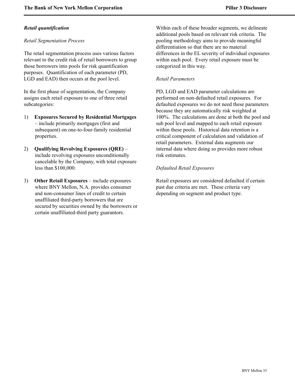### *Retail quantification*

### *Retail Segmentation Process*

The retail segmentation process uses various factors relevant to the credit risk of retail borrowers to group those borrowers into pools for risk quantification purposes. Quantification of each parameter (PD, LGD and EAD) then occurs at the pool level.

In the first phase of segmentation, the Company assigns each retail exposure to one of three retail subcategories:

- 1) **Exposures Secured by Residential Mortgages** – include primarily mortgages (first and subsequent) on one-to-four-family residential properties.
- 2) **Qualifying Revolving Exposures (QRE)** include revolving exposures unconditionally cancelable by the Company, with total exposure less than \$100,000.
- 3) **Other Retail Exposures**  include exposures where BNY Mellon, N.A. provides consumer and non-consumer lines of credit to certain unaffiliated third-party borrowers that are secured by securities owned by the borrowers or certain unaffiliated-third party guarantors.

Within each of these broader segments, we delineate additional pools based on relevant risk criteria. The pooling methodology aims to provide meaningful differentiation so that there are no material differences in the EL severity of individual exposures within each pool. Every retail exposure must be categorized in this way.

### *Retail Parameters*

PD, LGD and EAD parameter calculations are performed on non-defaulted retail exposures. For defaulted exposures we do not need these parameters because they are automatically risk weighted at 100%. The calculations are done at both the pool and sub pool level and mapped to each retail exposure within these pools. Historical data retention is a critical component of calculation and validation of retail parameters. External data augments our internal data where doing so provides more robust risk estimates.

### *Defaulted Retail Exposures*

Retail exposures are considered defaulted if certain past due criteria are met. These criteria vary depending on segment and product type.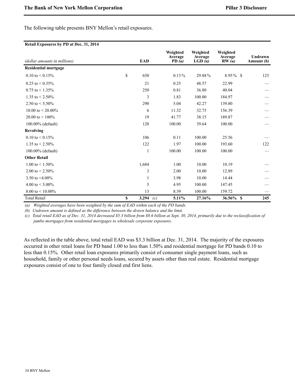The following table presents BNY Mellon's retail exposures.

#### **Retail Exposures by PD at Dec. 31, 2014**

| (dollar amounts in millions) | <b>EAD</b>         | Weighted<br>Average<br>PD $(a)$ | Weighted<br>Average<br>LGD(a) | Weighted<br>Average<br>RW(a) | Undrawn<br>Amount (b) |
|------------------------------|--------------------|---------------------------------|-------------------------------|------------------------------|-----------------------|
| <b>Residential mortgage</b>  |                    |                                 |                               |                              |                       |
| $0.10$ to $< 0.15\%$         | \$<br>650          | $0.13\%$                        | 29.88%                        | $8.95\%$ \$                  | 123                   |
| $0.25$ to $\leq 0.35\%$      | 21                 | 0.25                            | 48.57                         | 22.99                        |                       |
| $0.75$ to $\leq 1.35\%$      | 250                | 0.81                            | 36.80                         | 40.04                        |                       |
| 1.35 to $< 2.50\%$           | 3                  | 1.83                            | 100.00                        | 184.97                       |                       |
| 2.50 to $\leq 5.50\%$        | 290                | 5.04                            | 42.27                         | 139.80                       |                       |
| 10.00 to $\leq$ 20.00%       | 6                  | 11.32                           | 32.75                         | 156.39                       |                       |
| 20.00 to $\leq 100\%$        | 19                 | 41.77                           | 38.15                         | 189.87                       |                       |
| 100.00% (default)            | 120                | 100.00                          | 39.64                         | 100.00                       |                       |
| <b>Revolving</b>             |                    |                                 |                               |                              |                       |
| $0.10 \text{ to } 0.15\%$    | 106                | 0.11                            | 100.00                        | 25.56                        |                       |
| 1.35 to $\leq$ 2.50%         | 122                | 1.97                            | 100.00                        | 193.60                       | 122                   |
| 100.00% (default)            | 1                  | 100.00                          | 100.00                        | 100.00                       |                       |
| <b>Other Retail</b>          |                    |                                 |                               |                              |                       |
| 1.00 to $\leq$ 1.50%         | 1,684              | 1.00                            | 10.00                         | 10.19                        |                       |
| 2.00 to $< 2.50\%$           | 3                  | 2.00                            | 10.00                         | 12.89                        |                       |
| 3.50 to $\leq 4.00\%$        | 1                  | 3.98                            | 10.00                         | 14.44                        |                       |
| 4.00 to $< 5.00\%$           | 5                  | 4.95                            | 100.00                        | 147.45                       |                       |
| 8.00 to $\leq 10.00\%$       | 13                 | 8.39                            | 100.00                        | 159.72                       |                       |
| <b>Total Retail</b>          | \$<br>3,294<br>(c) | 5.11%                           | 27.16%                        | $36.56\%$ \$                 | 245                   |

*(a) Weighted averages have been weighted by the sum of EAD within each of the PD bands.*

*(b) Undrawn amount is defined as the difference between the drawn balance and the limit.*

*(c) Total retail EAD as of Dec. 31, 2014 decreased \$5.3 billion from \$8.6 billion at Sept. 30, 2014, primarily due to the reclassification of jumbo mortgages from residential mortgages to wholesale corporate exposures.* 

As reflected in the table above, total retail EAD was \$3.3 billion at Dec. 31, 2014. The majority of the exposures occurred in other retail loans for PD band 1.00 to less than 1.50% and residential mortgage for PD bands 0.10 to less than 0.15%. Other retail loan exposures primarily consist of consumer single payment loans, such as household, family or other personal needs loans, secured by assets other than real estate. Residential mortgage exposures consist of one to four family closed end first liens.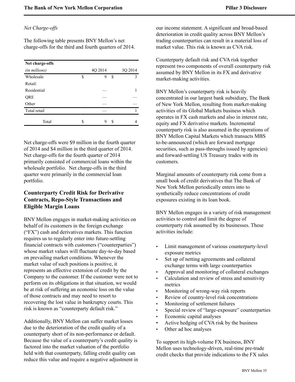### *Net Charge-offs*

The following table presents BNY Mellon's net charge-offs for the third and fourth quarters of 2014.

| Net charge-offs |    |         |    |         |
|-----------------|----|---------|----|---------|
| (in millions)   |    | 4Q 2014 |    | 3Q 2014 |
| Wholesale       | \$ | 9       | \$ | ٩       |
| Retail:         |    |         |    |         |
| Residential     |    |         |    |         |
| QRE             |    |         |    |         |
| Other           |    |         |    |         |
| Total retail    |    |         |    |         |
| Total           | S  | Q       | S  |         |

Net charge-offs were \$9 million in the fourth quarter of 2014 and \$4 million in the third quarter of 2014. Net charge-offs for the fourth quarter of 2014 primarily consisted of commercial loans within the wholesale portfolio. Net charge-offs in the third quarter were primarily in the commercial loan portfolio.

# <span id="page-36-0"></span>**Counterparty Credit Risk for Derivative Contracts, Repo-Style Transactions and Eligible Margin Loans**

BNY Mellon engages in market-making activities on behalf of its customers in the foreign exchange ("FX") cash and derivatives markets. This function requires us to regularly enter into future-settling financial contracts with customers ("counterparties") whose market values will fluctuate day-to-day based on prevailing market conditions. Whenever the market value of such positions is positive, it represents an effective extension of credit by the Company to the customer. If the customer were not to perform on its obligations in that situation, we would be at risk of suffering an economic loss on the value of those contracts and may need to resort to recovering the lost value in bankruptcy courts. This risk is known as "counterparty default risk."

Additionally, BNY Mellon can suffer market losses due to the deterioration of the credit quality of a counterparty short of its non-performance or default. Because the value of a counterparty's credit quality is factored into the market valuation of the portfolio held with that counterparty, falling credit quality can reduce this value and require a negative adjustment in our income statement. A significant and broad-based deterioration in credit quality across BNY Mellon's trading counterparties can result in a material loss of market value. This risk is known as CVA risk.

Counterparty default risk and CVA risk together represent two components of overall counterparty risk assumed by BNY Mellon in its FX and derivative market-making activities.

BNY Mellon's counterparty risk is heavily concentrated in our largest bank subsidiary, The Bank of New York Mellon, resulting from market-making activities of its Global Markets business which operates in FX cash markets and also in interest rate, equity and FX derivative markets. Incremental counterparty risk is also assumed in the operations of BNY Mellon Capital Markets which transacts MBS to-be-announced (which are forward mortgage securities, such as pass-throughs issued by agencies) and forward-settling US Treasury trades with its customers.

Marginal amounts of counterparty risk come from a small book of credit derivatives that The Bank of New York Mellon periodically enters into to synthetically reduce concentrations of credit exposures existing in its loan book.

BNY Mellon engages in a variety of risk management activities to control and limit the degree of counterparty risk assumed by its businesses. These activities include:

- Limit management of various counterparty-level exposure metrics
- Set up of netting agreements and collateral exchange terms with large counterparties
- Approval and monitoring of collateral exchanges
- Calculation and review of stress and sensitivity metrics
- Monitoring of wrong-way risk reports
- Review of country-level risk concentrations
- Monitoring of settlement failures
- Special review of "large-exposure" counterparties
- Economic capital analyses
- Active hedging of CVA risk by the business
- Other ad hoc analyses

To support its high-volume FX business, BNY Mellon uses technology-driven, real-time pre-trade credit checks that provide indications to the FX sales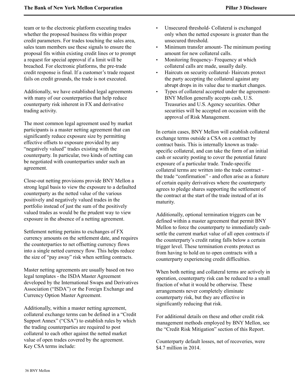team or to the electronic platform executing trades whether the proposed business fits within proper credit parameters. For trades touching the sales area, sales team members use these signals to ensure the proposal fits within existing credit lines or to prompt a request for special approval if a limit will be breached. For electronic platforms, the pre-trade credit response is final. If a customer's trade request fails on credit grounds, the trade is not executed.

Additionally, we have established legal agreements with many of our counterparties that help reduce counterparty risk inherent in FX and derivative trading activity.

The most common legal agreement used by market participants is a master netting agreement that can significantly reduce exposure size by permitting effective offsets to exposure provided by any "negatively valued" trades existing with the counterparty. In particular, two kinds of netting can be negotiated with counterparties under such an agreement.

Close-out netting provisions provide BNY Mellon a strong legal basis to view the exposure to a defaulted counterparty as the netted value of the various positively and negatively valued trades in the portfolio instead of just the sum of the positively valued trades as would be the prudent way to view exposure in the absence of a netting agreement.

Settlement netting pertains to exchanges of FX currency amounts on the settlement date, and requires the counterparties to net offsetting currency flows into a single netted currency flow. This helps reduce the size of "pay away" risk when settling contracts.

Master netting agreements are usually based on two legal templates - the ISDA Master Agreement developed by the International Swaps and Derivatives Association ("ISDA") or the Foreign Exchange and Currency Option Master Agreement.

Additionally, within a master netting agreement, collateral exchange terms can be defined in a "Credit Support Annex" ("CSA") to establish rules by which the trading counterparties are required to post collateral to each other against the netted market value of open trades covered by the agreement. Key CSA terms include:

- Unsecured threshold- Collateral is exchanged only when the netted exposure is greater than the unsecured threshold.
- Minimum transfer amount- The minimum posting amount for new collateral calls.
- Monitoring frequency- Frequency at which collateral calls are made, usually daily.
- Haircuts on security collateral- Haircuts protect the party accepting the collateral against any abrupt drops in its value due to market changes.
- Types of collateral accepted under the agreement-BNY Mellon generally accepts cash, U.S. Treasuries and U.S. Agency securities. Other securities will be accepted on occasion with the approval of Risk Management.

In certain cases, BNY Mellon will establish collateral exchange terms outside a CSA on a contract by contract basis. This is internally known as tradespecific collateral, and can take the form of an initial cash or security posting to cover the potential future exposure of a particular trade. Trade-specific collateral terms are written into the trade contract the trade "confirmation" - and often arise as a feature of certain equity derivatives where the counterparty agrees to pledge shares supporting the settlement of the contract at the start of the trade instead of at its maturity.

Additionally, optional termination triggers can be defined within a master agreement that permit BNY Mellon to force the counterparty to immediately cashsettle the current market value of all open contracts if the counterparty's credit rating falls below a certain trigger level. These termination events protect us from having to hold on to open contracts with a counterparty experiencing credit difficulties.

When both netting and collateral terms are actively in operation, counterparty risk can be reduced to a small fraction of what it would be otherwise. These arrangements never completely eliminate counterparty risk, but they are effective in significantly reducing that risk.

For additional details on these and other credit risk management methods employed by BNY Mellon, see the "Credit Risk Mitigation" section of this Report.

Counterparty default losses, net of recoveries, were \$4.7 million in 2014.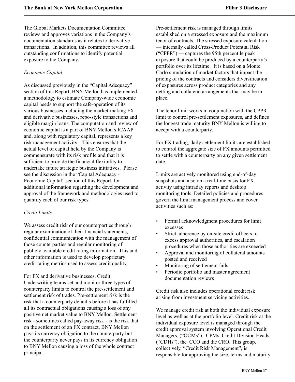The Global Markets Documentation Committee reviews and approves variations in the Company's documentation standards as it relates to derivative transactions. In addition, this committee reviews all outstanding confirmations to identify potential exposure to the Company.

### *Economic Capital*

As discussed previously in the "Capital Adequacy" section of this Report, BNY Mellon has implemented a methodology to estimate Company-wide economic capital needs to support the safe-operation of its various businesses including the market-making FX and derivative businesses, repo-style transactions and eligible margin loans. The computation and review of economic capital is a part of BNY Mellon's ICAAP and, along with regulatory capital, represents a key risk management activity. This ensures that the actual level of capital held by the Company is commensurate with its risk profile and that it is sufficient to provide the financial flexibility to undertake future strategic business initiatives. Please see the discussion in the "Capital Adequacy - Economic Capital" section of this Report, for additional information regarding the development and approval of the framework and methodologies used to quantify each of our risk types.

### *Credit Limits*

We assess credit risk of our counterparties through regular examination of their financial statements, confidential communication with the management of those counterparties and regular monitoring of publicly available credit rating information. This and other information is used to develop proprietary credit rating metrics used to assess credit quality.

For FX and derivative businesses, Credit Underwriting teams set and monitor three types of counterparty limits to control the pre-settlement and settlement risk of trades. Pre-settlement risk is the risk that a counterparty defaults before it has fulfilled all its contractual obligations causing a loss of any positive net market value to BNY Mellon. Settlement risk - sometimes called pay-away risk - is the risk that on the settlement of an FX contract, BNY Mellon pays its currency obligation to the counterparty but the counterparty never pays in its currency obligation to BNY Mellon causing a loss of the whole contract principal.

Pre-settlement risk is managed through limits established on a stressed exposure and the maximum tenor of contracts. The stressed exposure calculation — internally called Cross-Product Potential Risk ("CPPR") — captures the 95th percentile peak exposure that could be produced by a counterparty's portfolio over its lifetime. It is based on a Monte Carlo simulation of market factors that impact the pricing of the contracts and considers diversification of exposures across product categories and any netting and collateral arrangements that may be in place.

The tenor limit works in conjunction with the CPPR limit to control pre-settlement exposures, and defines the longest trade maturity BNY Mellon is willing to accept with a counterparty.

For FX trading, daily settlement limits are established to control the aggregate size of FX amounts permitted to settle with a counterparty on any given settlement date.

Limits are actively monitored using end-of-day snapshots and also on a real-time basis for FX activity using intraday reports and desktop monitoring tools. Detailed policies and procedures govern the limit management process and cover activities such as:

- Formal acknowledgment procedures for limit excesses
- Strict adherence by on-site credit officers to excess approval authorities, and escalation procedures when those authorities are exceeded
- Approval and monitoring of collateral amounts posted and received
- Monitoring of settlement fails
- Periodic portfolio and master agreement documentation reviews

Credit risk also includes operational credit risk arising from investment servicing activities.

We manage credit risk at both the individual exposure level as well as at the portfolio level. Credit risk at the individual exposure level is managed through the credit approval system involving Operational Credit Managers, ("OCMs"), CPMs, Credit Division Heads ("CDHs"), the CCO and the CRO. This group, collectively, "Credit Risk Management", is responsible for approving the size, terms and maturity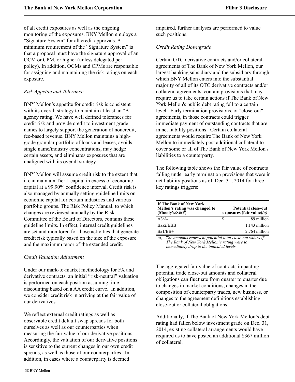of all credit exposures as well as the ongoing monitoring of the exposures. BNY Mellon employs a "Signature System" for all credit approvals. A minimum requirement of the "Signature System" is that a proposal must have the signature approval of an OCM or CPM, or higher (unless delegated per policy). In addition, OCMs and CPMs are responsible for assigning and maintaining the risk ratings on each exposure.

### *Risk Appetite and Tolerance*

BNY Mellon's appetite for credit risk is consistent with its overall strategy to maintain at least an "A" agency rating. We have well defined tolerances for credit risk and provide credit to investment grade names to largely support the generation of noncredit, fee-based revenue. BNY Mellon maintains a highgrade granular portfolio of loans and leases, avoids single name/industry concentrations, may hedge certain assets, and eliminates exposures that are unaligned with its overall strategy.

BNY Mellon will assume credit risk to the extent that it can maintain Tier 1 capital in excess of economic capital at a 99.90% confidence interval. Credit risk is also managed by annually setting guideline limits on economic capital for certain industries and various portfolio groups. The Risk Policy Manual, to which changes are reviewed annually by the Risk Committee of the Board of Directors, contains these guideline limits. In effect, internal credit guidelines are set and monitored for those activities that generate credit risk typically based on the size of the exposure and the maximum tenor of the extended credit.

### *Credit Valuation Adjustment*

Under our mark-to-market methodology for FX and derivative contracts, an initial "risk-neutral" valuation is performed on each position assuming timediscounting based on a AA credit curve. In addition, we consider credit risk in arriving at the fair value of our derivatives.

We reflect external credit ratings as well as observable credit default swap spreads for both ourselves as well as our counterparties when measuring the fair value of our derivative positions. Accordingly, the valuation of our derivative positions is sensitive to the current changes in our own credit spreads, as well as those of our counterparties. In addition, in cases where a counterparty is deemed

impaired, further analyses are performed to value such positions.

### *Credit Rating Downgrade*

Certain OTC derivative contracts and/or collateral agreements of The Bank of New York Mellon, our largest banking subsidiary and the subsidiary through which BNY Mellon enters into the substantial majority of all of its OTC derivative contracts and/or collateral agreements, contain provisions that may require us to take certain actions if The Bank of New York Mellon's public debt rating fell to a certain level. Early termination provisions, or "close-out" agreements, in those contracts could trigger immediate payment of outstanding contracts that are in net liability positions. Certain collateral agreements would require The Bank of New York Mellon to immediately post additional collateral to cover some or all of The Bank of New York Mellon's liabilities to a counterparty.

The following table shows the fair value of contracts falling under early termination provisions that were in net liability positions as of Dec. 31, 2014 for three key ratings triggers:

| <b>Potential close-out</b><br>exposures (fair value) $(a)$ |
|------------------------------------------------------------|
| 89 million                                                 |
| 1,143 million                                              |
| 2,764 million                                              |
|                                                            |

*(a) The amounts represent potential total close-out values if The Bank of New York Mellon's rating were to immediately drop to the indicated levels.*

The aggregated fair value of contracts impacting potential trade close-out amounts and collateral obligations can fluctuate from quarter to quarter due to changes in market conditions, changes in the composition of counterparty trades, new business, or changes to the agreement definitions establishing close-out or collateral obligations.

Additionally, if The Bank of New York Mellon's debt rating had fallen below investment grade on Dec. 31, 2014, existing collateral arrangements would have required us to have posted an additional \$367 million of collateral.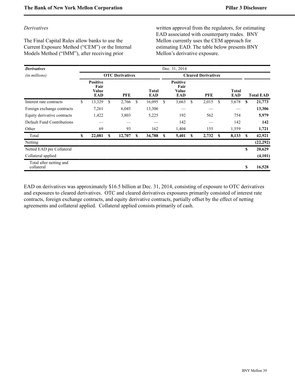### *Derivatives*

The Final Capital Rules allow banks to use the Current Exposure Method ("CEM") or the Internal Models Method ("IMM"), after receiving prior

written approval from the regulators, for estimating EAD associated with counterparty trades. BNY Mellon currently uses the CEM approach for estimating EAD. The table below presents BNY Mellon's derivative exposure.

| <b>Derivatives</b>                    |    |                                         |     |                        |    |                     |                            | Dec. 31, 2014                           |   |       |    |                     |          |                  |
|---------------------------------------|----|-----------------------------------------|-----|------------------------|----|---------------------|----------------------------|-----------------------------------------|---|-------|----|---------------------|----------|------------------|
| (in millions)                         |    |                                         |     | <b>OTC</b> Derivatives |    |                     | <b>Cleared Derivatives</b> |                                         |   |       |    |                     |          |                  |
|                                       |    | <b>Positive</b><br>Fair<br>Value<br>EAD |     | <b>PFE</b>             |    | <b>Total</b><br>EAD |                            | <b>Positive</b><br>Fair<br>Value<br>EAD |   | PFE   |    | <b>Total</b><br>EAD |          | <b>Total EAD</b> |
| Interest rate contracts               | \$ | 13,329                                  | S.  | 2,766                  | \$ | 16,095              | <sup>\$</sup>              | 3,663                                   | S | 2,015 | \$ | 5,678               | S        | 21,773           |
| Foreign exchange contracts            |    | 7,261                                   |     | 6,045                  |    | 13,306              |                            |                                         |   |       |    |                     |          | 13,306           |
| Equity derivative contracts           |    | 1,422                                   |     | 3,803                  |    | 5,225               |                            | 192                                     |   | 562   |    | 754                 |          | 5,979            |
| Default Fund Contributions            |    |                                         |     |                        |    |                     |                            | 142                                     |   |       |    | 142                 |          | 142              |
| Other                                 |    | 69                                      |     | 93                     |    | 162                 |                            | 1,404                                   |   | 155   |    | 1,559               |          | 1,721            |
| Total                                 | S  | 22,081                                  | \$. | 12,707                 | S  | 34,788              | S                          | 5,401                                   | S | 2,732 | S  | 8,133               | <b>S</b> | 42,921           |
| Netting                               |    |                                         |     |                        |    |                     |                            |                                         |   |       |    |                     |          | (22, 292)        |
| Netted EAD pre Collateral             |    |                                         |     |                        |    |                     |                            |                                         |   |       |    |                     | \$       | 20,629           |
| Collateral applied                    |    |                                         |     |                        |    |                     |                            |                                         |   |       |    |                     |          | (4, 101)         |
| Total after netting and<br>collateral |    |                                         |     |                        |    |                     |                            |                                         |   |       |    |                     | \$       | 16,528           |

EAD on derivatives was approximately \$16.5 billion at Dec. 31, 2014, consisting of exposure to OTC derivatives and exposures to cleared derivatives. OTC and cleared derivatives exposures primarily consisted of interest rate contracts, foreign exchange contracts, and equity derivative contracts, partially offset by the effect of netting agreements and collateral applied. Collateral applied consists primarily of cash.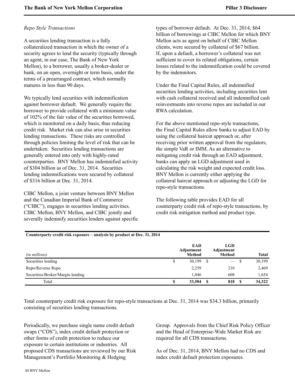### *Repo Style Transactions*

A securities lending transaction is a fully collateralized transaction in which the owner of a security agrees to lend the security (typically through an agent, in our case, The Bank of New York Mellon), to a borrower, usually a broker-dealer or bank, on an open, overnight or term basis, under the terms of a prearranged contract, which normally matures in less than 90 days.

We typically lend securities with indemnification against borrower default. We generally require the borrower to provide collateral with a minimum value of 102% of the fair value of the securities borrowed, which is monitored on a daily basis, thus reducing credit risk. Market risk can also arise in securities lending transactions. These risks are controlled through policies limiting the level of risk that can be undertaken. Securities lending transactions are generally entered into only with highly-rated counterparties. BNY Mellon has indemnified activity of \$304 billion as of Dec. 31, 2014. Securities lending indemnifications were secured by collateral of \$316 billion at Dec. 31, 2014.

CIBC Mellon, a joint venture between BNY Mellon and the Canadian Imperial Bank of Commerce ("CIBC"), engages in securities lending activities. CIBC Mellon, BNY Mellon, and CIBC jointly and severally indemnify securities lenders against specific

**Counterparty credit risk exposure – analysis by product at Dec. 31, 2014**

types of borrower default. At Dec. 31, 2014, \$64 billion of borrowings at CIBC Mellon for which BNY Mellon acts as agent on behalf of CIBC Mellon clients, were secured by collateral of \$67 billion. If, upon a default, a borrower's collateral was not sufficient to cover its related obligations, certain losses related to the indemnification could be covered by the indemnitors.

Under the Final Capital Rules, all indemnified securities lending activities, including securities lent with cash collateral received and all indemnified cash reinvestments into reverse repos are included in our RWA calculation.

For the above mentioned repo-style transactions, the Final Capital Rules allow banks to adjust EAD by using the collateral haircut approach or, after receiving prior written approval from the regulators, the simple VaR or IMM. As an alternative to mitigating credit risk through an EAD adjustment, banks can apply an LGD adjustment used in calculating the risk weight and expected credit loss. BNY Mellon is currently either applying the collateral haircut approach or adjusting the LGD for repo-style transactions.

The following table provides EAD for all counterparty credit risk of repo-style transactions, by credit risk mitigation method and product type.

| (in millions)                    | <b>EAD</b><br>Adjustment<br><b>Method</b> |      | <b>LGD</b><br>Adjustment<br><b>Method</b> |    | <b>Total</b> |
|----------------------------------|-------------------------------------------|------|-------------------------------------------|----|--------------|
| Securities lending               | 30,199<br>J                               | - \$ | $\overline{\phantom{0}}$                  | -S | 30,199       |
| Repo/Reverse Repo                | 2,259                                     |      | 210                                       |    | 2,469        |
| Securities/Broker/Margin lending | 1.046                                     |      | 608                                       |    | 1,654        |
| Total                            | 33,504<br>Φ                               | -S   | 818                                       | -S | 34,322       |

Total counterparty credit risk exposure for repo-style transactions at Dec. 31, 2014 was \$34.3 billion, primarily consisting of securities lending transactions.

Periodically, we purchase single name credit default swaps ("CDS"), index credit default protection or other forms of credit protection to reduce our exposure to certain institutions or industries. All proposed CDS transactions are reviewed by our Risk Management's Portfolio Monitoring & Hedging

Group. Approvals from the Chief Risk Policy Officer and the Head of Enterprise-Wide Market Risk are required for all CDS transactions.

As of Dec. 31, 2014, BNY Mellon had no CDS and index credit default protection exposures.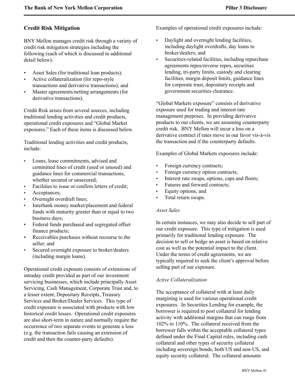# <span id="page-42-0"></span>**Credit Risk Mitigation**

BNY Mellon manages credit risk through a variety of credit risk mitigation strategies including the following (each of which is discussed in additional detail below):

- Asset Sales (for traditional loan products);
- Active collateralization (for repo-style transactions and derivative transactions); and
- Master agreements/netting arrangements (for derivative transactions).

Credit Risk arises from several sources, including traditional lending activities and credit products, operational credit exposures and "Global Market exposures." Each of these items is discussed below.

Traditional lending activities and credit products, include:

- Loans, lease commitments, advised and committed lines of credit (used or unused) and guidance lines for commercial transactions, whether secured or unsecured;
- Facilities to issue or confirm letters of credit;
- Acceptances;
- Overnight overdraft lines;
- Interbank money market/placement and federal funds with maturity greater than or equal to two business days;
- Federal funds purchased and segregated offset finance products;
- Receivables purchases without recourse to the seller; and
- Secured overnight exposure to broker/dealers (including margin loans).

Operational credit exposure consists of extensions of intraday credit provided as part of our investment servicing businesses, which include principally Asset Servicing, Cash Management, Corporate Trust and, to a lesser extent, Depositary Receipts, Treasury Services and Broker/Dealer Services. This type of credit exposure is associated with products with low historical credit losses. Operational credit exposures are also short-term in nature and normally require the occurrence of two separate events to generate a loss (e.g. the transaction fails causing an extension of credit and then the counter-party defaults).

Examples of operational credit exposures include:

- Daylight and overnight lending facilities, including daylight overdrafts, day loans to broker/dealers; and
- Securities-related facilities, including repurchase agreements repos/reverse repos, securities lending, tri-party limits, custody and clearing facilities, margin deposit limits, guidance lines for corporate trust, depositary receipts and government securities clearance.

"Global Markets exposure" consists of derivative exposure used for trading and interest rate management purposes. In providing derivative products to our clients, we are assuming counterparty credit risk. BNY Mellon will incur a loss on a derivative contract if rates move in our favor vis-à-vis the transaction and if the counterparty defaults.

Examples of Global Markets exposures include:

- Foreign currency contracts;
- Foreign currency option contracts;
- Interest rate swaps, options, caps and floors;
- Futures and forward contracts;
- Equity options; and
- Total return swaps.

# *Asset Sales*

In certain instances, we may also decide to sell part of our credit exposure. This type of mitigation is used primarily for traditional lending exposure. The decision to sell or hedge an asset is based on relative cost as well as the potential impact to the client. Under the terms of credit agreements, we are typically required to seek the client's approval before selling part of our exposure.

# *Active Collateralization*

The acceptance of collateral with at least daily margining is used for various operational credit exposures. In Securities Lending for example, the borrower is required to post collateral for lending activity with additional margins that can range from 102% to 110%. The collateral received from the borrower falls within the acceptable collateral types defined under the Final Capital rules, including cash collateral and other types of security collateral including sovereign bonds, both US and non-US, and equity security collateral. The collateral amounts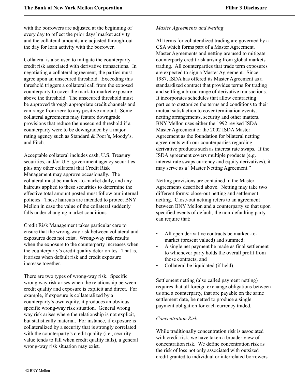with the borrowers are adjusted at the beginning of every day to reflect the prior days' market activity and the collateral amounts are adjusted through-out the day for loan activity with the borrower.

Collateral is also used to mitigate the counterparty credit risk associated with derivative transactions. In negotiating a collateral agreement, the parties must agree upon an unsecured threshold. Exceeding this threshold triggers a collateral call from the exposed counterparty to cover the mark-to-market exposure above the threshold. The unsecured threshold must be approved through appropriate credit channels and can range from zero to any positive amount. Some collateral agreements may feature downgrade provisions that reduce the unsecured threshold if a counterparty were to be downgraded by a major rating agency such as Standard & Poor's, Moody's, and Fitch.

Acceptable collateral includes cash, U.S. Treasury securities, and/or U.S. government agency securities plus any other collateral that Credit Risk Management may approve occasionally. The collateral must be marked-to-market daily, and any haircuts applied to these securities to determine the effective total amount posted must follow our internal policies. These haircuts are intended to protect BNY Mellon in case the value of the collateral suddenly falls under changing market conditions.

Credit Risk Management takes particular care to ensure that the wrong-way risk between collateral and exposures does not exist. Wrong-way risk results when the exposure to the counterparty increases when the counterparty's credit quality deteriorates. That is, it arises when default risk and credit exposure increase together.

There are two types of wrong-way risk. Specific wrong way risk arises when the relationship between credit quality and exposure is explicit and direct. For example, if exposure is collateralized by a counterparty's own equity, it produces an obvious specific wrong-way risk situation. General wrong way risk arises where the relationship is not explicit, but statistically material. For instance, if exposure is collateralized by a security that is strongly correlated with the counterparty's credit quality (i.e., security value tends to fall when credit quality falls), a general wrong-way risk situation may exist.

#### *Master Agreements and Netting*

All terms for collateralized trading are governed by a CSA which forms part of a Master Agreement. Master Agreements and netting are used to mitigate counterparty credit risk arising from global markets trading. All counterparties that trade term exposures are expected to sign a Master Agreement. Since 1987, ISDA has offered its Master Agreement as a standardized contract that provides terms for trading and settling a broad range of derivative transactions. It incorporates schedules that allow contracting parties to customize the terms and conditions to their mutual satisfaction to cover termination events, netting arrangements, security and other matters. BNY Mellon uses either the 1992 revised ISDA Master Agreement or the 2002 ISDA Master Agreement as the foundation for bilateral netting agreements with our counterparties regarding derivative products such as interest rate swaps. If the ISDA agreement covers multiple products (e.g. interest rate swaps currency and equity derivatives), it may serve as a "Master Netting Agreement."

Netting provisions are contained in the Master Agreements described above. Netting may take two different forms: close-out netting and settlement netting. Close-out netting refers to an agreement between BNY Mellon and a counterparty so that upon specified events of default, the non-defaulting party can require that:

- All open derivative contracts be marked-tomarket (present valued) and summed;
- A single net payment be made as final settlement to whichever party holds the overall profit from those contracts; and
- Collateral be liquidated (if held).

Settlement netting (also called payment netting) requires that all foreign exchange obligations between us and a counterparty, that are payable on the same settlement date, be netted to produce a single payment obligation for each currency traded.

### *Concentration Risk*

While traditionally concentration risk is associated with credit risk, we have taken a broader view of concentration risk. We define concentration risk as the risk of loss not only associated with outsized credit granted to individual or interrelated borrowers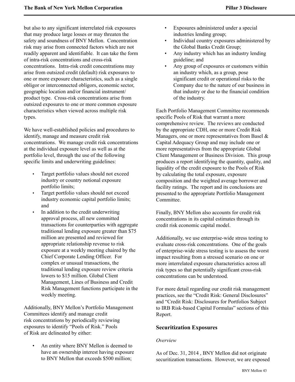but also to any significant interrelated risk exposures that may produce large losses or may threaten the safety and soundness of BNY Mellon. Concentration risk may arise from connected factors which are not readily apparent and identifiable. It can take the form of intra-risk concentrations and cross-risk concentrations. Intra-risk credit concentrations may arise from outsized credit (default) risk exposures to one or more exposure characteristics, such as a single obligor or interconnected obligors, economic sector, geographic location and/or financial instrument/ product type. Cross-risk concentrations arise from outsized exposures to one or more common exposure characteristics when viewed across multiple risk types.

We have well-established policies and procedures to identify, manage and measure credit risk concentrations. We manage credit risk concentrations at the individual exposure level as well as at the portfolio level, through the use of the following specific limits and underwriting guidelines:

- Target portfolio values should not exceed industry or country notional exposure portfolio limits;
- Target portfolio values should not exceed industry economic capital portfolio limits; and
- In addition to the credit underwriting approval process, all new committed transactions for counterparties with aggregate traditional lending exposure greater than \$75 million are presented and reviewed for appropriate relationship revenue to risk exposure at a weekly meeting chaired by the Chief Corporate Lending Officer. For complex or unusual transactions, the traditional lending exposure review criteria lowers to \$15 million. Global Client Management, Lines of Business and Credit Risk Management functions participate in the weekly meeting.

<span id="page-44-0"></span>Additionally, BNY Mellon's Portfolio Management Committees identify and manage credit risk concentrations by periodically reviewing exposures to identify "Pools of Risk." Pools of Risk are delineated by either:

An entity where BNY Mellon is deemed to have an ownership interest having exposure to BNY Mellon that exceeds \$500 million;

- Exposures administered under a special industries lending group;
- Individual country exposures administered by the Global Banks Credit Group;
- Any industry which has an industry lending guideline; and
- Any group of exposures or customers within an industry which, as a group, pose significant credit or operational risks to the Company due to the nature of our business in that industry or due to the financial condition of the industry.

Each Portfolio Management Committee recommends specific Pools of Risk that warrant a more comprehensive review. The reviews are conducted by the appropriate CDH, one or more Credit Risk Managers, one or more representatives from Basel & Capital Adequacy Group and may include one or more representatives from the appropriate Global Client Management or Business Division. This group produces a report identifying the quantity, quality, and liquidity of the credit exposure to the Pools of Risk by calculating the total exposure, exposure composition and the weighted average borrower and facility ratings. The report and its conclusions are presented to the appropriate Portfolio Management Committee.

Finally, BNY Mellon also accounts for credit risk concentrations in its capital estimates through its credit risk economic capital model.

Additionally, we use enterprise-wide stress testing to evaluate cross-risk concentrations. One of the goals of enterprise-wide stress testing is to assess the worst impact resulting from a stressed scenario on one or more interrelated exposure characteristics across all risk types so that potentially significant cross-risk concentrations can be understood.

For more detail regarding our credit risk management practices, see the "Credit Risk: General Disclosures" and "Credit Risk: Disclosures for Portfolios Subject to IRB Risk-based Capital Formulas" sections of this Report.

### **Securitization Exposures**

### *Overview*

As of Dec. 31, 2014 , BNY Mellon did not originate securitization transactions. However, we are exposed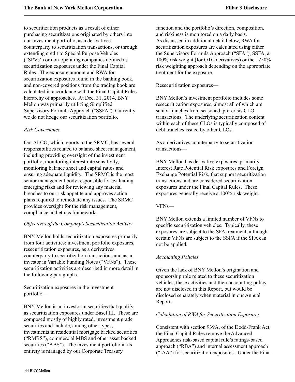to securitization products as a result of either purchasing securitizations originated by others into our investment portfolio, as a derivatives counterparty to securitization transactions, or through extending credit to Special Purpose Vehicles ("SPVs") or non-operating companies defined as securitization exposures under the Final Capital Rules. The exposure amount and RWA for securitization exposures found in the banking book, and non-covered positions from the trading book are calculated in accordance with the Final Capital Rules hierarchy of approaches. At Dec. 31, 2014, BNY Mellon was primarily utilizing Simplified Supervisory Formula Approach ("SSFA"). Currently we do not hedge our securitization portfolio.

### *Risk Governance*

Our ALCO, which reports to the SRMC, has several responsibilities related to balance sheet management, including providing oversight of the investment portfolio, monitoring interest rate sensitivity, monitoring balance sheet and capital ratios and ensuring adequate liquidity. The SRMC is the most senior management body responsible for evaluating emerging risks and for reviewing any material breaches to our risk appetite and approves action plans required to remediate any issues. The SRMC provides oversight for the risk management, compliance and ethics framework.

### *Objectives of the Company's Securitization Activity*

BNY Mellon holds securitization exposures primarily from four activities: investment portfolio exposures, resecuritization exposures, as a derivatives counterparty to securitization transactions and as an investor in Variable Funding Notes ("VFNs"). These securitization activities are described in more detail in the following paragraphs.

Securitization exposures in the investment portfolio—

BNY Mellon is an investor in securities that qualify as securitization exposures under Basel III. These are composed mostly of highly rated, investment grade securities and include, among other types, investments in residential mortgage backed securities ("RMBS"), commercial MBS and other asset backed securities ("ABS"). The investment portfolio in its entirety is managed by our Corporate Treasury

function and the portfolio's direction, composition, and riskiness is monitored on a daily basis. As discussed in additional detail below, RWA for securitization exposures are calculated using either the Supervisory Formula Approach ("SFA"), SSFA, a 100% risk weight (for OTC derivatives) or the 1250% risk weighting approach depending on the appropriate treatment for the exposure.

Resecuritization exposures—

BNY Mellon's investment portfolio includes some resecuritization exposures, almost all of which are senior tranches from seasoned, pre-crisis CLO transactions. The underlying securitization content within each of these CLOs is typically composed of debt tranches issued by other CLOs.

As a derivatives counterparty to securitization transactions—

BNY Mellon has derivative exposures, primarily Interest Rate Potential Risk exposures and Foreign Exchange Potential Risk, that support securitization transactions and are considered securitization exposures under the Final Capital Rules. These exposures generally receive a 100% risk-weight.

### VFNs—

BNY Mellon extends a limited number of VFNs to specific securitization vehicles. Typically, these exposures are subject to the SFA treatment, although certain VFNs are subject to the SSFA if the SFA can not be applied.

### *Accounting Policies*

Given the lack of BNY Mellon's origination and sponsorship role related to these securitization vehicles, these activities and their accounting policy are not disclosed in this Report, but would be disclosed separately when material in our Annual Report.

### *Calculation of RWA for Securitization Exposures*

Consistent with section 939A, of the Dodd-Frank Act, the Final Capital Rules remove the Advanced Approaches risk-based capital rule's ratings-based approach ("RBA") and internal assessment approach ("IAA") for securitization exposures. Under the Final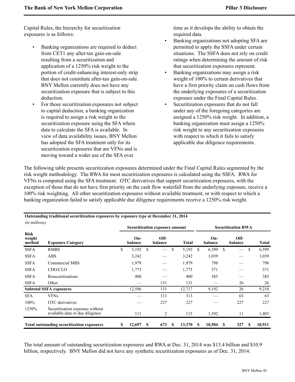Capital Rules, the hierarchy for securitization exposures is as follows:

- Banking organizations are required to deduct from CET1 any after-tax gain-on-sale resulting from a securitization and application of a 1250% risk weight to the portion of credit-enhancing interest-only strip that does not constitute after-tax gain-on-sale. BNY Mellon currently does not have any securitization exposure that is subject to this deduction.
- For those securitization exposures not subject to capital deduction, a banking organization is required to assign a risk weight to the securitization exposure using the SFA where data to calculate the SFA is available. In view of data availability issues, BNY Mellon has adopted the SFA treatment only for its securitization exposures that are VFNs and is moving toward a wider use of the SFA over

time as it develops the ability to obtain the required data.

- Banking organizations not adopting SFA are permitted to apply the SSFA under certain situations. The SSFA does not rely on credit ratings when determining the amount of risk that securitization exposures represent.
- Banking organizations may assign a risk weight of 100% to certain derivatives that have a first priority claim on cash flows from the underlying exposures of a securitization exposure under the Final Capital Rules.
- Securitization exposures that do not fall under any of the foregoing categories are assigned a 1250% risk weight. In addition, a banking organization must assign a 1250% risk weight to any securitization exposures with respect to which it fails to satisfy applicable due diligence requirements.

The following table presents securitization exposures determined under the Final Capital Rules segmented by the risk weight methodology. The RWA for most securitization exposures is calculated using the SSFA. RWA for VFNs is computed using the SFA treatment. OTC derivatives that support securitization exposures, with the exception of those that do not have first priority on the cash flow waterfall from the underlying exposure, receive a 100% risk weighting. All other securitization exposures without available treatment, or with respect to which a banking organization failed to satisfy applicable due diligence requirements receive a 1250% risk weight.

| (in millions)                                     |                                                                    |    |                  |    | Securitization exposure amount |     |              | <b>Securitization RWA</b> |                |   |                               |    |              |  |
|---------------------------------------------------|--------------------------------------------------------------------|----|------------------|----|--------------------------------|-----|--------------|---------------------------|----------------|---|-------------------------------|----|--------------|--|
| <b>Risk</b><br>weight<br>method                   | <b>Exposure Category</b>                                           |    | $On-$<br>balance |    | Off-<br>balance                |     | <b>Total</b> |                           | On-<br>balance |   | Off-<br>balance               |    | <b>Total</b> |  |
| <b>SSFA</b>                                       | <b>RMBS</b>                                                        | \$ | 5,192            | \$ |                                | \$  | 5,192        | S.                        | 6,599          | S | $\overbrace{\phantom{12333}}$ | \$ | 6,599        |  |
| <b>SSFA</b>                                       | <b>ABS</b>                                                         |    | 3,242            |    |                                |     | 3,242        |                           | 1,039          |   |                               |    | 1,039        |  |
| <b>SSFA</b>                                       | Commercial MBS                                                     |    | 1,979            |    |                                |     | 1,979        |                           | 798            |   |                               |    | 798          |  |
| <b>SSFA</b>                                       | CDO/CLO                                                            |    | 1,773            |    |                                |     | 1,773        |                           | 371            |   |                               |    | 371          |  |
| <b>SSFA</b>                                       | Resecuritizations                                                  |    | 400              |    |                                |     | 400          |                           | 385            |   |                               |    | 385          |  |
| <b>SSFA</b>                                       | Other                                                              |    |                  |    | 131                            |     | 131          |                           |                |   | 26                            |    | 26           |  |
|                                                   | <b>Subtotal SSFA exposures</b>                                     |    | 12,586           |    | 131                            |     | 12,717       |                           | 9,192          |   | 26                            |    | 9,218        |  |
| <b>SFA</b>                                        | <b>VFNs</b>                                                        |    |                  |    | 313                            |     | 313          |                           |                |   | 63                            |    | 63           |  |
| 100%                                              | OTC derivatives                                                    |    |                  |    | 227                            |     | 227          |                           |                |   | 227                           |    | 227          |  |
| 1250%                                             | Securitization exposure without<br>available data or due diligence |    | 111              |    | 2                              |     | 113          |                           | 1,392          |   | 11                            |    | 1,403        |  |
| <b>Total outstanding securitization exposures</b> |                                                                    |    | 12,697           | S  | 673                            | \$. | 13,370       | <b>S</b>                  | 10,584         | S | 327                           | S  | 10,911       |  |

**Outstanding traditional securitization exposures by exposure type at December 31, 2014**

The total amount of outstanding securitization exposures and RWA at Dec. 31, 2014 was \$13.4 billion and \$10.9 billion, respectively. BNY Mellon did not have any synthetic securitization exposures as of Dec. 31, 2014.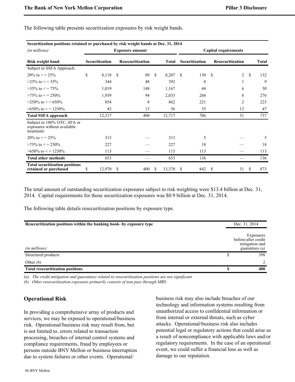| Securitization positions retained or purchased by risk weight bands at Dec. 31, 2014 |                        |                       |    |                         |               |              |                             |                       |               |                  |               |              |  |  |
|--------------------------------------------------------------------------------------|------------------------|-----------------------|----|-------------------------|---------------|--------------|-----------------------------|-----------------------|---------------|------------------|---------------|--------------|--|--|
| (in millions)                                                                        | <b>Exposure amount</b> |                       |    |                         |               |              | <b>Capital requirements</b> |                       |               |                  |               |              |  |  |
| <b>Risk weight band</b>                                                              |                        | <b>Securitization</b> |    | <b>Resecuritization</b> |               | <b>Total</b> |                             | <b>Securitization</b> |               | Resecuritization |               | <b>Total</b> |  |  |
| Subject to SSFA Approach:                                                            |                        |                       |    |                         |               |              |                             |                       |               |                  |               |              |  |  |
| $20\%$ to $\lt$ = 25%                                                                | \$                     | 8,118 \$              |    | 89                      | <sup>\$</sup> | 8,207        | <sup>\$</sup>               | 130                   | <sup>\$</sup> | 2                | <sup>\$</sup> | 132          |  |  |
| $>25\%$ to $\lt$ = 35%                                                               |                        | 344                   |    | 48                      |               | 392          |                             | 8                     |               | 1                |               | 9            |  |  |
| $>35\%$ to $\lt$ = 75%                                                               |                        | 1,019                 |    | 148                     |               | 1,167        |                             | 44                    |               | 6                |               | 50           |  |  |
| $>75\%$ to $\lt$ = 250\%                                                             |                        | 1,939                 |    | 94                      |               | 2,033        |                             | 268                   |               | 8                |               | 276          |  |  |
| $>250\%$ to $\leq$ = 650\%                                                           |                        | 854                   |    | 8                       |               | 862          |                             | 221                   |               | $\overline{2}$   |               | 223          |  |  |
| $>650\%$ to $\lt$ = 1250\%                                                           |                        | 43                    |    | 13                      |               | 56           |                             | 35                    |               | 12               |               | 47           |  |  |
| <b>Total SSFA approach</b>                                                           |                        | 12,317                |    | 400                     |               | 12,717       |                             | 706                   |               | 31               |               | 737          |  |  |
| Subject to 100% OTC, SFA or<br>exposures without available<br>treatment:             |                        |                       |    |                         |               |              |                             |                       |               |                  |               |              |  |  |
| $20\%$ to $\lt$ = 25%                                                                |                        | 313                   |    |                         |               | 313          |                             | 5                     |               |                  |               | 5            |  |  |
| $>75\%$ to $\lt$ = 250\%                                                             |                        | 227                   |    |                         |               | 227          |                             | 18                    |               |                  |               | 18           |  |  |
| $>650\%$ to $\leq$ = 1250\%                                                          |                        | 113                   |    |                         |               | 113          |                             | 113                   |               |                  |               | 113          |  |  |
| <b>Total other methods</b>                                                           |                        | 653                   |    |                         |               | 653          |                             | 136                   |               |                  |               | 136          |  |  |
| <b>Total securitization positions</b><br>retained or purchased                       | \$                     | 12,970                | -S | 400                     | S.            | 13,370       | S                           | 842                   | S             | 31               | \$.           | 873          |  |  |

The following table presents securitization exposures by risk weight bands.

The total amount of outstanding securitization exposures subject to risk weighting were \$13.4 billion at Dec. 31, 2014. Capital requirements for those securitization exposures was \$0.9 billion at Dec. 31, 2014.

The following table details resecuritization positions by exposure type.

| Resecuritization positions within the banking book- by exposure type | Dec. 31, 2014                                                          |  |  |
|----------------------------------------------------------------------|------------------------------------------------------------------------|--|--|
| (in millions)                                                        | Exposures<br>before/after credit<br>mitigation and<br>guarantees $(a)$ |  |  |
| Structured products                                                  | 398                                                                    |  |  |
| Other $(b)$                                                          | $2^{1}$                                                                |  |  |
| <b>Total resecuritization positions</b>                              | 400                                                                    |  |  |

*(a) The credit mitigation and guarantees related to resecuritization positions are not significant.*

*(b) Other resecuritization exposures primarily consists of non pass through MBS.*

### <span id="page-47-0"></span>**Operational Risk**

In providing a comprehensive array of products and services, we may be exposed to operational/business risk. Operational/business risk may result from, but is not limited to, errors related to transaction processing, breaches of internal control systems and compliance requirements, fraud by employees or persons outside BNY Mellon or business interruption due to system failures or other events. Operational/

business risk may also include breaches of our technology and information systems resulting from unauthorized access to confidential information or from internal or external threats, such as cyber attacks. Operational/business risk also includes potential legal or regulatory actions that could arise as a result of noncompliance with applicable laws and/or regulatory requirements. In the case of an operational event, we could suffer a financial loss as well as damage to our reputation.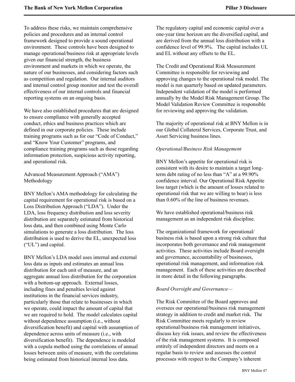To address these risks, we maintain comprehensive policies and procedures and an internal control framework designed to provide a sound operational environment. These controls have been designed to manage operational/business risk at appropriate levels given our financial strength, the business environment and markets in which we operate, the nature of our businesses, and considering factors such as competition and regulation. Our internal auditors and internal control group monitor and test the overall effectiveness of our internal controls and financial reporting systems on an ongoing basis.

We have also established procedures that are designed to ensure compliance with generally accepted conduct, ethics and business practices which are defined in our corporate policies. These include training programs such as for our "Code of Conduct," and "Know Your Customer" programs, and compliance training programs such as those regarding information protection, suspicious activity reporting, and operational risk.

Advanced Measurement Approach ("AMA") Methodology

BNY Mellon's AMA methodology for calculating the capital requirement for operational risk is based on a Loss Distribution Approach ("LDA"). Under the LDA, loss frequency distribution and loss severity distribution are separately estimated from historical loss data, and then combined using Monte Carlo simulations to generate a loss distribution. The loss distribution is used to derive the EL, unexpected loss ("UL") and capital.

BNY Mellon's LDA model uses internal and external loss data as inputs and estimates an annual loss distribution for each unit of measure, and an aggregate annual loss distribution for the corporation with a bottom-up approach. External losses, including fines and penalties levied against institutions in the financial services industry, particularly those that relate to businesses in which we operate, could impact the amount of capital that we are required to hold. The model calculates capital without dependence assumption (i.e., without diversification benefit) and capital with assumption of dependence across units of measure (i.e., with diversification benefit). The dependence is modeled with a copula method using the correlations of annual losses between units of measure, with the correlations being estimated from historical internal loss data.

The regulatory capital and economic capital over a one-year time horizon are the diversified capital, and are derived from the annual loss distribution with a confidence level of 99.9%. The capital includes UL and EL without any offsets to the EL.

The Credit and Operational Risk Measurement Committee is responsible for reviewing and approving changes to the operational risk model. The model is run quarterly based on updated parameters. Independent validation of the model is performed annually by the Model Risk Management Group. The Model Validation Review Committee is responsible for reviewing and approving the validation.

The majority of operational risk at BNY Mellon is in our Global Collateral Services, Corporate Trust, and Asset Servicing business lines.

#### *Operational/Business Risk Management*

BNY Mellon's appetite for operational risk is consistent with its desire to maintain a target longterm debt rating of no less than "A" at a 99.90% confidence interval. Our Operational Risk Appetite loss target (which is the amount of losses related to operational risk that we are willing to bear) is less than 0.60% of the line of business revenues.

We have established operational/business risk management as an independent risk discipline.

The organizational framework for operational/ business risk is based upon a strong risk culture that incorporates both governance and risk management activities. These activities include Board oversight and governance, accountability of businesses, operational risk management, and information risk management. Each of these activities are described in more detail in the following paragraphs.

### *Board Oversight and Governance—*

The Risk Committee of the Board approves and oversees our operational/business risk management strategy in addition to credit and market risk. The Risk Committee meets regularly to review operational/business risk management initiatives, discuss key risk issues, and review the effectiveness of the risk management systems. It is composed entirely of independent directors and meets on a regular basis to review and assesses the control processes with respect to the Company's inherent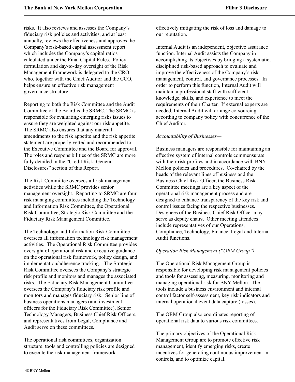risks. It also reviews and assesses the Company's fiduciary risk policies and activities, and at least annually, reviews the effectiveness and approves the Company's risk-based capital assessment report which includes the Company's capital ratios calculated under the Final Capital Rules. Policy formulation and day-to-day oversight of the Risk Management Framework is delegated to the CRO, who, together with the Chief Auditor and the CCO, helps ensure an effective risk management governance structure.

Reporting to both the Risk Committee and the Audit Committee of the Board is the SRMC. The SRMC is responsible for evaluating emerging risks issues to ensure they are weighted against our risk appetite. The SRMC also ensures that any material amendments to the risk appetite and the risk appetite statement are properly vetted and recommended to the Executive Committee and the Board for approval. The roles and responsibilities of the SRMC are more fully detailed in the "Credit Risk: General Disclosures" section of this Report.

The Risk Committee oversees all risk management activities while the SRMC provides senior management oversight. Reporting to SRMC are four risk managing committees including the Technology and Information Risk Committee, the Operational Risk Committee, Strategic Risk Committee and the Fiduciary Risk Management Committee.

The Technology and Information Risk Committee oversees all information technology risk management activities. The Operational Risk Committee provides oversight of operational risk and executive guidance on the operational risk framework, policy design, and implementation/adherence tracking. The Strategic Risk Committee oversees the Company's strategic risk profile and monitors and manages the associated risks. The Fiduciary Risk Management Committee oversees the Company's fiduciary risk profile and monitors and manages fiduciary risk. Senior line of business operations managers (and investment officers for the Fiduciary Risk Committee), Senior Technology Managers, Business Chief Risk Officers, and representatives from Legal, Compliance and Audit serve on these committees.

The operational risk committees, organization structure, tools and controlling policies are designed to execute the risk management framework

effectively mitigating the risk of loss and damage to our reputation.

Internal Audit is an independent, objective assurance function. Internal Audit assists the Company in accomplishing its objectives by bringing a systematic, disciplined risk-based approach to evaluate and improve the effectiveness of the Company's risk management, control, and governance processes. In order to perform this function, Internal Audit will maintain a professional staff with sufficient knowledge, skills, and experience to meet the requirements of their Charter. If external experts are needed, Internal Audit will arrange co-sourcing according to company policy with concurrence of the Chief Auditor.

### *Accountability of Businesses—*

Business managers are responsible for maintaining an effective system of internal controls commensurate with their risk profiles and in accordance with BNY Mellon policies and procedures. Co-chaired by the heads of the relevant lines of business and the Business Chief Risk Officer, the Business Risk Committee meetings are a key aspect of the operational risk management process and are designed to enhance transparency of the key risk and control issues facing the respective businesses. Designees of the Business Chief Risk Officer may serve as deputy chairs. Other meeting attendees include representatives of our Operations, Compliance, Technology, Finance, Legal and Internal Audit functions.

### *Operation Risk Management ("ORM Group")—*

The Operational Risk Management Group is responsible for developing risk management policies and tools for assessing, measuring, monitoring and managing operational risk for BNY Mellon. The tools include a business environment and internal control factor self-assessment, key risk indicators and internal operational event data capture (losses).

The ORM Group also coordinates reporting of operational risk data to various risk committees.

The primary objectives of the Operational Risk Management Group are to promote effective risk management, identify emerging risks, create incentives for generating continuous improvement in controls, and to optimize capital.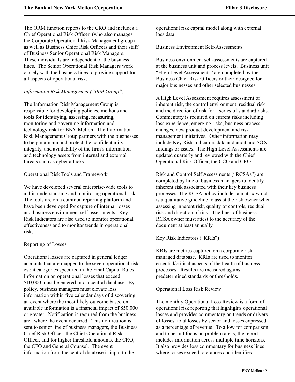The ORM function reports to the CRO and includes a Chief Operational Risk Officer, (who also manages the Corporate Operational Risk Management group) as well as Business Chief Risk Officers and their staff of Business Senior Operational Risk Managers. These individuals are independent of the business lines. The Senior Operational Risk Managers work closely with the business lines to provide support for all aspects of operational risk.

### *Information Risk Management ("IRM Group")—*

The Information Risk Management Group is responsible for developing policies, methods and tools for identifying, assessing, measuring, monitoring and governing information and technology risk for BNY Mellon. The Information Risk Management Group partners with the businesses to help maintain and protect the confidentiality, integrity, and availability of the firm's information and technology assets from internal and external threats such as cyber attacks.

### Operational Risk Tools and Framework

We have developed several enterprise-wide tools to aid in understanding and monitoring operational risk. The tools are on a common reporting platform and have been developed for capture of internal losses and business environment self-assessments. Key Risk Indicators are also used to monitor operational effectiveness and to monitor trends in operational risk.

### Reporting of Losses

Operational losses are captured in general ledger accounts that are mapped to the seven operational risk event categories specified in the Final Capital Rules. Information on operational losses that exceed \$10,000 must be entered into a central database. By policy, business managers must elevate loss information within five calendar days of discovering an event where the most likely outcome based on available information is a financial impact of \$50,000 or greater. Notification is required from the business area where the event occurred. This notification is sent to senior line of business managers, the Business Chief Risk Officer, the Chief Operational Risk Officer, and for higher threshold amounts, the CRO, the CFO and General Counsel. The event information from the central database is input to the

operational risk capital model along with external loss data.

Business Environment Self-Assessments

Business environment self-assessments are captured at the business unit and process levels. Business unit "High Level Assessments" are completed by the Business Chief Risk Officers or their designee for major businesses and other selected businesses.

A High Level Assessment requires assessment of inherent risk, the control environment, residual risk and the direction of risk for a series of standard risks. Commentary is required on current risks including loss experience, emerging risks, business process changes, new product development and risk management initiatives. Other information may include Key Risk Indicators data and audit and SOX findings or issues. The High Level Assessments are updated quarterly and reviewed with the Chief Operational Risk Officer, the CCO and CRO.

Risk and Control Self Assessments ("RCSAs") are completed by line of business managers to identify inherent risk associated with their key business processes. The RCSA policy includes a matrix which is a qualitative guideline to assist the risk owner when assessing inherent risk, quality of controls, residual risk and direction of risk. The lines of business RCSA owner must attest to the accuracy of the document at least annually.

Key Risk Indicators ("KRIs")

KRIs are metrics captured on a corporate risk managed database. KRIs are used to monitor essential/critical aspects of the health of business processes. Results are measured against predetermined standards or thresholds.

Operational Loss Risk Review

The monthly Operational Loss Review is a form of operational risk reporting that highlights operational losses and provides commentary on trends or drivers of losses, total losses by sector and losses expressed as a percentage of revenue. To allow for comparison and to permit focus on problem areas, the report includes information across multiple time horizons. It also provides loss commentary for business lines where losses exceed tolerances and identifies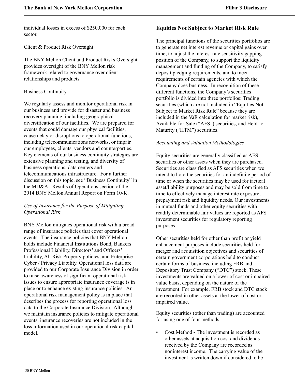individual losses in excess of \$250,000 for each sector.

Client & Product Risk Oversight

The BNY Mellon Client and Product Risks Oversight provides oversight of the BNY Mellon risk framework related to governance over client relationships and products.

### Business Continuity

We regularly assess and monitor operational risk in our business and provide for disaster and business recovery planning, including geographical diversification of our facilities. We are prepared for events that could damage our physical facilities, cause delay or disruptions to operational functions, including telecommunications networks, or impair our employees, clients, vendors and counterparties. Key elements of our business continuity strategies are extensive planning and testing, and diversity of business operations, data centers and telecommunications infrastructure. For a further discussion on this topic, see "Business Continuity" in the MD&A - Results of Operations section of the 2014 BNY Mellon Annual Report on Form 10-K.

# *Use of Insurance for the Purpose of Mitigating Operational Risk*

<span id="page-51-0"></span>BNY Mellon mitigates operational risk with a broad range of insurance policies that cover operational events. The insurance policies that BNY Mellon holds include Financial Institutions Bond, Bankers Professional Liability, Directors' and Officers' Liability, All Risk Property policies, and Enterprise Cyber / Privacy Liability. Operational loss data are provided to our Corporate Insurance Division in order to raise awareness of significant operational risk issues to ensure appropriate insurance coverage is in place or to enhance existing insurance policies. An operational risk management policy is in place that describes the process for reporting operational loss data to the Corporate Insurance Division. Although we maintain insurance policies to mitigate operational events, insurance recoveries are not included in the loss information used in our operational risk capital model.

### **Equities Not Subject to Market Risk Rule**

The principal functions of the securities portfolios are to generate net interest revenue or capital gains over time, to adjust the interest rate sensitivity gapping position of the Company, to support the liquidity management and funding of the Company, to satisfy deposit pledging requirements, and to meet requirements of certain agencies with which the Company does business. In recognition of these different functions, the Company's securities portfolio is divided into three portfolios: Trading securities (which are not included in "Equities Not Subject to Market Risk Rule" because they are included in the VaR calculation for market risk), Available-for-Sale ("AFS") securities, and Held-to-Maturity ("HTM") securities.

### *Accounting and Valuation Methodologies*

Equity securities are generally classified as AFS securities or other assets when they are purchased. Securities are classified as AFS securities when we intend to hold the securities for an indefinite period of time or when the securities may be used for tactical asset/liability purposes and may be sold from time to time to effectively manage interest rate exposure, prepayment risk and liquidity needs. Our investments in mutual funds and other equity securities with readily determinable fair values are reported as AFS investment securities for regulatory reporting purposes.

Other securities held for other than profit or yield enhancement purposes include securities held for merger and acquisition objectives and securities of certain government corporations held to conduct certain forms of business, including FRB and Depository Trust Company ("DTC") stock. These investments are valued on a lower of cost or impaired value basis, depending on the nature of the investment. For example, FRB stock and DTC stock are recorded in other assets at the lower of cost or impaired value.

Equity securities (other than trading) are accounted for using one of four methods:

• Cost Method **-** The investment is recorded as other assets at acquisition cost and dividends received by the Company are recorded as noninterest income. The carrying value of the investment is written down if considered to be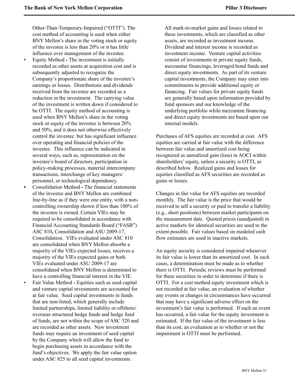Other-Than-Temporary-Impaired ("OTTI"). The cost method of accounting is used when either BNY Mellon's share in the voting stock or equity of the investee is less than 20% or it has little influence over management of the investee.

- Equity Method The investment is initially recorded as other assets at acquisition cost and is subsequently adjusted to recognize the Company's proportionate share of the investee's earnings or losses. Distributions and dividends received from the investee are recorded as a reduction in the investment. The carrying value of the investment is written down if considered to be OTTI. The equity method of accounting is used when BNY Mellon's share in the voting stock or equity of the investee is between 20% and 50%, and it does not otherwise effectively control the investee but has significant influence over operating and financial policies of the investee. This influence can be indicated in several ways, such as, representation on the investee's board of directors, participation in policy-making processes, material intercompany transactions, interchange of key managers/ personnel, or technological dependency.
- Consolidation Method **-** The financial statements of the investee and BNY Mellon are combined line-by-line as if they were one entity, with a noncontrolling ownership shown if less than 100% of the investee is owned. Certain VIEs may be required to be consolidated in accordance with Financial Accounting Standards Board ("FASB") ASC 810**,** Consolidation and ASU 2009-17, Consolidation. VIEs evaluated under ASC 810 are consolidated when BNY Mellon absorbs a majority of the VIEs expected losses, receives a majority of the VIEs expected gains or both. VIEs evaluated under ASU 2009-17 are consolidated when BNY Mellon is determined to have a controlling financial interest in the VIE.
- Fair Value Method **-** Equities such as seed capital and venture capital investments are accounted for at fair value. Seed capital investments in funds that are non-listed, which generally include limited partnerships, limited liability or offshore/ overseas structured hedge funds and hedge fund of funds, are not within the scope of ASC 320 and are recorded as other assets. New investment funds may require an investment of seed capital by the Company which will allow the fund to begin purchasing assets in accordance with the fund's objectives. We apply the fair value option under ASC 825 to all seed capital investments.

All mark-to-market gains and losses related to these investments, which are classified as other assets, are recorded as investment income. Dividend and interest income is recorded as investment income. Venture capital activities consist of investments in private equity funds, mezzanine financings, leveraged bond funds and direct equity investments. As part of its venture capital investments, the Company may enter into commitments to provide additional equity or financing. Fair values for private equity funds are generally based upon information provided by fund sponsors and our knowledge of the underlying portfolio while mezzanine financing and direct equity investments are based upon our internal models.

Purchases of AFS equities are recorded at cost. AFS equities are carried at fair value with the difference between fair value and amortized cost being recognized as unrealized gain (loss) in AOCI within shareholders' equity, unless a security is OTTI, as described below. Realized gains and losses for equities classified as AFS securities are recorded as gains or losses.

Changes in fair value for AFS equities are recorded monthly. The fair value is the price that would be received to sell a security or paid to transfer a liability (e.g., short positions) between market participants on the measurement date. Quoted prices (unadjusted) in active markets for identical securities are used to the extent possible. Fair values based on modeled cash flow estimates are used in inactive markets.

An equity security is considered impaired whenever its fair value is lower than its amortized cost. In such cases, a determination must be made as to whether there is OTTI. Periodic reviews must be performed for these securities in order to determine if there is OTTI. For a cost method equity investment which is not recorded at fair value, an evaluation of whether any events or changes in circumstances have occurred that may have a significant adverse effect on the investment's fair value is performed. If such an event has occurred, a fair value for the equity investment is estimated. If the fair value of the investment is less than its cost, an evaluation as to whether or not the impairment is OTTI must be performed.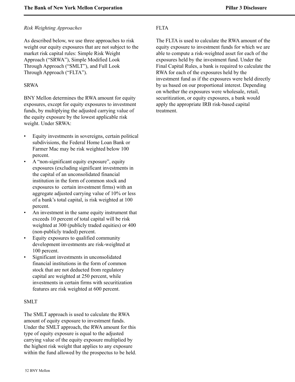### *Risk Weighting Approaches*

As described below, we use three approaches to risk weight our equity exposures that are not subject to the market risk capital rules: Simple Risk Weight Approach ("SRWA"), Simple Modified Look Through Approach ("SMLT"), and Full Look Through Approach ("FLTA").

### SRWA

BNY Mellon determines the RWA amount for equity exposures, except for equity exposures to investment funds, by multiplying the adjusted carrying value of the equity exposure by the lowest applicable risk weight. Under SRWA:

- Equity investments in sovereigns, certain political subdivisions, the Federal Home Loan Bank or Farmer Mac may be risk weighted below 100 percent.
- A "non-significant equity exposure", equity exposures (excluding significant investments in the capital of an unconsolidated financial institution in the form of common stock and exposures to certain investment firms) with an aggregate adjusted carrying value of 10% or less of a bank's total capital, is risk weighted at 100 percent.
- An investment in the same equity instrument that exceeds 10 percent of total capital will be risk weighted at 300 (publicly traded equities) or 400 (non-publicly traded) percent.
- Equity exposures to qualified community development investments are risk-weighted at 100 percent.
- Significant investments in unconsolidated financial institutions in the form of common stock that are not deducted from regulatory capital are weighted at 250 percent, while investments in certain firms with securitization features are risk weighted at 600 percent.

### SMLT

The SMLT approach is used to calculate the RWA amount of equity exposure to investment funds. Under the SMLT approach, the RWA amount for this type of equity exposure is equal to the adjusted carrying value of the equity exposure multiplied by the highest risk weight that applies to any exposure within the fund allowed by the prospectus to be held.

# FLTA

The FLTA is used to calculate the RWA amount of the equity exposure to investment funds for which we are able to compute a risk-weighted asset for each of the exposures held by the investment fund. Under the Final Capital Rules, a bank is required to calculate the RWA for each of the exposures held by the investment fund as if the exposures were held directly by us based on our proportional interest. Depending on whether the exposures were wholesale, retail, securitization, or equity exposures, a bank would apply the appropriate IRB risk-based capital treatment.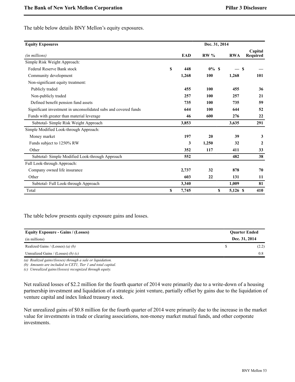The table below details BNY Mellon's equity exposures.

| <b>Equity Exposures</b>                                         |    |            | Dec. 31, 2014 |            |                     |
|-----------------------------------------------------------------|----|------------|---------------|------------|---------------------|
| (in millions)                                                   |    | <b>EAD</b> | <b>RW%</b>    | <b>RWA</b> | Capital<br>Required |
| Simple Risk Weight Approach:                                    |    |            |               |            |                     |
| <b>Federal Reserve Bank stock</b>                               | \$ | 448        | $0\%$ \$      | -S         |                     |
| Community development                                           |    | 1,268      | 100           | 1,268      | 101                 |
| Non-significant equity treatment:                               |    |            |               |            |                     |
| Publicly traded                                                 |    | 455        | 100           | 455        | 36                  |
| Non-publicly traded                                             |    | 257        | 100           | 257        | 21                  |
| Defined benefit pension fund assets                             |    | 735        | 100           | 735        | 59                  |
| Significant investment in unconsolidated subs and covered funds |    | 644        | 100           | 644        | 52                  |
| Funds with greater than material leverage                       |    | 46         | 600           | 276        | 22                  |
| Subtotal-Simple Risk Weight Approach                            |    | 3,853      |               | 3,635      | 291                 |
| Simple Modified Look-through Approach:                          |    |            |               |            |                     |
| Money market                                                    |    | 197        | 20            | 39         | 3                   |
| Funds subject to 1250% RW                                       |    | 3          | 1,250         | 32         | $\mathbf{2}$        |
| Other                                                           |    | 352        | 117           | 411        | 33                  |
| Subtotal-Simple Modified Look-through Approach                  |    | 552        |               | 482        | 38                  |
| Full Look-through Approach:                                     |    |            |               |            |                     |
| Company owned life insurance                                    |    | 2,737      | 32            | 878        | 70                  |
| Other                                                           |    | 603        | 22            | 131        | 11                  |
| Subtotal-Full Look-through Approach                             |    | 3,340      |               | 1,009      | 81                  |
| Total                                                           | S  | 7,745      | \$            | 5,126 \$   | 410                 |

The table below presents equity exposure gains and losses.

| <b>Ouarter Ended</b> |
|----------------------|
| Dec. 31, 2014        |
| (2.2)                |
| 0.8                  |
|                      |

*(a) Realized gains/(losses) through a sale or liquidation.*

*(b) Amounts are included in CET1, Tier 1 and total capital.*

*(c) Unrealized gains/(losses) recognized through equity.*

Net realized losses of \$2.2 million for the fourth quarter of 2014 were primarily due to a write-down of a housing partnership investment and liquidation of a strategic joint venture, partially offset by gains due to the liquidation of venture capital and index linked treasury stock.

Net unrealized gains of \$0.8 million for the fourth quarter of 2014 were primarily due to the increase in the market value for investments in trade or clearing associations, non-money market mutual funds, and other corporate investments.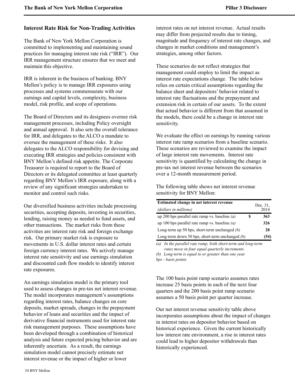# <span id="page-55-0"></span>**Interest Rate Risk for Non-Trading Activities**

The Bank of New York Mellon Corporation is committed to implementing and maintaining sound practices for managing interest rate risk ("IRR"). Our IRR management structure ensures that we meet and maintain this objective.

IRR is inherent in the business of banking. BNY Mellon's policy is to manage IRR exposures using processes and systems commensurate with our earnings and capital levels, complexity, business model, risk profile, and scope of operations.

The Board of Directors and its designees oversee risk management processes, including Policy oversight and annual approval. It also sets the overall tolerance for IRR, and delegates to the ALCO a mandate to oversee the management of these risks. It also delegates to the ALCO responsibility for devising and executing IRR strategies and policies consistent with BNY Mellon's defined risk appetite. The Corporate Treasurer is required to report to the Board of Directors or its delegated committee at least quarterly regarding BNY Mellon's IRR exposure, along with a review of any significant strategies undertaken to monitor and control such risks.

Our diversified business activities include processing securities, accepting deposits, investing in securities, lending, raising money as needed to fund assets, and other transactions. The market risks from these activities are interest rate risk and foreign exchange risk. Our primary market risk is exposure to movements in U.S. dollar interest rates and certain foreign currency interest rates. We actively manage interest rate sensitivity and use earnings simulation and discounted cash flow models to identify interest rate exposures.

An earnings simulation model is the primary tool used to assess changes in pre-tax net interest revenue. The model incorporates management's assumptions regarding interest rates, balance changes on core deposits, market spreads, changes in the prepayment behavior of loans and securities and the impact of derivative financial instruments used for interest rate risk management purposes. These assumptions have been developed through a combination of historical analysis and future expected pricing behavior and are inherently uncertain. As a result, the earnings simulation model cannot precisely estimate net interest revenue or the impact of higher or lower

interest rates on net interest revenue. Actual results may differ from projected results due to timing, magnitude and frequency of interest rate changes, and changes in market conditions and management's strategies, among other factors.

These scenarios do not reflect strategies that management could employ to limit the impact as interest rate expectations change. The table below relies on certain critical assumptions regarding the balance sheet and depositors' behavior related to interest rate fluctuations and the prepayment and extension risk in certain of our assets. To the extent that actual behavior is different from that assumed in the models, there could be a change in interest rate sensitivity.

We evaluate the effect on earnings by running various interest rate ramp scenarios from a baseline scenario. These scenarios are reviewed to examine the impact of large interest rate movements. Interest rate sensitivity is quantified by calculating the change in pre-tax net interest revenue between the scenarios over a 12-month measurement period.

The following table shows net interest revenue sensitivity for BNY Mellon:

| Estimated change in net interest revenue          | Dec. 31, |
|---------------------------------------------------|----------|
| (dollars in millions)                             | 2014     |
| up 200 bps parallel rate ramp vs. baseline $(a)$  | 363      |
| up 100 bps parallel rate ramp vs. baseline $(a)$  | 326      |
| Long-term up 50 bps, short-term unchanged $(b)$   | 28       |
| Long-term down 50 bps, short-term unchanged $(b)$ | (54)     |

*(a) In the parallel rate ramp, both short-term and long-term rates move in four equal quarterly increments.*

*(b) Long-term is equal to or greater than one year. bps - basis points.*

The 100 basis point ramp scenario assumes rates increase 25 basis points in each of the next four quarters and the 200 basis point ramp scenario assumes a 50 basis point per quarter increase.

Our net interest revenue sensitivity table above incorporates assumptions about the impact of changes in interest rates on depositor behavior based on historical experience. Given the current historically low interest rate environment, a rise in interest rates could lead to higher depositor withdrawals than historically experienced.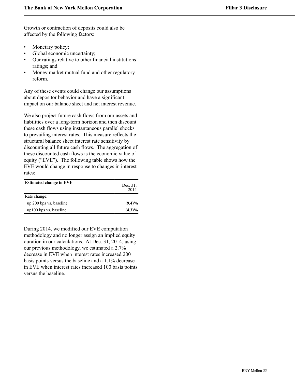Growth or contraction of deposits could also be affected by the following factors:

- Monetary policy;
- Global economic uncertainty;
- Our ratings relative to other financial institutions' ratings; and
- Money market mutual fund and other regulatory reform.

Any of these events could change our assumptions about depositor behavior and have a significant impact on our balance sheet and net interest revenue.

We also project future cash flows from our assets and liabilities over a long-term horizon and then discount these cash flows using instantaneous parallel shocks to prevailing interest rates. This measure reflects the structural balance sheet interest rate sensitivity by discounting all future cash flows. The aggregation of these discounted cash flows is the economic value of equity ("EVE"). The following table shows how the EVE would change in response to changes in interest rates:

| <b>Estimated change in EVE</b> | Dec. 31,<br>2014 |
|--------------------------------|------------------|
| Rate change:                   |                  |
| up 200 bps vs. baseline        | $(9.4)\%$        |
| up100 bps vs. baseline         | $(4.3)\%$        |

During 2014, we modified our EVE computation methodology and no longer assign an implied equity duration in our calculations. At Dec. 31, 2014, using our previous methodology, we estimated a 2.7% decrease in EVE when interest rates increased 200 basis points versus the baseline and a 1.1% decrease in EVE when interest rates increased 100 basis points versus the baseline.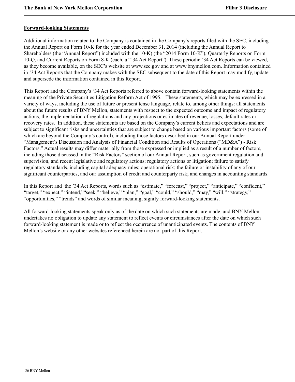### <span id="page-57-0"></span>**Forward-looking Statements**

Additional information related to the Company is contained in the Company's reports filed with the SEC, including the Annual Report on Form 10-K for the year ended December 31, 2014 (including the Annual Report to Shareholders (the "Annual Report") included with the 10-K) (the "2014 Form 10-K"), Quarterly Reports on Form 10-Q, and Current Reports on Form 8-K (each, a "'34 Act Report"). These periodic '34 Act Reports can be viewed, as they become available, on the SEC's website at www.sec.gov and at www.bnymellon.com. Information contained in '34 Act Reports that the Company makes with the SEC subsequent to the date of this Report may modify, update and supersede the information contained in this Report.

This Report and the Company's '34 Act Reports referred to above contain forward-looking statements within the meaning of the Private Securities Litigation Reform Act of 1995. These statements, which may be expressed in a variety of ways, including the use of future or present tense language, relate to, among other things: all statements about the future results of BNY Mellon, statements with respect to the expected outcome and impact of regulatory actions, the implementation of regulations and any projections or estimates of revenue, losses, default rates or recovery rates. In addition, these statements are based on the Company's current beliefs and expectations and are subject to significant risks and uncertainties that are subject to change based on various important factors (some of which are beyond the Company's control), including those factors described in our Annual Report under "Management's Discussion and Analysis of Financial Condition and Results of Operations ("MD&A") - Risk Factors." Actual results may differ materially from those expressed or implied as a result of a number of factors, including those discussed in the "Risk Factors" section of our Annual Report, such as government regulation and supervision, and recent legislative and regulatory actions; regulatory actions or litigation; failure to satisfy regulatory standards, including capital adequacy rules; operational risk; the failure or instability of any of our significant counterparties, and our assumption of credit and counterparty risk; and changes in accounting standards.

In this Report and the '34 Act Reports, words such as "estimate," "forecast," "project," "anticipate," "confident," "target," "expect," "intend," "seek," "believe," "plan," "goal," "could," "should," "may," "will," "strategy," "opportunities," "trends" and words of similar meaning, signify forward-looking statements.

All forward-looking statements speak only as of the date on which such statements are made, and BNY Mellon undertakes no obligation to update any statement to reflect events or circumstances after the date on which such forward-looking statement is made or to reflect the occurrence of unanticipated events. The contents of BNY Mellon's website or any other websites referenced herein are not part of this Report.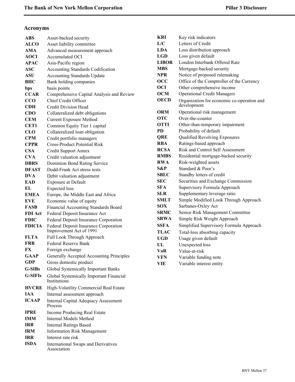# <span id="page-58-0"></span>**Acronyms**

| ABS            | Asset-backed security                                            |
|----------------|------------------------------------------------------------------|
| <b>ALCO</b>    | Asset liability committee                                        |
| <b>AMA</b>     | Advanced measurement approach                                    |
| <b>AOCI</b>    | Accumulated OCI                                                  |
| <b>APAC</b>    | Asia-Pacific region                                              |
| ASC            | <b>Accounting Standards Codification</b>                         |
| ASU            | <b>Accounting Standards Update</b>                               |
| <b>BHC</b>     | Bank holding companies                                           |
| bps            | basis points                                                     |
| <b>CCAR</b>    | Comprehensive Capital Analysis and Review                        |
| <b>CCO</b>     | Chief Credit Officer                                             |
| CDH            | <b>Credit Division Head</b>                                      |
| <b>CDO</b>     | Collateralized debt obligations                                  |
| <b>CEM</b>     | <b>Current Exposure Method</b>                                   |
| <b>CET1</b>    | Common Equity Tier 1 capital                                     |
| <b>CLO</b>     | Collateralized loan obligation                                   |
| <b>CPM</b>     | Credit portfolio managers                                        |
| <b>CPPR</b>    | <b>Cross-Product Potential Risk</b>                              |
| <b>CSA</b>     | <b>Credit Support Annex</b>                                      |
| <b>CVA</b>     | Credit valuation adjustment                                      |
| <b>DBRS</b>    | Dominion Bond Rating Service                                     |
| <b>DFAST</b>   | Dodd-Frank Act stress tests                                      |
| <b>DVA</b>     | Debit valuation adjustment                                       |
| EAD            | <b>Exposure at Default</b>                                       |
| EL.            | <b>Expected</b> loss                                             |
| <b>EMEA</b>    | Europe, the Middle East and Africa                               |
| <b>EVE</b>     | Economic value of equity                                         |
| <b>FASB</b>    | <b>Financial Accounting Standards Board</b>                      |
| <b>FDI</b> Act | Federal Deposit Insurance Act                                    |
| <b>FDIC</b>    | Federal Deposit Insurance Corporation                            |
| <b>FDICIA</b>  | Federal Deposit Insurance Corporation<br>Improvement Act of 1991 |
| <b>FLTA</b>    | Full Look Through Approach                                       |
| FRB            | <b>Federal Reserve Bank</b>                                      |
| FX             | Foreign exchange                                                 |
| GAAP           | Generally Accepted Accounting Principles                         |
| GDP            | Gross domestic product                                           |
| G-SIBs         | <b>Global Systemically Important Banks</b>                       |
| <b>G-SIFIs</b> | Global Systemically Important Financial<br>Institutions          |
| <b>HVCRE</b>   | High-Volatility Commercial Real Estate                           |
| <b>IAA</b>     | Internal assessment approach                                     |
| <b>ICAAP</b>   | <b>Internal Capital Adequacy Assessment</b>                      |
|                | Process                                                          |
| <b>IPRE</b>    | Income Producing Real Estate                                     |
| IMM            | <b>Internal Models Method</b>                                    |
| IRB            | <b>Internal Ratings Based</b>                                    |
| <b>IRM</b>     | <b>Information Risk Management</b>                               |
| IRR            | Interest rate risk                                               |
| <b>ISDA</b>    | <b>International Swaps and Derivatives</b><br>Association        |

| KRI          | Key risk indicators                                       |
|--------------|-----------------------------------------------------------|
| L/C          | Letters of Credit                                         |
| <b>LDA</b>   | Loss distribution approach                                |
| LGD          | Loss given default                                        |
| <b>LIBOR</b> | London Interbank Offered Rate                             |
| <b>MBS</b>   | Mortgage-backed security                                  |
| NPR)         | Notice of proposed rulemaking                             |
| $\bf{O}CC$   | Office of the Comptroller of the Currency                 |
| <b>OCI</b>   | Other comprehensive income                                |
| <b>OCM</b>   | <b>Operational Credit Managers</b>                        |
| <b>OECD</b>  | Organization for economic co-operation and<br>development |
| ORM          | Operational risk management                               |
| <b>OTC</b>   | Over-the-counter                                          |
| <b>OTTI</b>  | Other-than-temporary impairment                           |
| <b>PD</b>    | Probability of default                                    |
| <b>QRE</b>   | Qualified Revolving Exposures                             |
| <b>RBA</b>   | Ratings-based approach                                    |
| <b>RCSA</b>  | <b>Risk and Control Self Assessment</b>                   |
| <b>RMBS</b>  | Residential mortgage-backed security                      |
| <b>RWA</b>   | Risk-weighted assets                                      |
| S&P          | Standard & Poor's                                         |
| SBLC         | Standby letters of credit                                 |
| SEC          | Securities and Exchange Commission                        |
| SFA          | Supervisory Formula Approach                              |
| SLR          | Supplementary leverage ratio                              |
| SMLT         | Simple Modified Look Through Approach                     |
| <b>SOX</b>   | Sarbanes-Oxley Act                                        |
| SRMC         | Senior Risk Management Committee                          |
| <b>SRWA</b>  | Simple Risk Weight Approach                               |
| SSFA         | Simplified Supervisory Formula Approach                   |
| <b>TLAC</b>  | Total-loss absorbing capacity                             |
| UGD          | Usage given default                                       |
| UL.          | Unexpected loss                                           |
| VaR          | Value-at-risk                                             |
| VFN          | Variable funding note                                     |
| VIE          | Variable interest entity                                  |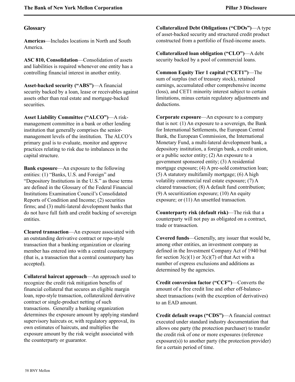### <span id="page-59-0"></span>**Glossary**

**Americas**—Includes locations in North and South America.

**ASC 810, Consolidation**—Consolidation of assets and liabilities is required whenever one entity has a controlling financial interest in another entity.

**Asset-backed security ("ABS")**—A financial security backed by a loan, lease or receivables against assets other than real estate and mortgage-backed securities.

**Asset Liability Committee ("ALCO")**—A riskmanagement committee in a bank or other lending institution that generally comprises the seniormanagement levels of the institution. The ALCO's primary goal is to evaluate, monitor and approve practices relating to risk due to imbalances in the capital structure.

**Bank exposure**—An exposure to the following entities: (1) "Banks, U.S. and Foreign" and "Depository Institutions in the U.S." as those terms are defined in the Glossary of the Federal Financial Institutions Examination Council's Consolidated Reports of Condition and Income; (2) securities firms; and (3) multi-lateral development banks that do not have full faith and credit backing of sovereign entities.

**Cleared transaction**—An exposure associated with an outstanding derivative contract or repo-style transaction that a banking organization or clearing member has entered into with a central counterparty (that is, a transaction that a central counterparty has accepted).

**Collateral haircut approach**—An approach used to recognize the credit risk mitigation benefits of financial collateral that secures an eligible margin loan, repo-style transaction, collateralized derivative contract or single-product netting of such transactions. Generally a banking organization determines the exposure amount by applying standard supervisory haircuts or, with regulatory approval, its own estimates of haircuts, and multiplies the exposure amount by the risk weight associated with the counterparty or guarantor.

**Collateralized Debt Obligations ("CDOs")**—A type of asset-backed security and structured credit product constructed from a portfolio of fixed-income assets.

**Collateralized loan obligation ("CLO")**—A debt security backed by a pool of commercial loans.

**Common Equity Tier 1 capital ("CET1")**—The sum of surplus (net of treasury stock), retained earnings, accumulated other comprehensive income (loss), and CET1 minority interest subject to certain limitations, minus certain regulatory adjustments and deductions.

**Corporate exposure**—An exposure to a company that is not: (1) An exposure to a sovereign, the Bank for International Settlements, the European Central Bank, the European Commission, the International Monetary Fund, a multi-lateral development bank, a depository institution, a foreign bank, a credit union, or a public sector entity; (2) An exposure to a government sponsored entity; (3) A residential mortgage exposure; (4) A pre-sold construction loan; (5) A statutory multifamily mortgage; (6) A high volatility commercial real estate exposure; (7) A cleared transaction; (8) A default fund contribution; (9) A securitization exposure; (10) An equity exposure; or (11) An unsettled transaction.

**Counterparty risk (default risk)**—The risk that a counterparty will not pay as obligated on a contract, trade or transaction.

**Covered funds**—Generally, any issuer that would be, among other entities, an investment company as defined in the Investment Company Act of 1940 but for section  $3(c)(1)$  or  $3(c)(7)$  of that Act with a number of express exclusions and additions as determined by the agencies.

**Credit conversion factor ("CCF")**—Converts the amount of a free credit line and other off-balancesheet transactions (with the exception of derivatives) to an EAD amount.

**Credit default swaps ("CDS")**—A financial contract executed under standard industry documentation that allows one party (the protection purchaser) to transfer the credit risk of one or more exposures (reference exposure(s)) to another party (the protection provider) for a certain period of time.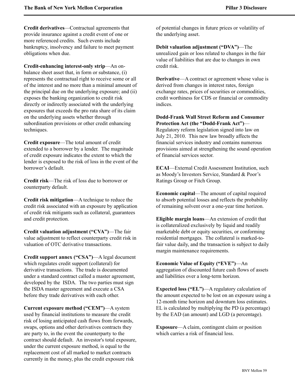**Credit derivatives**—Contractual agreements that provide insurance against a credit event of one or more referenced credits. Such events include bankruptcy, insolvency and failure to meet payment obligations when due.

**Credit-enhancing interest-only strip**—An onbalance sheet asset that, in form or substance, (i) represents the contractual right to receive some or all of the interest and no more than a minimal amount of the principal due on the underlying exposure; and (ii) exposes the banking organization to credit risk directly or indirectly associated with the underlying exposures that exceeds the pro rata share of its claim on the underlying assets whether through subordination provisions or other credit enhancing techniques.

**Credit exposure**—The total amount of credit extended to a borrower by a lender. The magnitude of credit exposure indicates the extent to which the lender is exposed to the risk of loss in the event of the borrower's default.

**Credit risk**—The risk of loss due to borrower or counterparty default.

**Credit risk mitigation**—A technique to reduce the credit risk associated with an exposure by application of credit risk mitigants such as collateral, guarantees and credit protection.

**Credit valuation adjustment ("CVA")**—The fair value adjustment to reflect counterparty credit risk in valuation of OTC derivative transactions.

**Credit support annex ("CSA")**—A legal document which regulates credit support (collateral) for derivative transactions. The trade is documented under a standard contract called a master agreement, developed by the ISDA. The two parties must sign the ISDA master agreement and execute a CSA before they trade derivatives with each other.

**Current exposure method ("CEM")**—A system used by financial institutions to measure the credit risk of losing anticipated cash flows from forwards, swaps, options and other derivatives contracts they are party to, in the event the counterparty to the contract should default. An investor's total exposure, under the current exposure method, is equal to the replacement cost of all marked to market contracts currently in the money, plus the credit exposure risk

of potential changes in future prices or volatility of the underlying asset.

**Debit valuation adjustment ("DVA")**—The unrealized gain or loss related to changes in the fair value of liabilities that are due to changes in own credit risk.

**Derivative—A** contract or agreement whose value is derived from changes in interest rates, foreign exchange rates, prices of securities or commodities, credit worthiness for CDS or financial or commodity indices.

**Dodd-Frank Wall Street Reform and Consumer Protection Act (the "Dodd-Frank Act")**—

Regulatory reform legislation signed into law on July 21, 2010. This new law broadly affects the financial services industry and contains numerous provisions aimed at strengthening the sound operation of financial services sector.

**ECAI**—External Credit Assessment Institution, such as Moody's Investors Service, Standard & Poor's Ratings Group or Fitch Group.

**Economic capital**—The amount of capital required to absorb potential losses and reflects the probability of remaining solvent over a one-year time horizon.

**Eligible margin loans**—An extension of credit that is collateralized exclusively by liquid and readily marketable debt or equity securities, or conforming residential mortgages. The collateral is marked-tofair value daily, and the transaction is subject to daily margin maintenance requirements.

**Economic Value of Equity ("EVE")**—An aggregation of discounted future cash flows of assets and liabilities over a long-term horizon.

**Expected loss ("EL")**—A regulatory calculation of the amount expected to be lost on an exposure using a 12-month time horizon and downturn loss estimates. EL is calculated by multiplying the PD (a percentage) by the EAD (an amount) and LGD (a percentage).

**Exposure**—A claim, contingent claim or position which carries a risk of financial loss.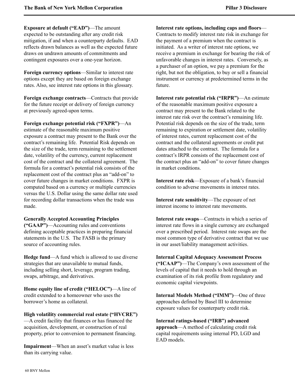**Exposure at default ("EAD")**—The amount expected to be outstanding after any credit risk mitigation, if and when a counterparty defaults. EAD reflects drawn balances as well as the expected future draws on undrawn amounts of commitments and contingent exposures over a one-year horizon.

**Foreign currency options**—Similar to interest rate options except they are based on foreign exchange rates. Also, see interest rate options in this glossary.

**Foreign exchange contracts**—Contracts that provide for the future receipt or delivery of foreign currency at previously agreed-upon terms.

**Foreign exchange potential risk ("FXPR")**—An estimate of the reasonable maximum positive exposure a contract may present to the Bank over the contract's remaining life. Potential Risk depends on the size of the trade, term remaining to the settlement date, volatility of the currency, current replacement cost of the contract and the collateral agreement. The formula for a contract's potential risk consists of the replacement cost of the contract plus an "add-on" to cover future changes in market conditions. FXPR is computed based on a currency or multiple currencies versus the U.S. Dollar using the same dollar rate used for recording dollar transactions when the trade was made.

**Generally Accepted Accounting Principles ("GAAP")**—Accounting rules and conventions defining acceptable practices in preparing financial statements in the U.S. The FASB is the primary source of accounting rules.

**Hedge fund**—A fund which is allowed to use diverse strategies that are unavailable to mutual funds, including selling short, leverage, program trading, swaps, arbitrage, and derivatives.

**Home equity line of credit ("HELOC")**—A line of credit extended to a homeowner who uses the borrower's home as collateral.

**High volatility commercial real estate ("HVCRE")** —A credit facility that finances or has financed the acquisition, development, or construction of real property, prior to conversion to permanent financing.

**Impairment**—When an asset's market value is less than its carrying value.

**Interest rate options, including caps and floors**— Contracts to modify interest rate risk in exchange for the payment of a premium when the contract is initiated. As a writer of interest rate options, we receive a premium in exchange for bearing the risk of unfavorable changes in interest rates. Conversely, as a purchaser of an option, we pay a premium for the right, but not the obligation, to buy or sell a financial instrument or currency at predetermined terms in the future.

**Interest rate potential risk ("IRPR")**—An estimate of the reasonable maximum positive exposure a contract may present to the Bank related to the interest rate risk over the contract's remaining life. Potential risk depends on the size of the trade, term remaining to expiration or settlement date, volatility of interest rates, current replacement cost of the contract and the collateral agreements or credit put dates attached to the contract. The formula for a contract's IRPR consists of the replacement cost of the contract plus an "add-on" to cover future changes in market conditions.

**Interest rate risk**—Exposure of a bank's financial condition to adverse movements in interest rates.

**Interest rate sensitivity**—The exposure of net interest income to interest rate movements.

**Interest rate swaps**—Contracts in which a series of interest rate flows in a single currency are exchanged over a prescribed period. Interest rate swaps are the most common type of derivative contract that we use in our asset/liability management activities.

**Internal Capital Adequacy Assessment Process ("ICAAP")**—The Company's own assessment of the levels of capital that it needs to hold through an examination of its risk profile from regulatory and economic capital viewpoints.

**Internal Models Method ("IMM")**—One of three approaches defined by Basel III to determine exposure values for counterparty credit risk.

**Internal ratings-based ("IRB") advanced approach**—A method of calculating credit risk capital requirements using internal PD, LGD and EAD models.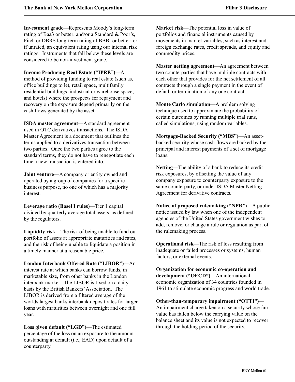**Investment grade**—Represents Moody's long-term rating of Baa3 or better; and/or a Standard & Poor's, Fitch or DBRS long-term rating of BBB- or better; or if unrated, an equivalent rating using our internal risk ratings. Instruments that fall below these levels are considered to be non-investment grade.

**Income Producing Real Estate ("IPRE")**—A method of providing funding to real estate (such as, office buildings to let, retail space, multifamily residential buildings, industrial or warehouse space, and hotels) where the prospects for repayment and recovery on the exposure depend primarily on the cash flows generated by the asset.

**ISDA master agreement**—A standard agreement used in OTC derivatives transactions. The ISDA Master Agreement is a document that outlines the terms applied to a derivatives transaction between two parties. Once the two parties agree to the standard terms, they do not have to renegotiate each time a new transaction is entered into.

**Joint venture—A** company or entity owned and operated by a group of companies for a specific business purpose, no one of which has a majority interest.

**Leverage ratio (Basel I rules)**—Tier 1 capital divided by quarterly average total assets, as defined by the regulators.

**Liquidity risk**—The risk of being unable to fund our portfolio of assets at appropriate maturities and rates, and the risk of being unable to liquidate a position in a timely manner at a reasonable price.

**London Interbank Offered Rate ("LIBOR")**—An interest rate at which banks can borrow funds, in marketable size, from other banks in the London interbank market. The LIBOR is fixed on a daily basis by the British Bankers'Association. The LIBOR is derived from a filtered average of the worlds largest banks interbank deposit rates for larger loans with maturities between overnight and one full year.

**Loss given default ("LGD")**—The estimated percentage of the loss on an exposure to the amount outstanding at default (i.e., EAD) upon default of a counterparty.

**Market risk**—The potential loss in value of portfolios and financial instruments caused by movements in market variables, such as interest and foreign exchange rates, credit spreads, and equity and commodity prices.

**Master netting agreement**—An agreement between two counterparties that have multiple contracts with each other that provides for the net settlement of all contracts through a single payment in the event of default or termination of any one contract.

**Monte Carlo simulation**—A problem solving technique used to approximate the probability of certain outcomes by running multiple trial runs, called simulations, using random variables.

**Mortgage-Backed Security ("MBS")**—An assetbacked security whose cash flows are backed by the principal and interest payments of a set of mortgage loans.

**Netting**—The ability of a bank to reduce its credit risk exposures, by offsetting the value of any company exposure to counterparty exposure to the same counterparty, or under ISDA Master Netting Agreement for derivative contracts.

**Notice of proposed rulemaking ("NPR")—**A public notice issued by law when one of the independent agencies of the United States government wishes to add, remove, or change a rule or regulation as part of the rulemaking process.

**Operational risk**—The risk of loss resulting from inadequate or failed processes or systems, human factors, or external events.

**Organization for economic co-operation and development ("OECD")**—An international economic organization of 34 countries founded in 1961 to stimulate economic progress and world trade.

**Other-than-temporary impairment ("OTTI")**— An impairment charge taken on a security whose fair value has fallen below the carrying value on the balance sheet and its value is not expected to recover through the holding period of the security.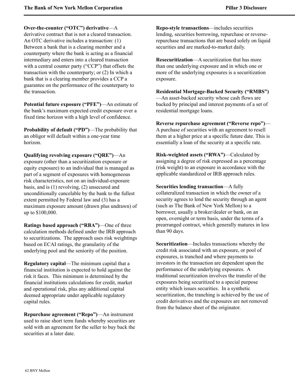**Over-the-counter ("OTC") derivative**—A derivative contract that is not a cleared transaction. An OTC derivative includes a transaction: (1) Between a bank that is a clearing member and a counterparty where the bank is acting as a financial intermediary and enters into a cleared transaction with a central counter party ("CCP") that offsets the transaction with the counterparty; or (2) In which a bank that is a clearing member provides a CCP a guarantee on the performance of the counterparty to the transaction.

**Potential future exposure ("PFE")**—An estimate of the bank's maximum expected credit exposure over a fixed time horizon with a high level of confidence.

**Probability of default ("PD")—The probability that** an obligor will default within a one-year time horizon.

**Qualifying revolving exposure ("QRE")**—An exposure (other than a securitization exposure or equity exposure) to an individual that is managed as part of a segment of exposures with homogeneous risk characteristics, not on an individual-exposure basis, and is (1) revolving, (2) unsecured and unconditionally cancelable by the bank to the fullest extent permitted by Federal law and (3) has a maximum exposure amount (drawn plus undrawn) of up to \$100,000.

**Ratings based approach ("RBA")**—One of three calculation methods defined under the IRB approach to securitizations. The approach uses risk weightings based on ECAI ratings, the granularity of the underlying pool and the seniority of the position.

**Regulatory capital**—The minimum capital that a financial institution is expected to hold against the risk it faces. This minimum is determined by the financial institutions calculations for credit, market and operational risk, plus any additional capital deemed appropriate under applicable regulatory capital rules.

**Repurchase agreement ("Repo")**—An instrument used to raise short term funds whereby securities are sold with an agreement for the seller to buy back the securities at a later date.

**Repo-style transactions**—includes securities lending, securities borrowing, repurchase or reverserepurchase transactions that are based solely on liquid securities and are marked-to-market daily.

**Resecuritization**—A securitization that has more than one underlying exposure and in which one or more of the underlying exposures is a securitization exposure.

**Residential Mortgage-Backed Security ("RMBS")** —An asset-backed security whose cash flows are backed by principal and interest payments of a set of residential mortgage loans.

**Reverse repurchase agreement ("Reverse repo")**— A purchase of securities with an agreement to resell them at a higher price at a specific future date. This is essentially a loan of the security at a specific rate.

**Risk-weighted assets ("RWA")**—Calculated by assigning a degree of risk expressed as a percentage (risk weight) to an exposure in accordance with the applicable standardized or IRB approach rules.

**Securities lending transaction**—A fully collateralized transaction in which the owner of a security agrees to lend the security through an agent (such as The Bank of New York Mellon) to a borrower, usually a broker/dealer or bank, on an open, overnight or term basis, under the terms of a prearranged contract, which generally matures in less than 90 days.

**Securitization**—Includes transactions whereby the credit risk associated with an exposure, or pool of exposures, is tranched and where payments to investors in the transaction are dependent upon the performance of the underlying exposures. A traditional securitization involves the transfer of the exposures being securitized to a special purpose entity which issues securities. In a synthetic securitization, the tranching is achieved by the use of credit derivatives and the exposures are not removed from the balance sheet of the originator.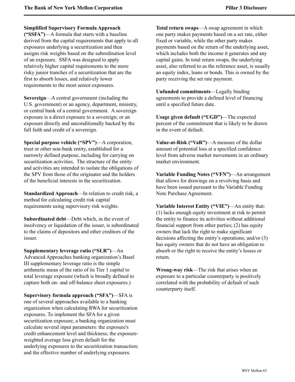### **Simplified Supervisory Formula Approach**

**("SSFA")**—A formula that starts with a baseline derived from the capital requirements that apply to all exposures underlying a securitization and then assigns risk weights based on the subordination level of an exposure. SSFA was designed to apply relatively higher capital requirements to the more risky junior tranches of a securitization that are the first to absorb losses, and relatively lower requirements to the most senior exposures.

**Sovereign**—A central government (including the U.S. government) or an agency, department, ministry, or central bank of a central government. A sovereign exposure is a direct exposure to a sovereign; or an exposure directly and unconditionally backed by the full faith and credit of a sovereign.

**Special purpose vehicle ("SPV")**—A corporation, trust or other non-bank entity, established for a narrowly defined purpose, including for carrying on securitization activities. The structure of the entity and activities are intended to isolate the obligations of the SPV from those of the originator and the holders of the beneficial interests in the securitization.

**Standardized Approach**—In relation to credit risk, a method for calculating credit risk capital requirements using supervisory risk weights.

**Subordinated debt**—Debt which, in the event of insolvency or liquidation of the issuer, is subordinated to the claims of depositors and other creditors of the issuer.

**Supplementary leverage ratio ("SLR")**—An Advanced Approaches banking organization's Basel III supplementary leverage ratio is the simple arithmetic mean of the ratio of its Tier 1 capital to total leverage exposure (which is broadly defined to capture both on- and off-balance sheet exposures.)

**Supervisory formula approach ("SFA")**—SFA is one of several approaches available to a banking organization when calculating RWA for securitization exposures. To implement the SFA for a given securitization exposure, a banking organization must calculate several input parameters: the exposure's credit enhancement level and thickness; the exposureweighted average loss given default for the underlying exposures to the securitization transaction; and the effective number of underlying exposures.

**Total return swaps**—A swap agreement in which one party makes payments based on a set rate, either fixed or variable, while the other party makes payments based on the return of the underlying asset, which includes both the income it generates and any capital gains. In total return swaps, the underlying asset, also referred to as the reference asset, is usually an equity index, loans or bonds. This is owned by the party receiving the set rate payment.

**Unfunded commitments**—Legally binding agreements to provide a defined level of financing until a specified future date.

**Usage given default ("UGD")**—The expected percent of the commitment that is likely to be drawn in the event of default.

**Value-at-Risk ("VaR")**—A measure of the dollar amount of potential loss at a specified confidence level from adverse market movements in an ordinary market environment.

**Variable Funding Notes ("VFN")**—An arrangement that allows for drawings on a revolving basis and have been issued pursuant to the Variable Funding Note Purchase Agreement.

**Variable Interest Entity ("VIE")**—An entity that: (1) lacks enough equity investment at risk to permit the entity to finance its activities without additional financial support from other parties; (2) has equity owners that lack the right to make significant decisions affecting the entity's operations; and/or (3) has equity owners that do not have an obligation to absorb or the right to receive the entity's losses or return.

**Wrong-way risk**—The risk that arises when an exposure to a particular counterparty is positively correlated with the probability of default of such counterparty itself.